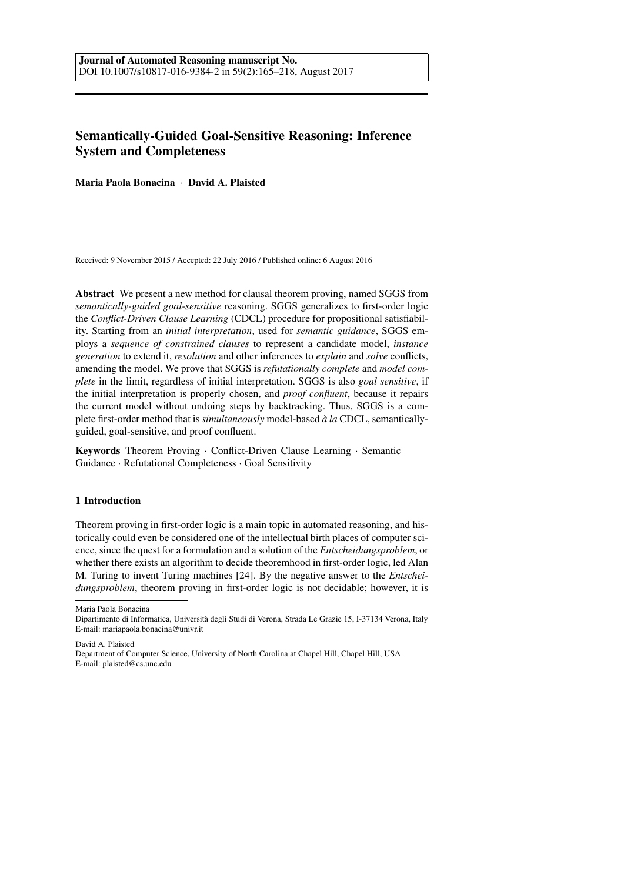# Semantically-Guided Goal-Sensitive Reasoning: Inference System and Completeness

Maria Paola Bonacina · David A. Plaisted

Received: 9 November 2015 / Accepted: 22 July 2016 / Published online: 6 August 2016

Abstract We present a new method for clausal theorem proving, named SGGS from *semantically-guided goal-sensitive* reasoning. SGGS generalizes to first-order logic the *Conflict-Driven Clause Learning* (CDCL) procedure for propositional satisfiability. Starting from an *initial interpretation*, used for *semantic guidance*, SGGS employs a *sequence of constrained clauses* to represent a candidate model, *instance generation* to extend it, *resolution* and other inferences to *explain* and *solve* conflicts, amending the model. We prove that SGGS is *refutationally complete* and *model complete* in the limit, regardless of initial interpretation. SGGS is also *goal sensitive*, if the initial interpretation is properly chosen, and *proof confluent*, because it repairs the current model without undoing steps by backtracking. Thus, SGGS is a complete first-order method that is *simultaneously* model-based  $\dot{a}$  la CDCL, semanticallyguided, goal-sensitive, and proof confluent.

Keywords Theorem Proving · Conflict-Driven Clause Learning · Semantic Guidance · Refutational Completeness · Goal Sensitivity

# 1 Introduction

Theorem proving in first-order logic is a main topic in automated reasoning, and historically could even be considered one of the intellectual birth places of computer science, since the quest for a formulation and a solution of the *Entscheidungsproblem*, or whether there exists an algorithm to decide theoremhood in first-order logic, led Alan M. Turing to invent Turing machines [24]. By the negative answer to the *Entscheidungsproblem*, theorem proving in first-order logic is not decidable; however, it is

Maria Paola Bonacina

David A. Plaisted

Department of Computer Science, University of North Carolina at Chapel Hill, Chapel Hill, USA E-mail: plaisted@cs.unc.edu

Dipartimento di Informatica, Universita degli Studi di Verona, Strada Le Grazie 15, I-37134 Verona, Italy ` E-mail: mariapaola.bonacina@univr.it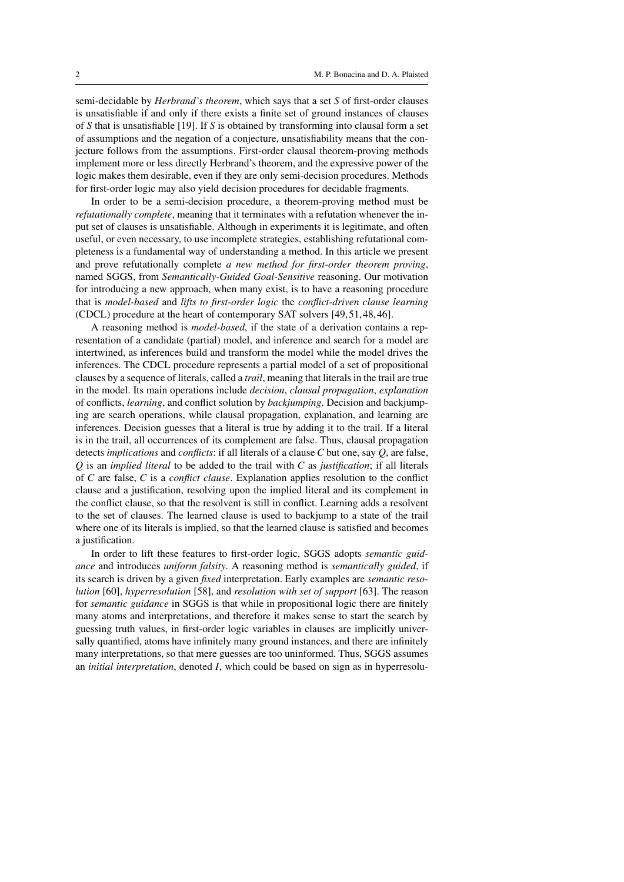semi-decidable by *Herbrand's theorem*, which says that a set *S* of first-order clauses is unsatisfiable if and only if there exists a finite set of ground instances of clauses of *S* that is unsatisfiable [19]. If *S* is obtained by transforming into clausal form a set of assumptions and the negation of a conjecture, unsatisfiability means that the conjecture follows from the assumptions. First-order clausal theorem-proving methods implement more or less directly Herbrand's theorem, and the expressive power of the logic makes them desirable, even if they are only semi-decision procedures. Methods for first-order logic may also yield decision procedures for decidable fragments.

In order to be a semi-decision procedure, a theorem-proving method must be *refutationally complete*, meaning that it terminates with a refutation whenever the input set of clauses is unsatisfiable. Although in experiments it is legitimate, and often useful, or even necessary, to use incomplete strategies, establishing refutational completeness is a fundamental way of understanding a method. In this article we present and prove refutationally complete *a new method for first-order theorem proving*, named SGGS, from *Semantically-Guided Goal-Sensitive* reasoning. Our motivation for introducing a new approach, when many exist, is to have a reasoning procedure that is *model-based* and *lifts to first-order logic* the *conflict-driven clause learning* (CDCL) procedure at the heart of contemporary SAT solvers [49, 51, 48, 46].

A reasoning method is *model-based*, if the state of a derivation contains a representation of a candidate (partial) model, and inference and search for a model are intertwined, as inferences build and transform the model while the model drives the inferences. The CDCL procedure represents a partial model of a set of propositional clauses by a sequence of literals, called a *trail*, meaning that literals in the trail are true in the model. Its main operations include *decision*, *clausal propagation*, *explanation* of conflicts, *learning*, and conflict solution by *backjumping*. Decision and backjumping are search operations, while clausal propagation, explanation, and learning are inferences. Decision guesses that a literal is true by adding it to the trail. If a literal is in the trail, all occurrences of its complement are false. Thus, clausal propagation detects *implications* and *conflicts*: if all literals of a clause *C* but one, say *Q*, are false, *Q* is an *implied literal* to be added to the trail with *C* as *justification*; if all literals of *C* are false, *C* is a *conflict clause*. Explanation applies resolution to the conflict clause and a justification, resolving upon the implied literal and its complement in the conflict clause, so that the resolvent is still in conflict. Learning adds a resolvent to the set of clauses. The learned clause is used to backjump to a state of the trail where one of its literals is implied, so that the learned clause is satisfied and becomes a justification.

In order to lift these features to first-order logic, SGGS adopts *semantic guidance* and introduces *uniform falsity*. A reasoning method is *semantically guided*, if its search is driven by a given *fixed* interpretation. Early examples are *semantic resolution* [60], *hyperresolution* [58], and *resolution with set of support* [63]. The reason for *semantic guidance* in SGGS is that while in propositional logic there are finitely many atoms and interpretations, and therefore it makes sense to start the search by guessing truth values, in first-order logic variables in clauses are implicitly universally quantified, atoms have infinitely many ground instances, and there are infinitely many interpretations, so that mere guesses are too uninformed. Thus, SGGS assumes an *initial interpretation*, denoted *I*, which could be based on sign as in hyperresolu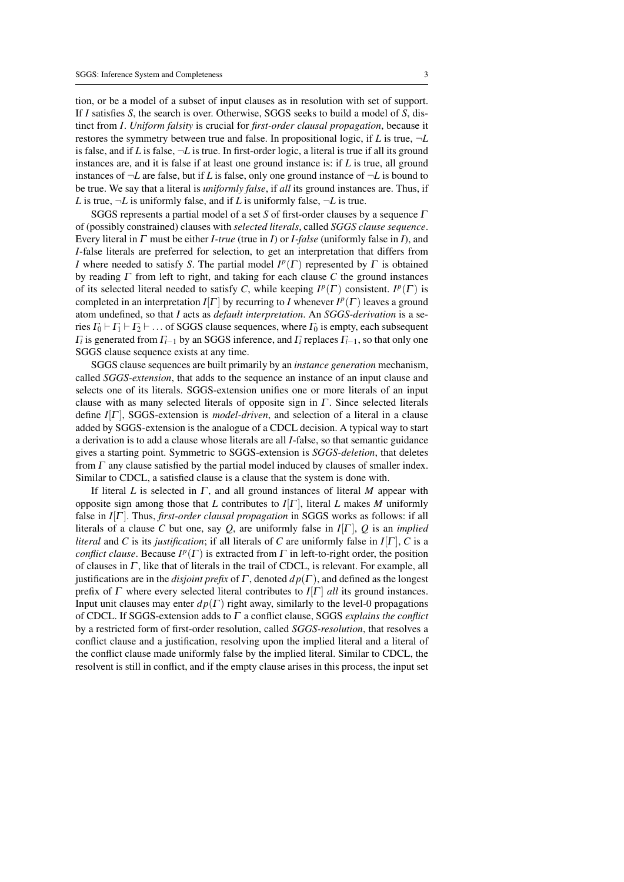tion, or be a model of a subset of input clauses as in resolution with set of support. If *I* satisfies *S*, the search is over. Otherwise, SGGS seeks to build a model of *S*, distinct from *I*. *Uniform falsity* is crucial for *first-order clausal propagation*, because it restores the symmetry between true and false. In propositional logic, if *L* is true, ¬*L* is false, and if *L* is false,  $\neg L$  is true. In first-order logic, a literal is true if all its ground instances are, and it is false if at least one ground instance is: if *L* is true, all ground instances of  $\neg L$  are false, but if *L* is false, only one ground instance of  $\neg L$  is bound to be true. We say that a literal is *uniformly false*, if *all* its ground instances are. Thus, if *L* is true,  $\neg L$  is uniformly false, and if *L* is uniformly false,  $\neg L$  is true.

SGGS represents a partial model of a set *S* of first-order clauses by a sequence Γ of (possibly constrained) clauses with *selected literals*, called *SGGS clause sequence*. Every literal in Γ must be either *I-true* (true in *I*) or *I-false* (uniformly false in *I*), and *I*-false literals are preferred for selection, to get an interpretation that differs from *I* where needed to satisfy *S*. The partial model  $I^p(\Gamma)$  represented by  $\Gamma$  is obtained by reading Γ from left to right, and taking for each clause *C* the ground instances of its selected literal needed to satisfy *C*, while keeping  $I^p(\Gamma)$  consistent.  $I^p(\Gamma)$  is completed in an interpretation  $I[\Gamma]$  by recurring to *I* whenever  $I^p(\Gamma)$  leaves a ground atom undefined, so that *I* acts as *default interpretation*. An *SGGS-derivation* is a series  $\Gamma_0 \vdash \Gamma_1 \vdash \Gamma_2 \vdash \ldots$  of SGGS clause sequences, where  $\Gamma_0$  is empty, each subsequent Γ*i* is generated from Γ*i*−<sup>1</sup> by an SGGS inference, and Γ*<sup>i</sup>* replaces Γ*i*−1, so that only one SGGS clause sequence exists at any time.

SGGS clause sequences are built primarily by an *instance generation* mechanism, called *SGGS-extension*, that adds to the sequence an instance of an input clause and selects one of its literals. SGGS-extension unifies one or more literals of an input clause with as many selected literals of opposite sign in  $\Gamma$ . Since selected literals define *I*[Γ ], SGGS-extension is *model-driven*, and selection of a literal in a clause added by SGGS-extension is the analogue of a CDCL decision. A typical way to start a derivation is to add a clause whose literals are all *I*-false, so that semantic guidance gives a starting point. Symmetric to SGGS-extension is *SGGS-deletion*, that deletes from  $\Gamma$  any clause satisfied by the partial model induced by clauses of smaller index. Similar to CDCL, a satisfied clause is a clause that the system is done with.

If literal *L* is selected in  $\Gamma$ , and all ground instances of literal *M* appear with opposite sign among those that *L* contributes to  $I[\Gamma]$ , literal *L* makes *M* uniformly false in *I*[Γ ]. Thus, *first-order clausal propagation* in SGGS works as follows: if all literals of a clause C but one, say Q, are uniformly false in  $I[\Gamma]$ , Q is an *implied literal* and *C* is its *justification*; if all literals of *C* are uniformly false in  $I[\Gamma]$ , *C* is a *conflict clause*. Because  $I^p(\Gamma)$  is extracted from  $\Gamma$  in left-to-right order, the position of clauses in  $\Gamma$ , like that of literals in the trail of CDCL, is relevant. For example, all justifications are in the *disjoint prefix* of  $\Gamma$ , denoted  $dp(\Gamma)$ , and defined as the longest prefix of  $\Gamma$  where every selected literal contributes to  $I[\Gamma]$  *all* its ground instances. Input unit clauses may enter  $dp(\Gamma)$  right away, similarly to the level-0 propagations of CDCL. If SGGS-extension adds to Γ a conflict clause, SGGS *explains the conflict* by a restricted form of first-order resolution, called *SGGS-resolution*, that resolves a conflict clause and a justification, resolving upon the implied literal and a literal of the conflict clause made uniformly false by the implied literal. Similar to CDCL, the resolvent is still in conflict, and if the empty clause arises in this process, the input set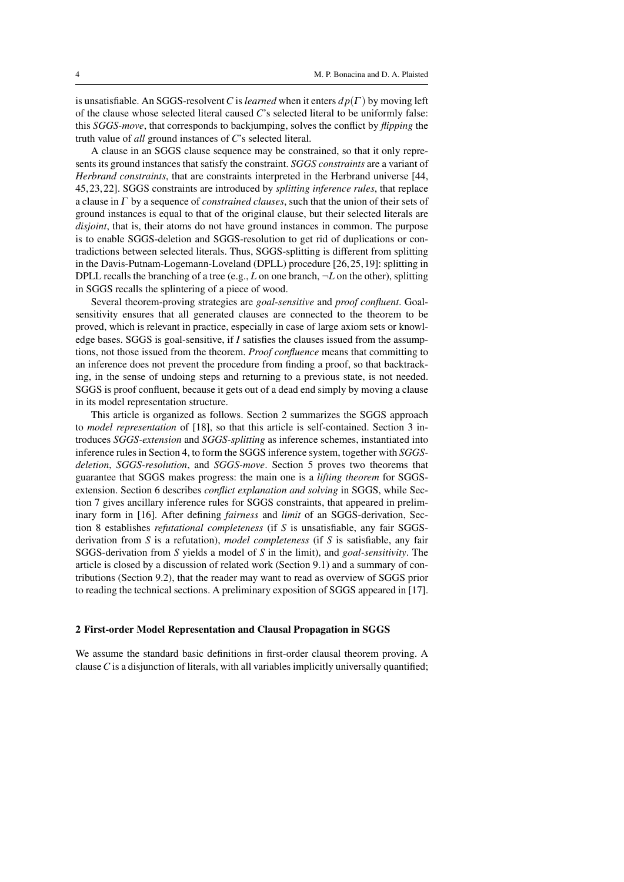is unsatisfiable. An SGGS-resolvent*C* is *learned* when it enters *d p*(Γ ) by moving left of the clause whose selected literal caused *C*'s selected literal to be uniformly false: this *SGGS-move*, that corresponds to backjumping, solves the conflict by *flipping* the truth value of *all* ground instances of *C*'s selected literal.

A clause in an SGGS clause sequence may be constrained, so that it only represents its ground instances that satisfy the constraint. *SGGS constraints* are a variant of *Herbrand constraints*, that are constraints interpreted in the Herbrand universe [44, 45, 23, 22]. SGGS constraints are introduced by *splitting inference rules*, that replace a clause in Γ by a sequence of *constrained clauses*, such that the union of their sets of ground instances is equal to that of the original clause, but their selected literals are *disjoint*, that is, their atoms do not have ground instances in common. The purpose is to enable SGGS-deletion and SGGS-resolution to get rid of duplications or contradictions between selected literals. Thus, SGGS-splitting is different from splitting in the Davis-Putnam-Logemann-Loveland (DPLL) procedure [26, 25, 19]: splitting in DPLL recalls the branching of a tree (e.g.,  $L$  on one branch,  $\neg L$  on the other), splitting in SGGS recalls the splintering of a piece of wood.

Several theorem-proving strategies are *goal-sensitive* and *proof confluent*. Goalsensitivity ensures that all generated clauses are connected to the theorem to be proved, which is relevant in practice, especially in case of large axiom sets or knowledge bases. SGGS is goal-sensitive, if *I* satisfies the clauses issued from the assumptions, not those issued from the theorem. *Proof confluence* means that committing to an inference does not prevent the procedure from finding a proof, so that backtracking, in the sense of undoing steps and returning to a previous state, is not needed. SGGS is proof confluent, because it gets out of a dead end simply by moving a clause in its model representation structure.

This article is organized as follows. Section 2 summarizes the SGGS approach to *model representation* of [18], so that this article is self-contained. Section 3 introduces *SGGS-extension* and *SGGS-splitting* as inference schemes, instantiated into inference rules in Section 4, to form the SGGS inference system, together with *SGGSdeletion*, *SGGS-resolution*, and *SGGS-move*. Section 5 proves two theorems that guarantee that SGGS makes progress: the main one is a *lifting theorem* for SGGSextension. Section 6 describes *conflict explanation and solving* in SGGS, while Section 7 gives ancillary inference rules for SGGS constraints, that appeared in preliminary form in [16]. After defining *fairness* and *limit* of an SGGS-derivation, Section 8 establishes *refutational completeness* (if *S* is unsatisfiable, any fair SGGSderivation from *S* is a refutation), *model completeness* (if *S* is satisfiable, any fair SGGS-derivation from *S* yields a model of *S* in the limit), and *goal-sensitivity*. The article is closed by a discussion of related work (Section 9.1) and a summary of contributions (Section 9.2), that the reader may want to read as overview of SGGS prior to reading the technical sections. A preliminary exposition of SGGS appeared in [17].

#### 2 First-order Model Representation and Clausal Propagation in SGGS

We assume the standard basic definitions in first-order clausal theorem proving. A clause*C* is a disjunction of literals, with all variables implicitly universally quantified;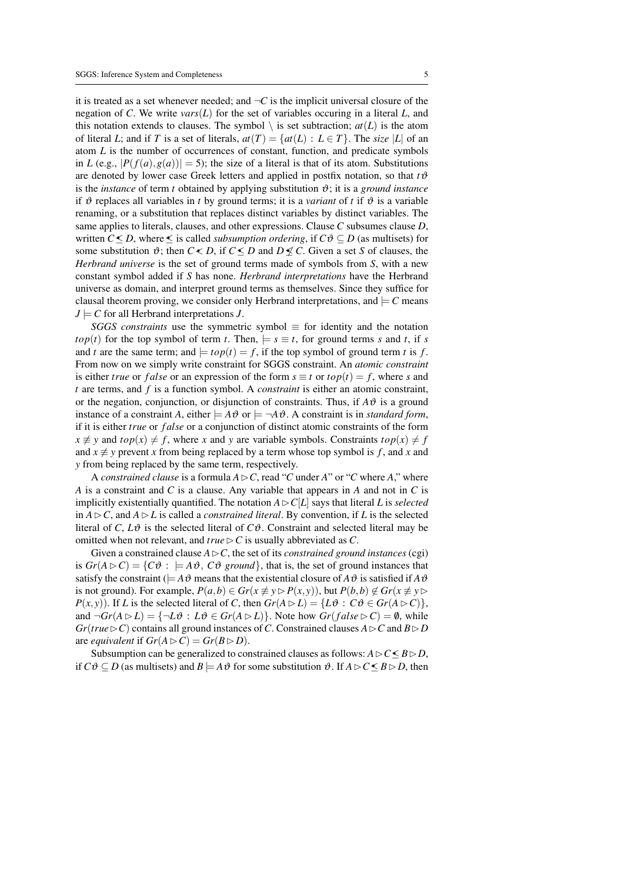it is treated as a set whenever needed; and  $\neg C$  is the implicit universal closure of the negation of *C*. We write *vars*(*L*) for the set of variables occuring in a literal *L*, and this notation extends to clauses. The symbol  $\setminus$  is set subtraction;  $at(L)$  is the atom of literal *L*; and if *T* is a set of literals,  $at(T) = \{at(L) : L \in T\}$ . The *size* |*L*| of an atom *L* is the number of occurrences of constant, function, and predicate symbols in *L* (e.g.,  $|P(f(a), g(a))| = 5$ ); the size of a literal is that of its atom. Substitutions are denoted by lower case Greek letters and applied in postfix notation, so that  $t\vartheta$ is the *instance* of term *t* obtained by applying substitution  $\vartheta$ ; it is a *ground instance* if  $\vartheta$  replaces all variables in *t* by ground terms; it is a *variant* of *t* if  $\vartheta$  is a variable renaming, or a substitution that replaces distinct variables by distinct variables. The same applies to literals, clauses, and other expressions. Clause *C* subsumes clause *D*, written *C*≤*D*, where ≤ is called *subsumption ordering*, if  $C\vartheta$  ⊆ *D* (as multisets) for some substitution  $\vartheta$ ; then  $C \leq D$ , if  $C \leq D$  and  $D \nleq C$ . Given a set *S* of clauses, the *Herbrand universe* is the set of ground terms made of symbols from *S*, with a new constant symbol added if *S* has none. *Herbrand interpretations* have the Herbrand universe as domain, and interpret ground terms as themselves. Since they suffice for clausal theorem proving, we consider only Herbrand interpretations, and  $\models C$  means  $J \models C$  for all Herbrand interpretations *J*.

*SGGS constraints* use the symmetric symbol  $\equiv$  for identity and the notation *top*(*t*) for the top symbol of term *t*. Then,  $\models s \equiv t$ , for ground terms *s* and *t*, if *s* and *t* are the same term; and  $\vert = top(t) = f$ , if the top symbol of ground term *t* is *f*. From now on we simply write constraint for SGGS constraint. An *atomic constraint* is either *true* or *false* or an expression of the form  $s \equiv t$  or  $top(t) = f$ , where *s* and *t* are terms, and *f* is a function symbol. A *constraint* is either an atomic constraint, or the negation, conjunction, or disjunction of constraints. Thus, if  $A\vartheta$  is a ground instance of a constraint *A*, either  $= A \vartheta$  or  $= \neg A \vartheta$ . A constraint is in *standard form*, if it is either *true* or *f alse* or a conjunction of distinct atomic constraints of the form  $x \not\equiv y$  and  $top(x) \neq f$ , where *x* and *y* are variable symbols. Constraints  $top(x) \neq f$ and  $x \not\equiv y$  prevent *x* from being replaced by a term whose top symbol is *f*, and *x* and *y* from being replaced by the same term, respectively.

A *constrained clause* is a formula  $A \triangleright C$ , read "*C* under *A*" or "*C* where *A*," where *A* is a constraint and *C* is a clause. Any variable that appears in *A* and not in *C* is implicitly existentially quantified. The notation  $A \triangleright C[L]$  says that literal L is *selected* in  $A \triangleright C$ , and  $A \triangleright L$  is called a *constrained literal*. By convention, if *L* is the selected literal of *C*,  $L\vartheta$  is the selected literal of  $C\vartheta$ . Constraint and selected literal may be omitted when not relevant, and  $true \triangleright C$  is usually abbreviated as *C*.

Given a constrained clause  $A \triangleright C$ , the set of its *constrained ground instances* (cgi) is  $Gr(A \triangleright C) = \{C\vartheta : \models A\vartheta, C\vartheta \text{ ground}\}$ , that is, the set of ground instances that satisfy the constraint ( $=A\vartheta$  means that the existential closure of  $A\vartheta$  is satisfied if  $A\vartheta$ is not ground). For example,  $P(a,b) \in Gr(x \not\equiv y \triangleright P(x,y))$ , but  $P(b,b) \not\in Gr(x \not\equiv y \triangleright$ *P*(*x*, *y*)). If *L* is the selected literal of *C*, then  $Gr(A \triangleright L) = \{L \vartheta : C \vartheta \in Gr(A \triangleright C)\},\$ and  $\neg Gr(A \triangleright L) = {\neg L\vartheta : L\vartheta \in Gr(A \triangleright L)}$ . Note how  $Gr(false \triangleright C) = \emptyset$ , while  $Gr(true \triangleright C)$  contains all ground instances of *C*. Constrained clauses  $A \triangleright C$  and  $B \triangleright D$ are *equivalent* if  $Gr(A \triangleright C) = Gr(B \triangleright D)$ .

Subsumption can be generalized to constrained clauses as follows:  $A \triangleright C \leq B \triangleright D$ , if  $C\vartheta \subseteq D$  (as multisets) and  $B \models A\vartheta$  for some substitution  $\vartheta$ . If  $A \triangleright C \leq B \triangleright D$ , then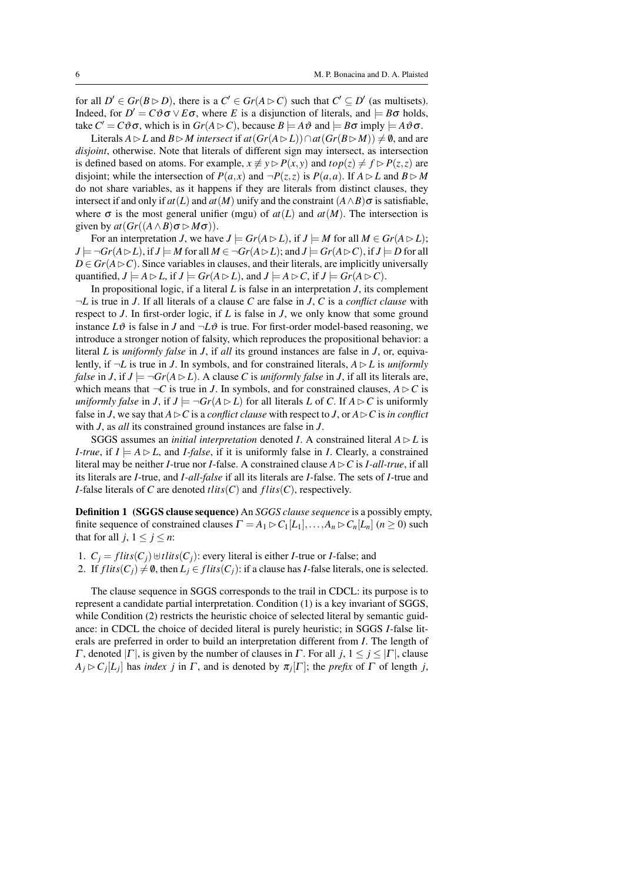for all  $D' \in Gr(B \triangleright D)$ , there is a  $C' \in Gr(A \triangleright C)$  such that  $C' \subseteq D'$  (as multisets). Indeed, for  $D' = C \vartheta \sigma \vee E \sigma$ , where *E* is a disjunction of literals, and  $\models B \sigma$  holds, take  $C' = C \vartheta \sigma$ , which is in  $Gr(A \triangleright C)$ , because  $B \models A \vartheta$  and  $\models B \sigma$  imply  $\models A \vartheta \sigma$ .

*L*iterals *A* ⊳ *L* and *B* ⊳ *M* intersect if  $at(Gr(A \triangleright L)) \cap at(Gr(B \triangleright M)) \neq \emptyset$ , and are *disjoint*, otherwise. Note that literals of different sign may intersect, as intersection is defined based on atoms. For example,  $x \not\equiv y \triangleright P(x, y)$  and  $top(z) \neq f \triangleright P(z, z)$  are disjoint; while the intersection of  $P(a,x)$  and  $\neg P(z,z)$  is  $P(a,a)$ . If  $A \triangleright L$  and  $B \triangleright M$ do not share variables, as it happens if they are literals from distinct clauses, they intersect if and only if  $at(L)$  and  $at(M)$  unify and the constraint  $(A \wedge B)$  or is satisfiable, where  $\sigma$  is the most general unifier (mgu) of  $at(L)$  and  $at(M)$ . The intersection is given by  $at(Gr((A \wedge B) \sigma \rhd M\sigma))$ .

For an interpretation *J*, we have  $J \models Gr(A \triangleright L)$ , if  $J \models M$  for all  $M \in Gr(A \triangleright L)$ ;  $J \models \neg Gr(A \triangleright L)$ , if  $J \models M$  for all  $M \in \neg Gr(A \triangleright L)$ ; and  $J \models Gr(A \triangleright C)$ , if  $J \models D$  for all  $D \in Gr(A \triangleright C)$ . Since variables in clauses, and their literals, are implicitly universally quantified,  $J \models A \triangleright L$ , if  $J \models Gr(A \triangleright L)$ , and  $J \models A \triangleright C$ , if  $J \models Gr(A \triangleright C)$ .

In propositional logic, if a literal *L* is false in an interpretation *J*, its complement ¬*L* is true in *J*. If all literals of a clause *C* are false in *J*, *C* is a *conflict clause* with respect to *J*. In first-order logic, if *L* is false in *J*, we only know that some ground instance  $L\vartheta$  is false in *J* and  $\neg L\vartheta$  is true. For first-order model-based reasoning, we introduce a stronger notion of falsity, which reproduces the propositional behavior: a literal *L* is *uniformly false* in *J*, if *all* its ground instances are false in *J*, or, equivalently, if  $\neg L$  is true in *J*. In symbols, and for constrained literals,  $A \triangleright L$  is *uniformly false* in *J*, if  $J \models \neg Gr(A \triangleright L)$ . A clause *C* is *uniformly false* in *J*, if all its literals are, which means that  $\neg C$  is true in *J*. In symbols, and for constrained clauses,  $A \triangleright C$  is *uniformly false* in *J*, if  $J \models \neg Gr(A \triangleright L)$  for all literals *L* of *C*. If  $A \triangleright C$  is uniformly false in *J*, we say that  $A \triangleright C$  is a *conflict clause* with respect to *J*, or  $A \triangleright C$  is *in conflict* with *J*, as *all* its constrained ground instances are false in *J*.

SGGS assumes an *initial interpretation* denoted *I*. A constrained literal  $A \triangleright L$  is *I-true*, if  $I \models A \triangleright L$ , and *I-false*, if it is uniformly false in *I*. Clearly, a constrained literal may be neither *I*-true nor *I*-false. A constrained clause  $A \triangleright C$  is *I-all-true*, if all its literals are *I*-true, and *I-all-false* if all its literals are *I*-false. The sets of *I*-true and *I*-false literals of *C* are denoted  $tlits(C)$  and  $flits(C)$ , respectively.

Definition 1 (SGGS clause sequence) An *SGGS clause sequence* is a possibly empty, finite sequence of constrained clauses  $\Gamma = A_1 \triangleright C_1[L_1], \ldots, A_n \triangleright C_n[L_n]$  ( $n \ge 0$ ) such that for all  $j, 1 \leq j \leq n$ :

1.  $C_i = flits(C_i) \cup tlist(C_i)$ : every literal is either *I*-true or *I*-false; and 2. If  $flits(C_i) \neq \emptyset$ , then  $L_i \in flits(C_i)$ : if a clause has *I*-false literals, one is selected.

The clause sequence in SGGS corresponds to the trail in CDCL: its purpose is to represent a candidate partial interpretation. Condition (1) is a key invariant of SGGS, while Condition (2) restricts the heuristic choice of selected literal by semantic guidance: in CDCL the choice of decided literal is purely heuristic; in SGGS *I*-false literals are preferred in order to build an interpretation different from *I*. The length of Γ, denoted  $|Γ|$ , is given by the number of clauses in Γ. For all *j*,  $1 \le j \le |Γ|$ , clause  $A_j \triangleright C_j[L_j]$  has *index j* in  $\Gamma$ , and is denoted by  $\pi_j[\Gamma]$ ; the *prefix* of  $\Gamma$  of length *j*,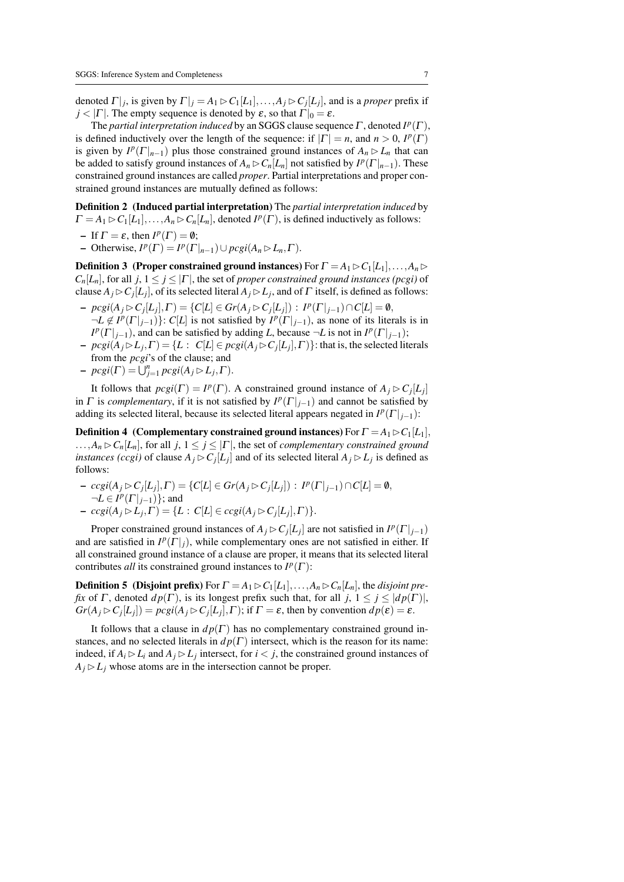denoted  $\Gamma|_j$ , is given by  $\Gamma|_j = A_1 \triangleright C_1[L_1], \ldots, A_j \triangleright C_j[L_j]$ , and is a *proper* prefix if  $j < |\Gamma|$ . The empty sequence is denoted by  $\varepsilon$ , so that  $\Gamma|_0 = \varepsilon$ .

The *partial interpretation induced* by an SGGS clause sequence  $\Gamma$ , denoted  $I^p(\Gamma)$ , is defined inductively over the length of the sequence: if  $|\Gamma| = n$ , and  $n > 0$ ,  $I^p(\Gamma)$ is given by  $I^p(\Gamma|_{n-1})$  plus those constrained ground instances of  $A_n \triangleright L_n$  that can be added to satisfy ground instances of  $A_n \triangleright C_n[L_n]$  not satisfied by  $I^p(\Gamma|_{n-1})$ . These constrained ground instances are called *proper*. Partial interpretations and proper constrained ground instances are mutually defined as follows:

Definition 2 (Induced partial interpretation) The *partial interpretation induced* by  $\Gamma = A_1 \triangleright C_1[L_1], \ldots, A_n \triangleright C_n[L_n]$ , denoted  $I^p(\Gamma)$ , is defined inductively as follows:

– If  $\Gamma = \varepsilon$ , then  $I^p(\Gamma) = \emptyset$ ;

 $-P$  Otherwise,  $I^p(\Gamma) = I^p(\Gamma|_{n-1}) \cup pcgi(A_n \triangleright L_n, \Gamma)$ .

**Definition 3** (Proper constrained ground instances) For  $\Gamma = A_1 \triangleright C_1[L_1], \ldots, A_n \triangleright$  $C_n[L_n]$ , for all  $j, 1 \leq j \leq |\Gamma|$ , the set of *proper constrained ground instances (pcgi)* of clause  $A_j \triangleright C_j[L_j]$ , of its selected literal  $A_j \triangleright L_j$ , and of  $\Gamma$  itself, is defined as follows:

- $p c g i(A_j \triangleright C_j[L_j], \Gamma) = \{C[L] \in Gr(A_j \triangleright C_j[L_j]) : I^p(\Gamma|_{j-1}) \cap C[L] = \emptyset,$  $\neg L \notin I^p(\Gamma|_{j-1})$ :  $C[L]$  is not satisfied by  $I^p(\Gamma|_{j-1})$ , as none of its literals is in  $I^p(\Gamma|_{j-1})$ , and can be satisfied by adding *L*, because  $\neg L$  is not in  $I^p(\Gamma|_{j-1})$ ;
- $p c g i (A_j \triangleright L_j, \Gamma) = \{ L : C[L] \in p c g i (A_j \triangleright C_j [L_j], \Gamma) \}$ : that is, the selected literals from the *pcgi*'s of the clause; and
- $p cgi(\Gamma) = \bigcup_{j=1}^n p cgi(A_j \triangleright L_j, \Gamma).$

It follows that  $\text{pcgi}(\Gamma) = I^p(\Gamma)$ . A constrained ground instance of  $A_j \triangleright C_j[L_j]$ in  $\Gamma$  is *complementary*, if it is not satisfied by  $I^p(\Gamma|_{j-1})$  and cannot be satisfied by adding its selected literal, because its selected literal appears negated in  $I^p(\Gamma|_{j-1})$ :

**Definition 4** (Complementary constrained ground instances) For  $\Gamma = A_1 \triangleright C_1[L_1]$ ,  $\ldots$ , $A_n \triangleright C_n[L_n]$ , for all  $j, 1 \leq j \leq |\Gamma|$ , the set of *complementary constrained ground instances (ccgi)* of clause  $A_j \triangleright C_j[L_j]$  and of its selected literal  $A_j \triangleright L_j$  is defined as follows:

- $ccgi(A_j ⊵ C_j[L_j], Γ) = {C[L] ∈ Gr(A_j ⊵ C_j[L_j]) : I<sup>p</sup>(Γ|<sub>j-1</sub>) ∩ C[L] = ∅,$  $\neg L \in I^p(\Gamma|_{j-1})\};$  and
- $ccgi(A_j \triangleright L_j, \Gamma) = \{L : C[L] \in ccgi(A_j \triangleright C_j[L_j], \Gamma)\}.$

Proper constrained ground instances of  $A_j \triangleright C_j[L_j]$  are not satisfied in  $I^p(\Gamma|_{j-1})$ and are satisfied in  $I^p(\Gamma|_j)$ , while complementary ones are not satisfied in either. If all constrained ground instance of a clause are proper, it means that its selected literal contributes *all* its constrained ground instances to  $I^p(\Gamma)$ :

**Definition 5** (Disjoint prefix) For  $\Gamma = A_1 \triangleright C_1[L_1], \ldots, A_n \triangleright C_n[L_n]$ , the *disjoint prefix* of  $\Gamma$ , denoted  $dp(\Gamma)$ , is its longest prefix such that, for all  $j, 1 \leq j \leq \vert dp(\Gamma) \vert$ ,  $Gr(A_j \triangleright C_j[L_j]) = pcgi(A_j \triangleright C_j[L_j], \Gamma)$ ; if  $\Gamma = \varepsilon$ , then by convention  $dp(\varepsilon) = \varepsilon$ .

It follows that a clause in  $dp(\Gamma)$  has no complementary constrained ground instances, and no selected literals in  $dp(\Gamma)$  intersect, which is the reason for its name: indeed, if  $A_i \triangleright L_i$  and  $A_j \triangleright L_j$  intersect, for  $i < j$ , the constrained ground instances of  $A_j \triangleright L_j$  whose atoms are in the intersection cannot be proper.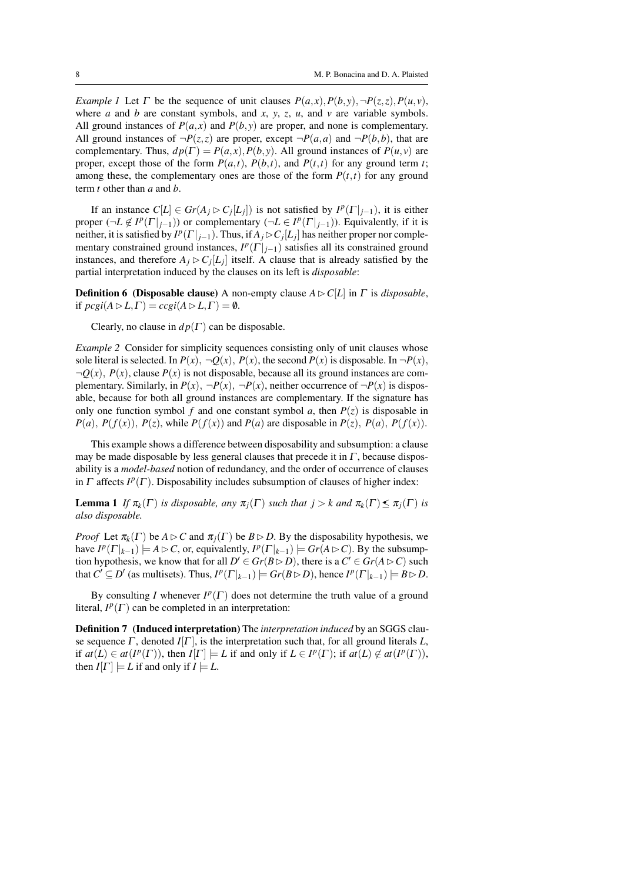*Example 1* Let  $\Gamma$  be the sequence of unit clauses  $P(a,x), P(b,y), \neg P(z,z), P(u,v)$ , where *a* and *b* are constant symbols, and *x*, *y*, *z*, *u*, and *v* are variable symbols. All ground instances of  $P(a, x)$  and  $P(b, y)$  are proper, and none is complementary. All ground instances of  $\neg P(z, z)$  are proper, except  $\neg P(a, a)$  and  $\neg P(b, b)$ , that are complementary. Thus,  $dp(\Gamma) = P(a, x), P(b, y)$ . All ground instances of  $P(u, v)$  are proper, except those of the form  $P(a,t)$ ,  $P(b,t)$ , and  $P(t,t)$  for any ground term *t*; among these, the complementary ones are those of the form  $P(t,t)$  for any ground term *t* other than *a* and *b*.

If an instance  $C[L] \in Gr(A_j \triangleright C_j[L_j])$  is not satisfied by  $I^p(\Gamma|_{j-1})$ , it is either proper  $(\neg L \notin I^p(\Gamma|_{j-1}))$  or complementary  $(\neg L \in I^p(\Gamma|_{j-1}))$ . Equivalently, if it is neither, it is satisfied by  $I^p(\Gamma|_{j-1})$ . Thus, if  $A_j \triangleright C_j[L_j]$  has neither proper nor complementary constrained ground instances,  $I^p(\Gamma|_{j-1})$  satisfies all its constrained ground instances, and therefore  $A_j \triangleright C_j[L_j]$  itself. A clause that is already satisfied by the partial interpretation induced by the clauses on its left is *disposable*:

**Definition 6 (Disposable clause)** A non-empty clause  $A \triangleright C[L]$  in  $\Gamma$  is *disposable*, if  $\text{pcgi}(A \triangleright L, \Gamma) = \text{ccgi}(A \triangleright L, \Gamma) = \emptyset.$ 

Clearly, no clause in  $dp(\Gamma)$  can be disposable.

*Example 2* Consider for simplicity sequences consisting only of unit clauses whose sole literal is selected. In  $P(x)$ ,  $\neg Q(x)$ ,  $P(x)$ , the second  $P(x)$  is disposable. In  $\neg P(x)$ ,  $\neg Q(x)$ ,  $P(x)$ , clause  $P(x)$  is not disposable, because all its ground instances are complementary. Similarly, in  $P(x)$ ,  $\neg P(x)$ ,  $\neg P(x)$ , neither occurrence of  $\neg P(x)$  is disposable, because for both all ground instances are complementary. If the signature has only one function symbol *f* and one constant symbol *a*, then  $P(z)$  is disposable in *P*(*a*), *P*(*f*(*x*)), *P*(*z*), while *P*(*f*(*x*)) and *P*(*a*) are disposable in *P*(*z*), *P*(*a*), *P*(*f*(*x*)).

This example shows a difference between disposability and subsumption: a clause may be made disposable by less general clauses that precede it in  $\Gamma$ , because disposability is a *model-based* notion of redundancy, and the order of occurrence of clauses in  $\Gamma$  affects  $I^p(\Gamma)$ . Disposability includes subsumption of clauses of higher index:

**Lemma 1** *If*  $\pi_k(\Gamma)$  *is disposable, any*  $\pi_j(\Gamma)$  *such that*  $j > k$  *and*  $\pi_k(\Gamma) \leq \pi_j(\Gamma)$  *is also disposable.*

*Proof* Let  $\pi_k(\Gamma)$  be  $A \triangleright C$  and  $\pi_i(\Gamma)$  be  $B \triangleright D$ . By the disposability hypothesis, we have  $I^p(\Gamma|_{k-1}) \models A \triangleright C$ , or, equivalently,  $I^p(\Gamma|_{k-1}) \models Gr(A \triangleright C)$ . By the subsumption hypothesis, we know that for all  $D' \in Gr(B \triangleright D)$ , there is a  $C' \in Gr(A \triangleright C)$  such that  $C' \subseteq D'$  (as multisets). Thus,  $I^p(\Gamma|_{k-1}) \models Gr(B \triangleright D)$ , hence  $I^p(\Gamma|_{k-1}) \models B \triangleright D$ .

By consulting *I* whenever  $I^p(\Gamma)$  does not determine the truth value of a ground literal,  $I^p(\Gamma)$  can be completed in an interpretation:

Definition 7 (Induced interpretation) The *interpretation induced* by an SGGS clause sequence  $\Gamma$ , denoted  $I[\Gamma]$ , is the interpretation such that, for all ground literals L, if  $at(L) \in at(P(\Gamma))$ , then  $I[\Gamma] \models L$  if and only if  $L \in I^p(\Gamma)$ ; if  $at(L) \notin at(P(\Gamma))$ , then  $I[\Gamma] \models L$  if and only if  $I \models L$ .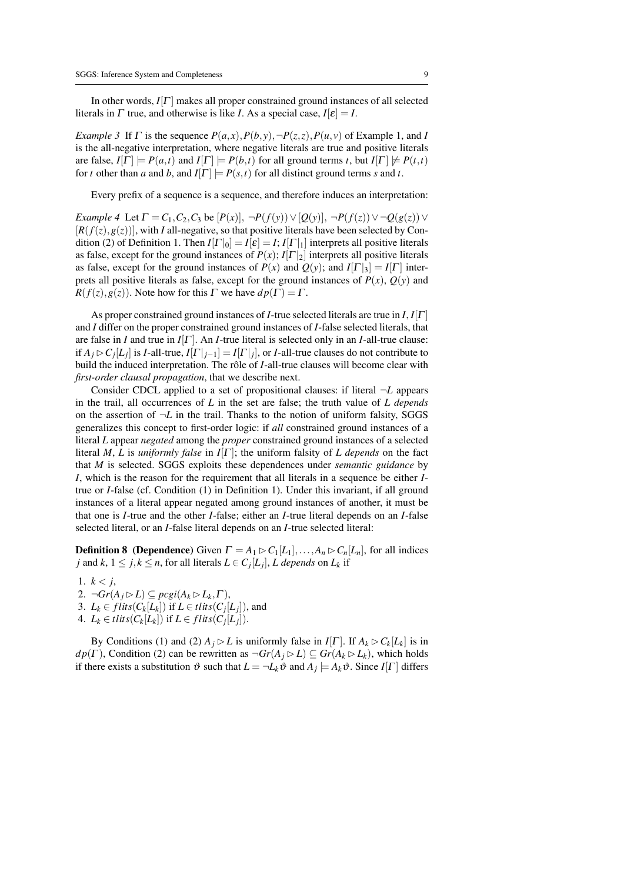In other words,  $I[\Gamma]$  makes all proper constrained ground instances of all selected literals in  $\Gamma$  true, and otherwise is like *I*. As a special case,  $I[\varepsilon] = I$ .

*Example 3* If  $\Gamma$  is the sequence  $P(a, x), P(b, y), \neg P(z, z), P(u, v)$  of Example 1, and *I* is the all-negative interpretation, where negative literals are true and positive literals are false,  $I[\Gamma] \models P(a,t)$  and  $I[\Gamma] \models P(b,t)$  for all ground terms *t*, but  $I[\Gamma] \not\models P(t,t)$ for *t* other than *a* and *b*, and  $I[\Gamma] \models P(s,t)$  for all distinct ground terms *s* and *t*.

Every prefix of a sequence is a sequence, and therefore induces an interpretation:

*Example 4* Let  $\Gamma = C_1, C_2, C_3$  be  $[P(x)]$ ,  $\neg P(f(y)) \vee [Q(y)]$ ,  $\neg P(f(z)) \vee \neg Q(g(z)) \vee$  $[R(f(z), g(z))]$ , with *I* all-negative, so that positive literals have been selected by Condition (2) of Definition 1. Then  $I[\Gamma]_0] = I[\varepsilon] = I; I[\Gamma]_1$  interprets all positive literals as false, except for the ground instances of  $P(x)$ ;  $I[\Gamma]_2$  interprets all positive literals as false, except for the ground instances of  $P(x)$  and  $Q(y)$ ; and  $I[\Gamma]_3] = I[\Gamma]$  interprets all positive literals as false, except for the ground instances of  $P(x)$ ,  $Q(y)$  and  $R(f(z), g(z))$ . Note how for this  $\Gamma$  we have  $dp(\Gamma) = \Gamma$ .

As proper constrained ground instances of *I*-true selected literals are true in *I*, *I*[Γ ] and *I* differ on the proper constrained ground instances of *I*-false selected literals, that are false in *I* and true in  $I[\Gamma]$ . An *I*-true literal is selected only in an *I*-all-true clause: if  $A_j \rhd C_j[L_j]$  is *I*-all-true,  $I[\Gamma|_{j-1}] = I[\Gamma|_j],$  or *I*-all-true clauses do not contribute to build the induced interpretation. The rôle of *I*-all-true clauses will become clear with *first-order clausal propagation*, that we describe next.

Consider CDCL applied to a set of propositional clauses: if literal ¬*L* appears in the trail, all occurrences of *L* in the set are false; the truth value of *L depends* on the assertion of  $\neg L$  in the trail. Thanks to the notion of uniform falsity, SGGS generalizes this concept to first-order logic: if *all* constrained ground instances of a literal *L* appear *negated* among the *proper* constrained ground instances of a selected literal *M*, *L* is *uniformly false* in *I*[ $\Gamma$ ]; the uniform falsity of *L* depends on the fact that *M* is selected. SGGS exploits these dependences under *semantic guidance* by *I*, which is the reason for the requirement that all literals in a sequence be either *I*true or *I*-false (cf. Condition (1) in Definition 1). Under this invariant, if all ground instances of a literal appear negated among ground instances of another, it must be that one is *I*-true and the other *I*-false; either an *I*-true literal depends on an *I*-false selected literal, or an *I*-false literal depends on an *I*-true selected literal:

**Definition 8** (Dependence) Given  $\Gamma = A_1 \triangleright C_1[L_1], \ldots, A_n \triangleright C_n[L_n]$ , for all indices *j* and *k*,  $1 \leq j, k \leq n$ , for all literals  $L \in C_j[L_j]$ , *L depends* on  $L_k$  if

- 1.  $k < j$ ,
- 2.  $\neg Gr(A_j \triangleright L) \subseteq \text{pcgi}(A_k \triangleright L_k, \Gamma),$
- 3.  $L_k \in \text{flits}(C_k[L_k]) \text{ if } L \in \text{flits}(C_j[L_j]), \text{ and}$
- 4.  $L_k \in \text{flits}(C_k[L_k]) \text{ if } L \in \text{flits}(C_j[L_j]).$

By Conditions (1) and (2)  $A_j \triangleright L$  is uniformly false in  $I[\Gamma]$ . If  $A_k \triangleright C_k[L_k]$  is in  $dp(\Gamma)$ , Condition (2) can be rewritten as  $\neg Gr(A_i \triangleright L) \subseteq Gr(A_k \triangleright L_k)$ , which holds if there exists a substitution  $\vartheta$  such that  $L = \neg L_k \vartheta$  and  $A_j \models A_k \vartheta$ . Since  $I[\Gamma]$  differs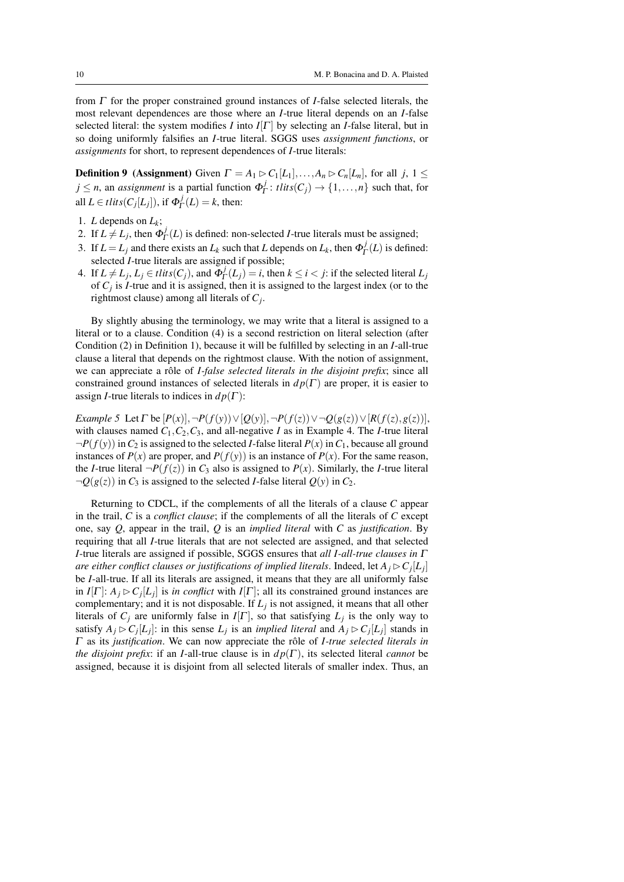from Γ for the proper constrained ground instances of *I*-false selected literals, the most relevant dependences are those where an *I*-true literal depends on an *I*-false selected literal: the system modifies *I* into  $I[\Gamma]$  by selecting an *I*-false literal, but in so doing uniformly falsifies an *I*-true literal. SGGS uses *assignment functions*, or *assignments* for short, to represent dependences of *I*-true literals:

**Definition 9** (Assignment) Given  $\Gamma = A_1 \triangleright C_1[L_1], \ldots, A_n \triangleright C_n[L_n]$ , for all *j*,  $1 \leq$  $j \leq n$ , an *assignment* is a partial function  $\Phi_I^j$  $T_{\Gamma}$ : *tlits*( $C_j$ )  $\rightarrow$  {1,...,*n*} such that, for all  $L \in \text{tlits}(C_j[L_j]),$  if  $\Phi^j_{\Gamma}$  $P_{\Gamma}^{J}(L) = k$ , then:

- 1. *L* depends on  $L_k$ ;
- 2. If  $L \neq L_j$ , then  $\Phi_I^j$  $\int_{\Gamma}^{J}(L)$  is defined: non-selected *I*-true literals must be assigned;
- 3. If  $L = L_j$  and there exists an  $L_k$  such that  $L$  depends on  $L_k$ , then  $\Phi_I^j$  $P_{\Gamma}^{J}(L)$  is defined: selected *I*-true literals are assigned if possible;
- 4. If  $L \neq L_j$ ,  $L_j \in \text{flits}(C_j)$ , and  $\Phi_I^j$  $D_T^J(L_j) = i$ , then  $k \le i < j$ : if the selected literal  $L_j$ of  $C_j$  is *I*-true and it is assigned, then it is assigned to the largest index (or to the rightmost clause) among all literals of *C<sup>j</sup>* .

By slightly abusing the terminology, we may write that a literal is assigned to a literal or to a clause. Condition (4) is a second restriction on literal selection (after Condition (2) in Definition 1), because it will be fulfilled by selecting in an *I*-all-true clause a literal that depends on the rightmost clause. With the notion of assignment, we can appreciate a rôle of *I-false selected literals in the disjoint prefix*; since all constrained ground instances of selected literals in  $dp(\Gamma)$  are proper, it is easier to assign *I*-true literals to indices in  $dp(\Gamma)$ :

*Example 5* Let  $\Gamma$  be  $[P(x)]$ ,  $\neg P(f(y)) \vee [Q(y)]$ ,  $\neg P(f(z)) \vee \neg Q(g(z)) \vee [R(f(z), g(z))]$ , with clauses named  $C_1, C_2, C_3$ , and all-negative *I* as in Example 4. The *I*-true literal  $\neg P(f(y))$  in  $C_2$  is assigned to the selected *I*-false literal  $P(x)$  in  $C_1$ , because all ground instances of  $P(x)$  are proper, and  $P(f(y))$  is an instance of  $P(x)$ . For the same reason, the *I*-true literal  $\neg P(f(z))$  in *C*<sub>3</sub> also is assigned to *P*(*x*). Similarly, the *I*-true literal  $\neg Q(g(z))$  in  $C_3$  is assigned to the selected *I*-false literal  $Q(y)$  in  $C_2$ .

Returning to CDCL, if the complements of all the literals of a clause *C* appear in the trail, *C* is a *conflict clause*; if the complements of all the literals of *C* except one, say *Q*, appear in the trail, *Q* is an *implied literal* with *C* as *justification*. By requiring that all *I*-true literals that are not selected are assigned, and that selected *I*-true literals are assigned if possible, SGGS ensures that *all I-all-true clauses in* Γ *are either conflict clauses or justifications of implied literals. Indeed, let*  $A_j \triangleright C_j[L_j]$ be *I*-all-true. If all its literals are assigned, it means that they are all uniformly false in *I*[Γ]:  $A_j \triangleright C_j[L_j]$  is *in conflict* with *I*[Γ]; all its constrained ground instances are complementary; and it is not disposable. If *L<sup>j</sup>* is not assigned, it means that all other literals of  $C_j$  are uniformly false in  $I[\Gamma]$ , so that satisfying  $L_j$  is the only way to satisfy  $A_j \triangleright C_j[L_j]$ : in this sense  $L_j$  is an *implied literal* and  $A_j \triangleright C_j[L_j]$  stands in Γ as its *justification*. We can now appreciate the rôle of *I-true selected literals in the disjoint prefix*: if an *I*-all-true clause is in  $dp(\Gamma)$ , its selected literal *cannot* be assigned, because it is disjoint from all selected literals of smaller index. Thus, an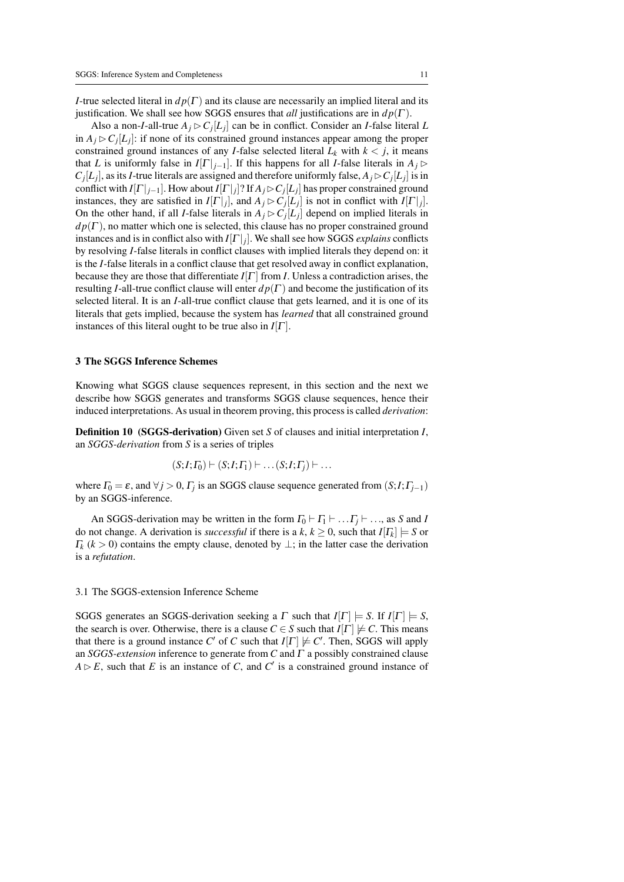*I*-true selected literal in  $dp(\Gamma)$  and its clause are necessarily an implied literal and its justification. We shall see how SGGS ensures that *all* justifications are in  $dp(\Gamma)$ .

Also a non-*I*-all-true  $A_j \triangleright C_j[L_j]$  can be in conflict. Consider an *I*-false literal *L* in  $A_j \triangleright C_j[L_j]$ : if none of its constrained ground instances appear among the proper constrained ground instances of any *I*-false selected literal  $L_k$  with  $k < j$ , it means that *L* is uniformly false in  $I[\Gamma]_{i-1}$ . If this happens for all *I*-false literals in  $A_i \triangleright$  $C_j[L_j]$ , as its *I*-true literals are assigned and therefore uniformly false,  $A_j \triangleright C_j[L_j]$  is in conflict with  $I[\Gamma|_{j-1}]$ . How about  $I[\Gamma|_j]$ ? If  $A_j \rhd C_j[L_j]$  has proper constrained ground instances, they are satisfied in  $I[\Gamma|_j]$ , and  $A_j \triangleright C_j[L_j]$  is not in conflict with  $I[\Gamma|_j]$ . On the other hand, if all *I*-false literals in  $A_j \triangleright C_j[L_j]$  depend on implied literals in  $d p(\Gamma)$ , no matter which one is selected, this clause has no proper constrained ground instances and is in conflict also with  $I[\Gamma]_j$ . We shall see how SGGS *explains* conflicts by resolving *I*-false literals in conflict clauses with implied literals they depend on: it is the *I*-false literals in a conflict clause that get resolved away in conflict explanation, because they are those that differentiate  $I[\Gamma]$  from *I*. Unless a contradiction arises, the resulting *I*-all-true conflict clause will enter  $dp(\Gamma)$  and become the justification of its selected literal. It is an *I*-all-true conflict clause that gets learned, and it is one of its literals that gets implied, because the system has *learned* that all constrained ground instances of this literal ought to be true also in  $I[\Gamma]$ .

## 3 The SGGS Inference Schemes

Knowing what SGGS clause sequences represent, in this section and the next we describe how SGGS generates and transforms SGGS clause sequences, hence their induced interpretations. As usual in theorem proving, this process is called *derivation*:

Definition 10 (SGGS-derivation) Given set *S* of clauses and initial interpretation *I*, an *SGGS-derivation* from *S* is a series of triples

$$
(S;I; \Gamma_0) \vdash (S;I; \Gamma_1) \vdash \dots (S;I; \Gamma_j) \vdash \dots
$$

where  $\Gamma_0 = \varepsilon$ , and  $\forall j > 0$ ,  $\Gamma_j$  is an SGGS clause sequence generated from  $(S; I; \Gamma_{j-1})$ by an SGGS-inference.

An SGGS-derivation may be written in the form  $\Gamma_0 \vdash \Gamma_1 \vdash \dots \Gamma_i \vdash \dots$ , as *S* and *I* do not change. A derivation is *successful* if there is a  $k, k \ge 0$ , such that  $I[I_k] \models S$  or  $\Gamma_k$  ( $k > 0$ ) contains the empty clause, denoted by  $\perp$ ; in the latter case the derivation is a *refutation*.

# 3.1 The SGGS-extension Inference Scheme

SGGS generates an SGGS-derivation seeking a  $\Gamma$  such that  $I[\Gamma] \models S$ . If  $I[\Gamma] \models S$ , the search is over. Otherwise, there is a clause  $C \in S$  such that  $I[\Gamma] \not\models C$ . This means that there is a ground instance *C*<sup>'</sup> of *C* such that  $I[\Gamma] \not\models C'$ . Then, SGGS will apply an *SGGS-extension* inference to generate from *C* and Γ a possibly constrained clause  $A \triangleright E$ , such that *E* is an instance of *C*, and *C*<sup> $\prime$ </sup> is a constrained ground instance of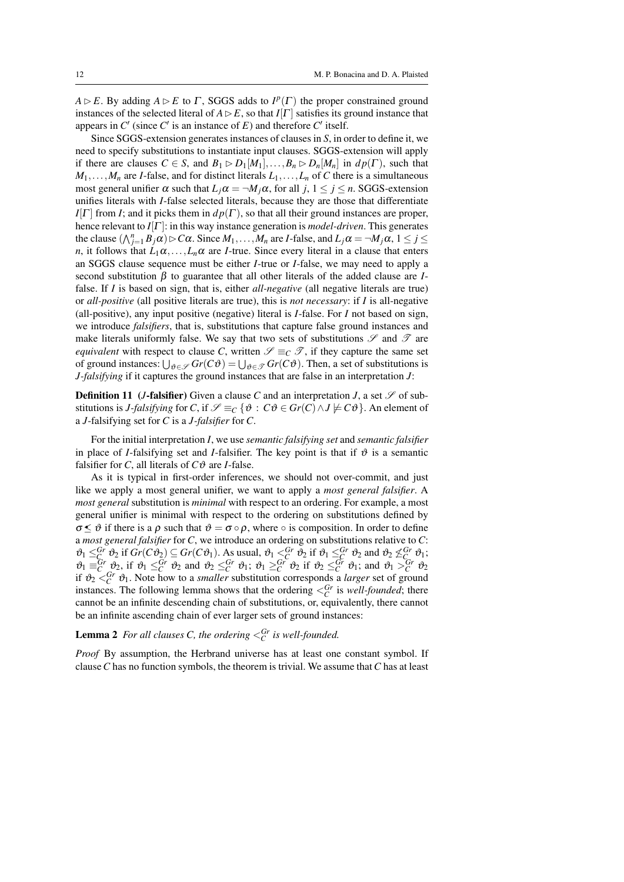$A \triangleright E$ . By adding  $A \triangleright E$  to  $\Gamma$ , SGGS adds to  $I^p(\Gamma)$  the proper constrained ground instances of the selected literal of  $A \triangleright E$ , so that  $I[\Gamma]$  satisfies its ground instance that appears in  $C'$  (since  $C'$  is an instance of  $E$ ) and therefore  $C'$  itself.

Since SGGS-extension generates instances of clauses in *S*, in order to define it, we need to specify substitutions to instantiate input clauses. SGGS-extension will apply if there are clauses  $C \in S$ , and  $B_1 \triangleright D_1[M_1], \ldots, B_n \triangleright D_n[M_n]$  in  $dp(\Gamma)$ , such that  $M_1, \ldots, M_n$  are *I*-false, and for distinct literals  $L_1, \ldots, L_n$  of *C* there is a simultaneous most general unifier  $\alpha$  such that  $L_i\alpha = \neg M_i\alpha$ , for all  $j, 1 \le j \le n$ . SGGS-extension unifies literals with *I*-false selected literals, because they are those that differentiate  $I[\Gamma]$  from *I*; and it picks them in  $d p(\Gamma)$ , so that all their ground instances are proper, hence relevant to *I*[Γ ]: in this way instance generation is *model-driven*. This generates the clause  $(\bigwedge_{j=1}^{n} B_j \alpha) \triangleright C\alpha$ . Since  $M_1, \ldots, M_n$  are *I*-false, and  $L_j \alpha = \neg M_j \alpha$ ,  $1 \le j \le n$ *n*, it follows that  $L_1 \alpha, \ldots, L_n \alpha$  are *I*-true. Since every literal in a clause that enters an SGGS clause sequence must be either *I*-true or *I*-false, we may need to apply a second substitution β to guarantee that all other literals of the added clause are *I*false. If *I* is based on sign, that is, either *all-negative* (all negative literals are true) or *all-positive* (all positive literals are true), this is *not necessary*: if *I* is all-negative (all-positive), any input positive (negative) literal is *I*-false. For *I* not based on sign, we introduce *falsifiers*, that is, substitutions that capture false ground instances and make literals uniformly false. We say that two sets of substitutions  $\mathscr S$  and  $\mathscr T$  are *equivalent* with respect to clause *C*, written  $\mathscr{S} \equiv_C \mathscr{T}$ , if they capture the same set of ground instances:  $\bigcup_{\vartheta \in \mathscr{S}} Gr(C\vartheta) = \bigcup_{\vartheta \in \mathscr{T}} Gr(C\vartheta)$ . Then, a set of substitutions is *J-falsifying* if it captures the ground instances that are false in an interpretation *J*:

**Definition 11** (*J*-falsifier) Given a clause C and an interpretation *J*, a set  $\mathscr S$  of substitutions is *J-falsifying* for *C*, if  $\mathcal{S} \equiv_C {\phi : C \phi \in Gr(C) \wedge J \not\models C \vartheta}$ . An element of a *J*-falsifying set for *C* is a *J-falsifier* for *C*.

For the initial interpretation *I*, we use *semantic falsifying set* and *semantic falsifier* in place of *I*-falsifying set and *I*-falsifier. The key point is that if  $\vartheta$  is a semantic falsifier for *C*, all literals of  $C\vartheta$  are *I*-false.

As it is typical in first-order inferences, we should not over-commit, and just like we apply a most general unifier, we want to apply a *most general falsifier*. A *most general* substitution is *minimal* with respect to an ordering. For example, a most general unifier is minimal with respect to the ordering on substitutions defined by  $\sigma \leq \vartheta$  if there is a  $\rho$  such that  $\vartheta = \sigma \circ \rho$ , where  $\circ$  is composition. In order to define a *most general falsifier* for *C*, we introduce an ordering on substitutions relative to *C*:  $\vartheta_1 \leq_C^{Gr} \vartheta_2$  if  $Gr(C\vartheta_2) \subseteq Gr(C\vartheta_1)$ . As usual,  $\vartheta_1 \leq_C^{Gr} \vartheta_2$  if  $\vartheta_1 \leq_C^{Gr} \vartheta_2$  and  $\vartheta_2 \not\leq_C^{Gr} \vartheta_1$ ;  $\mathcal{O}_1 \equiv_C^{Gr} \mathcal{O}_2$ , if  $\mathcal{O}_1 \leq_C^{Gr} \mathcal{O}_2$  and  $\mathcal{O}_2 \leq_C^{Gr} \mathcal{O}_1$ ;  $\mathcal{O}_1 \geq_C^{Gr} \mathcal{O}_2$  if  $\mathcal{O}_2 \leq_C^{Gr} \mathcal{O}_1$ ; and  $\mathcal{O}_1 \geq_C^{Gr} \mathcal{O}_2$ if  $\vartheta_2 \leq_C^{Gr} \vartheta_1$ . Note how to a *smaller* substitution corresponds a *larger* set of ground instances. The following lemma shows that the ordering  $\langle C \rangle^{Gr}$  is *well-founded*; there cannot be an infinite descending chain of substitutions, or, equivalently, there cannot be an infinite ascending chain of ever larger sets of ground instances:

# **Lemma 2** For all clauses C, the ordering  $\leq_C^{Gr}$  is well-founded.

*Proof* By assumption, the Herbrand universe has at least one constant symbol. If clause*C* has no function symbols, the theorem is trivial. We assume that*C* has at least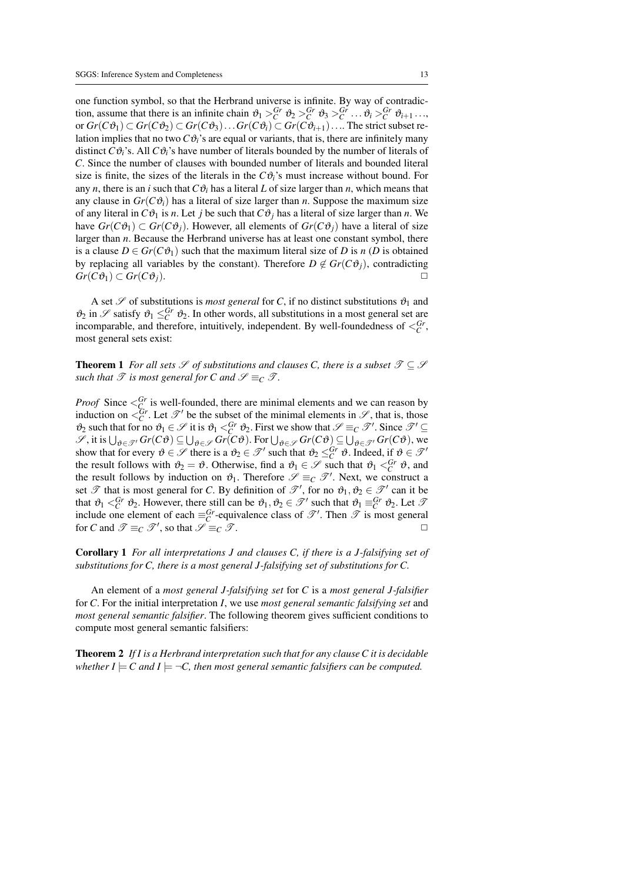one function symbol, so that the Herbrand universe is infinite. By way of contradiction, assume that there is an infinite chain  $\vartheta_1 >^{\text{Gr}}_{C} \vartheta_2 >^{\text{Gr}}_{C} \vartheta_3 >^{\text{Gr}}_{C} \dots \vartheta_i >^{\text{Gr}}_{C} \vartheta_{i+1} \dots$ or  $Gr(C\vartheta_1)$  ⊂  $Gr(C\vartheta_2)$  ⊂  $Gr(C\vartheta_3)$ ...  $Gr(C\vartheta_i)$  ⊂  $Gr(C\vartheta_{i+1})$ .... The strict subset relation implies that no two  $C\vartheta_i$ 's are equal or variants, that is, there are infinitely many distinct  $C\vartheta_i$ 's. All  $C\vartheta_i$ 's have number of literals bounded by the number of literals of *C*. Since the number of clauses with bounded number of literals and bounded literal size is finite, the sizes of the literals in the  $C\vartheta$ <sup>2</sup> is must increase without bound. For any *n*, there is an *i* such that  $C\vartheta_i$  has a literal *L* of size larger than *n*, which means that any clause in  $Gr(C\vartheta_i)$  has a literal of size larger than *n*. Suppose the maximum size of any literal in  $C\vartheta_1$  is *n*. Let *j* be such that  $C\vartheta_j$  has a literal of size larger than *n*. We have  $Gr(C\vartheta_1) \subset Gr(C\vartheta_i)$ . However, all elements of  $Gr(C\vartheta_i)$  have a literal of size larger than *n*. Because the Herbrand universe has at least one constant symbol, there is a clause  $D \in Gr(C\vartheta_1)$  such that the maximum literal size of *D* is *n* (*D* is obtained by replacing all variables by the constant). Therefore  $D \notin Gr(C\vartheta_i)$ , contradicting  $Gr(C\vartheta_1) \subset Gr(C\vartheta_i).$ 

A set  $\mathscr S$  of substitutions is *most general* for *C*, if no distinct substitutions  $\vartheta_1$  and  $\vartheta_2$  in  $\mathscr S$  satisfy  $\vartheta_1 \leq_C^{Gr} \vartheta_2$ . In other words, all substitutions in a most general set are incomparable, and therefore, intuitively, independent. By well-foundedness of  $\langle C^r \rangle$ most general sets exist:

**Theorem 1** *For all sets*  $S$  *of substitutions and clauses C, there is a subset*  $S \subseteq S$ *such that*  $\mathcal{T}$  *is most general for C* and  $\mathcal{S} \equiv_C \mathcal{T}$ *.* 

*Proof* Since  $\leq_C^{Gr}$  is well-founded, there are minimal elements and we can reason by induction on  $\leq_C^{Gr}$ . Let  $\mathscr{T}'$  be the subset of the minimal elements in  $\mathscr{S}$ , that is, those  $\vartheta_2$  such that for no  $\vartheta_1 \in \mathcal{S}$  it is  $\vartheta_1 <^{\check{Gr}}_{\check{C}} \vartheta_2$ . First we show that  $\mathcal{S} \equiv_C \mathcal{T}'$ . Since  $\mathcal{T}' \subseteq$  $\mathscr{S}$ , it is  $\bigcup_{\vartheta \in \mathscr{T}'} Gr(C\vartheta) \subseteq \bigcup_{\vartheta \in \mathscr{S}} Gr(C\vartheta)$ . For  $\bigcup_{\vartheta \in \mathscr{T}} Gr(C\vartheta) \subseteq \bigcup_{\vartheta \in \mathscr{T}'} Gr(C\vartheta)$ , we show that for every  $\vartheta \in \mathscr{S}$  there is a  $\vartheta_2 \in \mathscr{T}'$  such that  $\vartheta_2 \leq_C^{Gr} \vartheta$ . Indeed, if  $\vartheta \in \mathscr{T}'$ the result follows with  $\vartheta_2 = \vartheta$ . Otherwise, find a  $\vartheta_1 \in \mathcal{S}$  such that  $\vartheta_1 <^{\text{Gr}}_{\text{C}} \vartheta$ , and the result follows by induction on  $\vartheta_1$ . Therefore  $\mathscr{S} \equiv_C \mathscr{T}'$ . Next, we construct a set  $\mathscr T$  that is most general for *C*. By definition of  $\mathscr T'$ , for no  $\mathfrak{v}_1, \mathfrak{v}_2 \in \mathscr T'$  can it be that  $\vartheta_1 <sup>Gr</sup><sub>C</sub> \vartheta_2$ . However, there still can be  $\vartheta_1, \vartheta_2 \in \mathcal{T}'$  such that  $\vartheta_1 \equiv^{Gr} C \vartheta_2$ . Let  $\mathcal{I}'$ include one element of each  $\equiv_C^{Gr}$ -equivalence class of  $\mathcal{T}'$ . Then  $\mathcal{T}$  is most general for *C* and  $\mathscr{T} \equiv_C \mathscr{T}'$ , so that  $\mathscr{S} \equiv_C \mathscr{T}$ .

Corollary 1 *For all interpretations J and clauses C, if there is a J-falsifying set of substitutions for C, there is a most general J-falsifying set of substitutions for C.*

An element of a *most general J-falsifying set* for *C* is a *most general J-falsifier* for *C*. For the initial interpretation *I*, we use *most general semantic falsifying set* and *most general semantic falsifier*. The following theorem gives sufficient conditions to compute most general semantic falsifiers:

Theorem 2 *If I is a Herbrand interpretation such that for any clause C it is decidable whether I*  $\models$  *C* and *I*  $\models \neg C$ , then most general semantic falsifiers can be computed.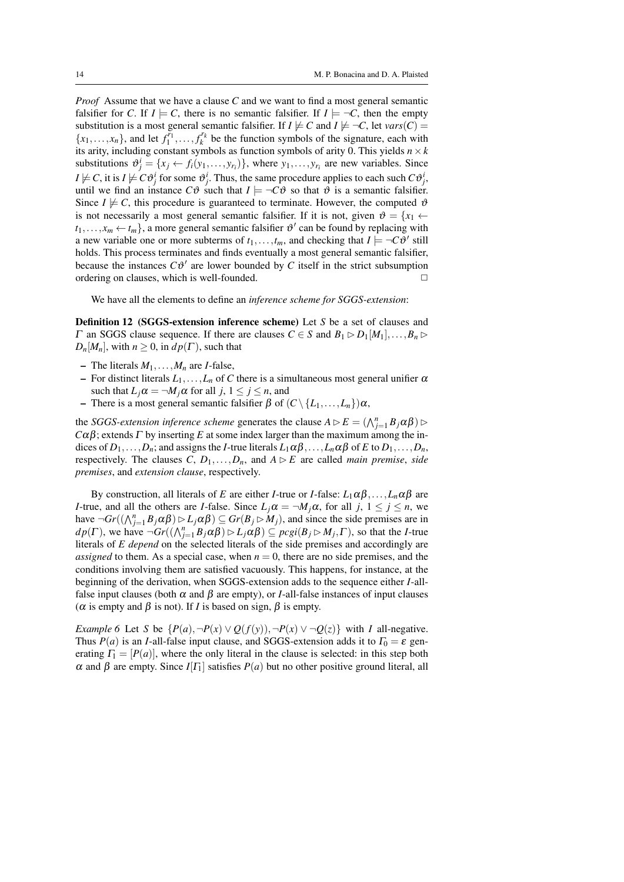*Proof* Assume that we have a clause *C* and we want to find a most general semantic falsifier for *C*. If  $I \models C$ , there is no semantic falsifier. If  $I \models \neg C$ , then the empty substitution is a most general semantic falsifier. If  $I \not\models C$  and  $I \not\models \neg C$ , let  $vars(C)$  =  ${x_1, \ldots, x_n}$ , and let  $f_1^{r_1}, \ldots, f_k^{r_k}$  be the function symbols of the signature, each with its arity, including constant symbols as function symbols of arity 0. This yields  $n \times k$ substitutions  $\vartheta_j^i = \{x_j \leftarrow f_i(y_1, \ldots, y_{r_i})\}$ , where  $y_1, \ldots, y_{r_i}$  are new variables. Since  $I \not\models C$ , it is  $I \not\models C\vartheta^i_j$  for some  $\vartheta^i_j$ . Thus, the same procedure applies to each such  $C\vartheta^i_j$ , until we find an instance  $C\vartheta$  such that  $I \models \neg C\vartheta$  so that  $\vartheta$  is a semantic falsifier. Since  $I \not\models C$ , this procedure is guaranteed to terminate. However, the computed  $\vartheta$ is not necessarily a most general semantic falsifier. If it is not, given  $\vartheta = \{x_1 \leftarrow$  $t_1, \ldots, x_m \leftarrow t_m$ , a more general semantic falsifier  $\vartheta'$  can be found by replacing with a new variable one or more subterms of  $t_1, \ldots, t_m$ , and checking that  $I \models \neg C\vartheta'$  still holds. This process terminates and finds eventually a most general semantic falsifier, because the instances  $C\vartheta'$  are lower bounded by  $C$  itself in the strict subsumption ordering on clauses, which is well-founded.  $\Box$ 

We have all the elements to define an *inference scheme for SGGS-extension*:

Definition 12 (SGGS-extension inference scheme) Let *S* be a set of clauses and  $\Gamma$  an SGGS clause sequence. If there are clauses  $C \in S$  and  $B_1 \triangleright D_1[M_1], \ldots, B_n \triangleright D_n[M_n]$  $D_n[M_n]$ , with  $n \geq 0$ , in  $dp(\Gamma)$ , such that

- The literals  $M_1, \ldots, M_n$  are *I*-false,
- For distinct literals  $L_1, \ldots, L_n$  of *C* there is a simultaneous most general unifier  $\alpha$ such that  $L_j \alpha = \neg M_j \alpha$  for all  $j, 1 \le j \le n$ , and
- There is a most general semantic falsifier β of (*C*\ {*L*1,...,*Ln*})α,

the *SGGS-extension inference scheme* generates the clause  $A \triangleright E = (\bigwedge_{j=1}^{n} B_j \alpha \beta) \triangleright$ *Cαβ*; extends *Γ* by inserting *E* at some index larger than the maximum among the indices of  $D_1, \ldots, D_n$ ; and assigns the *I*-true literals  $L_1 \alpha \beta, \ldots, L_n \alpha \beta$  of *E* to  $D_1, \ldots, D_n$ , respectively. The clauses  $C, D_1, \ldots, D_n$ , and  $A \triangleright E$  are called *main premise*, *side premises*, and *extension clause*, respectively.

By construction, all literals of *E* are either *I*-true or *I*-false:  $L_1 \alpha \beta$ ,..., $L_n \alpha \beta$  are *I*-true, and all the others are *I*-false. Since  $L_j \alpha = \neg M_j \alpha$ , for all  $j, 1 \le j \le n$ , we have  $\neg Gr((\bigwedge_{j=1}^{n} B_j \alpha \beta) \triangleright L_j \alpha \beta) \subseteq Gr(B_j \triangleright M_j)$ , and since the side premises are in  $dp(\Gamma)$ , we have  $\neg Gr((\bigwedge_{j=1}^{n} B_j \alpha \beta) \rhd L_j \alpha \beta) \subseteq pcgi(B_j \rhd M_j, \Gamma)$ , so that the *I*-true literals of *E depend* on the selected literals of the side premises and accordingly are *assigned* to them. As a special case, when  $n = 0$ , there are no side premises, and the conditions involving them are satisfied vacuously. This happens, for instance, at the beginning of the derivation, when SGGS-extension adds to the sequence either *I*-allfalse input clauses (both  $\alpha$  and  $\beta$  are empty), or *I*-all-false instances of input clauses ( $\alpha$  is empty and  $\beta$  is not). If *I* is based on sign,  $\beta$  is empty.

*Example 6* Let *S* be  $\{P(a), \neg P(x) \lor Q(f(y)), \neg P(x) \lor \neg Q(z)\}$  with *I* all-negative. Thus *P*(*a*) is an *I*-all-false input clause, and SGGS-extension adds it to  $\Gamma_0 = \varepsilon$  generating  $\Gamma_1 = [P(a)]$ , where the only literal in the clause is selected: in this step both  $\alpha$  and  $\beta$  are empty. Since *I*[ $\Gamma_1$ ] satisfies *P*(*a*) but no other positive ground literal, all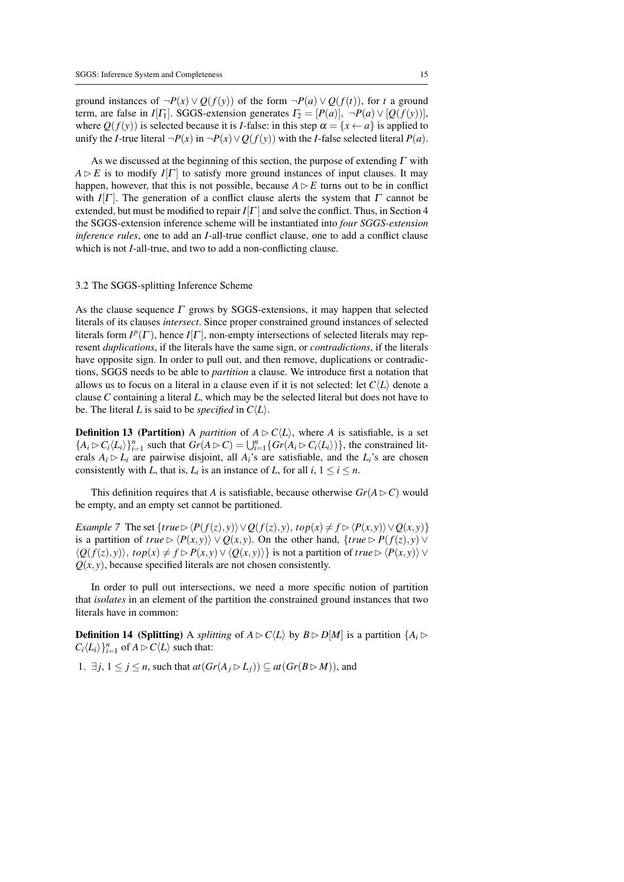ground instances of  $\neg P(x) \vee Q(f(y))$  of the form  $\neg P(a) \vee Q(f(t))$ , for *t* a ground term, are false in *I*[Γ<sub>1</sub>]. SGGS-extension generates  $\Gamma_2 = [P(a)], \neg P(a) \vee [Q(f(y))],$ where  $Q(f(y))$  is selected because it is *I*-false: in this step  $\alpha = \{x \leftarrow a\}$  is applied to unify the *I*-true literal  $\neg P(x)$  in  $\neg P(x) \vee Q(f(y))$  with the *I*-false selected literal  $P(a)$ .

As we discussed at the beginning of this section, the purpose of extending  $\Gamma$  with  $A \triangleright E$  is to modify  $I[\Gamma]$  to satisfy more ground instances of input clauses. It may happen, however, that this is not possible, because  $A \triangleright E$  turns out to be in conflict with  $I[\Gamma]$ . The generation of a conflict clause alerts the system that  $\Gamma$  cannot be extended, but must be modified to repair  $I[\Gamma]$  and solve the conflict. Thus, in Section 4 the SGGS-extension inference scheme will be instantiated into *four SGGS-extension inference rules*, one to add an *I*-all-true conflict clause, one to add a conflict clause which is not *I*-all-true, and two to add a non-conflicting clause.

# 3.2 The SGGS-splitting Inference Scheme

As the clause sequence  $\Gamma$  grows by SGGS-extensions, it may happen that selected literals of its clauses *intersect*. Since proper constrained ground instances of selected literals form  $I^p(\Gamma)$ , hence  $I[\Gamma]$ , non-empty intersections of selected literals may represent *duplications*, if the literals have the same sign, or *contradictions*, if the literals have opposite sign. In order to pull out, and then remove, duplications or contradictions, SGGS needs to be able to *partition* a clause. We introduce first a notation that allows us to focus on a literal in a clause even if it is not selected: let  $C(L)$  denote a clause *C* containing a literal *L*, which may be the selected literal but does not have to be. The literal *L* is said to be *specified* in  $C\langle L \rangle$ .

**Definition 13 (Partition)** A *partition* of  $A \triangleright C\langle L \rangle$ , where *A* is satisfiable, is a set  ${A_i \triangleright C_i \langle L_i \rangle}_{i=1}^n$  such that  $Gr(A \triangleright C) = \bigcup_{i=1}^n \{Gr(A_i \triangleright C_i \langle L_i \rangle)\}\)$ , the constrained literals  $A_i \triangleright L_i$  are pairwise disjoint, all  $A_i$ 's are satisfiable, and the  $L_i$ 's are chosen consistently with *L*, that is,  $L_i$  is an instance of *L*, for all  $i, 1 \le i \le n$ .

This definition requires that *A* is satisfiable, because otherwise  $Gr(A \triangleright C)$  would be empty, and an empty set cannot be partitioned.

*Example 7* The set  $\{true \rightarrow \langle P(f(z), y) \rangle \vee Q(f(z), y), top(x) \neq f \rightarrow \langle P(x, y) \rangle \vee Q(x, y)\}$ is a partition of *true*  $\triangleright$   $\langle P(x, y) \rangle \vee Q(x, y)$ . On the other hand, {*true*  $\triangleright P(f(z), y) \vee Q(x, y)$  $\langle Q(f(z), y) \rangle$ ,  $top(x) \neq f \triangleright P(x, y) \vee \langle Q(x, y) \rangle$  is not a partition of *true* ⊳  $\langle P(x, y) \rangle$  ∨  $Q(x, y)$ , because specified literals are not chosen consistently.

In order to pull out intersections, we need a more specific notion of partition that *isolates* in an element of the partition the constrained ground instances that two literals have in common:

**Definition 14** (Splitting) A *splitting* of  $A \triangleright C\langle L \rangle$  by  $B \triangleright D[M]$  is a partition  $\{A_i \triangleright A_j = A_j A_j\}$  $C_i \langle L_i \rangle \}_{i=1}^n$  of  $A \triangleright C \langle L \rangle$  such that:

1. ∃*j*,  $1 \le j \le n$ , such that  $at(Gr(A_j \triangleright L_j)) \subseteq at(Gr(B \triangleright M))$ , and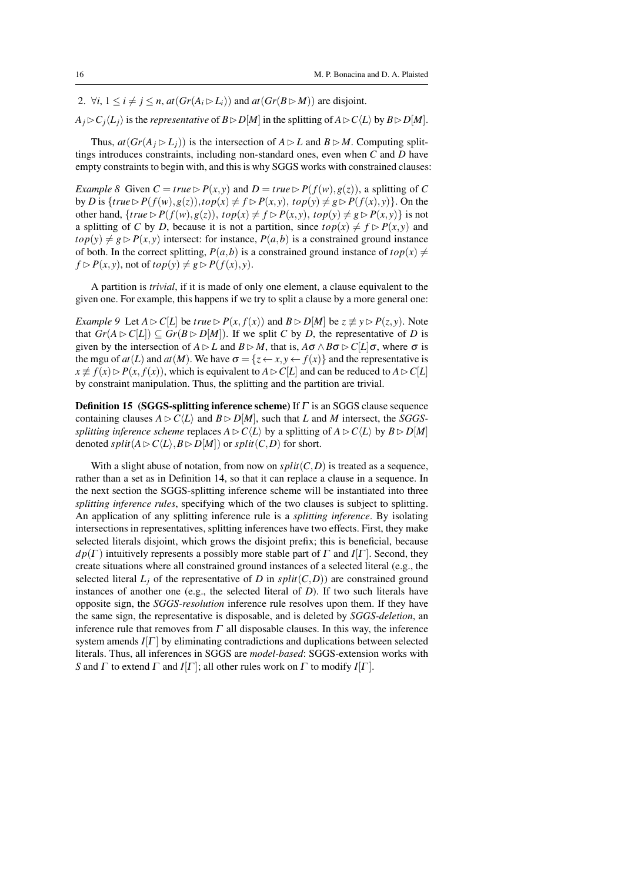2.  $\forall i, 1 \leq i \neq j \leq n$ ,  $at(Gr(A_i \triangleright L_i))$  and  $at(Gr(B \triangleright M))$  are disjoint.

 $A_j \triangleright C_j \langle L_j \rangle$  is the *representative* of  $B \triangleright D[M]$  in the splitting of  $A \triangleright C \langle L \rangle$  by  $B \triangleright D[M]$ .

Thus,  $at(Gr(A_i \triangleright L_i))$  is the intersection of  $A \triangleright L$  and  $B \triangleright M$ . Computing splittings introduces constraints, including non-standard ones, even when *C* and *D* have empty constraints to begin with, and this is why SGGS works with constrained clauses:

*Example 8* Given  $C = true \triangleright P(x, y)$  and  $D = true \triangleright P(f(w), g(z))$ , a splitting of C by *D* is  $\{true \triangleright P(f(w), g(z)), top(x) \neq f \triangleright P(x, y), top(y) \neq g \triangleright P(f(x), y)\}$ . On the other hand,  $\{true \triangleright P(f(w), g(z)), top(x) \neq f \triangleright P(x, y), top(y) \neq g \triangleright P(x, y)\}$  is not a splitting of *C* by *D*, because it is not a partition, since  $top(x) \neq f \triangleright P(x, y)$  and  $top(y) \neq g \triangleright P(x, y)$  intersect: for instance,  $P(a, b)$  is a constrained ground instance of both. In the correct splitting,  $P(a, b)$  is a constrained ground instance of  $top(x) \neq$  $f \triangleright P(x, y)$ , not of  $top(y) \neq g \triangleright P(f(x), y)$ .

A partition is *trivial*, if it is made of only one element, a clause equivalent to the given one. For example, this happens if we try to split a clause by a more general one:

*Example 9* Let  $A \triangleright C[L]$  be *true*  $\triangleright P(x, f(x))$  and  $B \triangleright D[M]$  be  $z \not\equiv y \triangleright P(z, y)$ . Note that  $Gr(A \triangleright C[L]) \subseteq Gr(B \triangleright D[M])$ . If we split *C* by *D*, the representative of *D* is given by the intersection of  $A \triangleright L$  and  $B \triangleright M$ , that is,  $A\sigma \wedge B\sigma \triangleright C[L]\sigma$ , where  $\sigma$  is the mgu of  $at(L)$  and  $at(M)$ . We have  $\sigma = \{z \leftarrow x, y \leftarrow f(x)\}$  and the representative is  $x \neq f(x) \triangleright P(x, f(x))$ , which is equivalent to  $A \triangleright C[L]$  and can be reduced to  $A \triangleright C[L]$ by constraint manipulation. Thus, the splitting and the partition are trivial.

**Definition 15** (SGGS-splitting inference scheme) If  $\Gamma$  is an SGGS clause sequence containing clauses  $A \triangleright C \langle L \rangle$  and  $B \triangleright D[M]$ , such that *L* and *M* intersect, the *SGGSsplitting inference scheme* replaces  $A \triangleright C\langle L \rangle$  by a splitting of  $A \triangleright C\langle L \rangle$  by  $B \triangleright D[M]$ denoted *split* $(A \triangleright C\langle L \rangle, B \triangleright D[M])$  or *split* $(C, D)$  for short.

With a slight abuse of notation, from now on  $split(C, D)$  is treated as a sequence, rather than a set as in Definition 14, so that it can replace a clause in a sequence. In the next section the SGGS-splitting inference scheme will be instantiated into three *splitting inference rules*, specifying which of the two clauses is subject to splitting. An application of any splitting inference rule is a *splitting inference*. By isolating intersections in representatives, splitting inferences have two effects. First, they make selected literals disjoint, which grows the disjoint prefix; this is beneficial, because  $dp(\Gamma)$  intuitively represents a possibly more stable part of  $\Gamma$  and  $I[\Gamma]$ . Second, they create situations where all constrained ground instances of a selected literal (e.g., the selected literal  $L_j$  of the representative of *D* in  $split(C, D)$  are constrained ground instances of another one (e.g., the selected literal of *D*). If two such literals have opposite sign, the *SGGS-resolution* inference rule resolves upon them. If they have the same sign, the representative is disposable, and is deleted by *SGGS-deletion*, an inference rule that removes from  $\Gamma$  all disposable clauses. In this way, the inference system amends  $I[\Gamma]$  by eliminating contradictions and duplications between selected literals. Thus, all inferences in SGGS are *model-based*: SGGS-extension works with *S* and  $\Gamma$  to extend  $\Gamma$  and  $I[\Gamma]$ ; all other rules work on  $\Gamma$  to modify  $I[\Gamma]$ .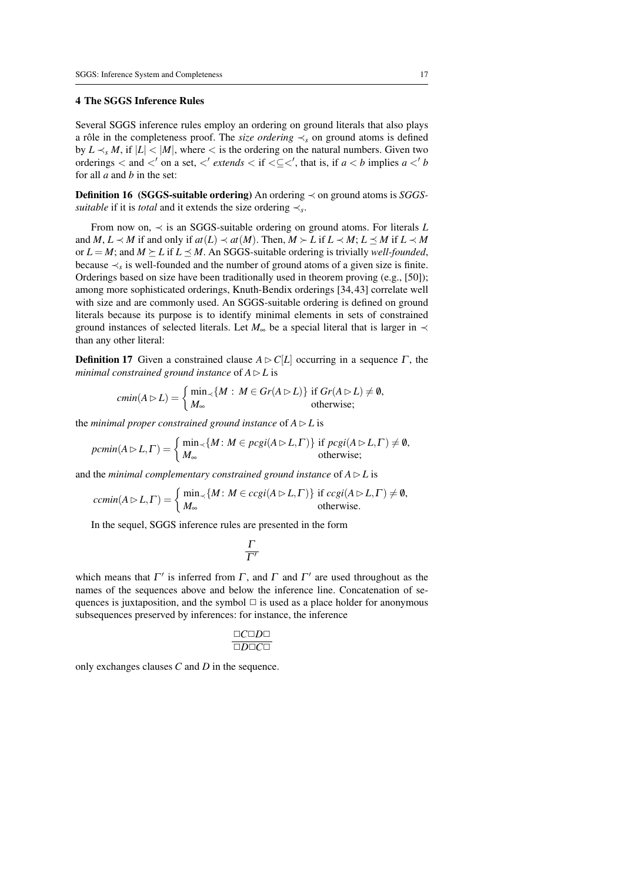# 4 The SGGS Inference Rules

Several SGGS inference rules employ an ordering on ground literals that also plays a rôle in the completeness proof. The *size ordering*  $\prec$ <sub>s</sub> on ground atoms is defined by  $L \prec_s M$ , if  $|L| < |M|$ , where  $\lt$  is the ordering on the natural numbers. Given two orderings  $\lt$  and  $\lt'$  on a set,  $\lt'$  *extends*  $\lt$  if  $\lt\subseteq\lt'$ , that is, if  $a \lt b$  implies  $a \lt' b$ for all *a* and *b* in the set:

Definition 16 (SGGS-suitable ordering) An ordering ≺ on ground atoms is *SGGSsuitable* if it is *total* and it extends the size ordering  $\prec_s$ .

From now on, ≺ is an SGGS-suitable ordering on ground atoms. For literals *L* and *M*,  $L \prec M$  if and only if  $at(L) \prec at(M)$ . Then,  $M \succ L$  if  $L \prec M$ ;  $L \preceq M$  if  $L \prec M$ or  $L = M$ ; and  $M \succeq L$  if  $L \preceq M$ . An SGGS-suitable ordering is trivially *well-founded*, because  $\prec_s$  is well-founded and the number of ground atoms of a given size is finite. Orderings based on size have been traditionally used in theorem proving (e.g., [50]); among more sophisticated orderings, Knuth-Bendix orderings [34, 43] correlate well with size and are commonly used. An SGGS-suitable ordering is defined on ground literals because its purpose is to identify minimal elements in sets of constrained ground instances of selected literals. Let  $M_{\infty}$  be a special literal that is larger in  $\prec$ than any other literal:

**Definition 17** Given a constrained clause  $A \triangleright C[L]$  occurring in a sequence  $\Gamma$ , the *minimal constrained ground instance* of  $A \triangleright L$  is

$$
cmin(A \triangleright L) = \begin{cases} \min_{\prec} \{ M : M \in Gr(A \triangleright L) \} & \text{if } Gr(A \triangleright L) \neq \emptyset, \\ M_{\infty} & \text{otherwise}; \end{cases}
$$

the *minimal proper constrained ground instance* of  $A \triangleright L$  is

$$
pccmin(A \triangleright L, \Gamma) = \begin{cases} \min_{\prec} \{M : M \in pcgi(A \triangleright L, \Gamma) \} & \text{if } pcgi(A \triangleright L, \Gamma) \neq \emptyset, \\ M_{\infty} & \text{otherwise}; \end{cases}
$$

and the *minimal complementary constrained ground instance* of  $A \triangleright L$  is

$$
ccmin(A \triangleright L, \Gamma) = \begin{cases} \min_{\prec} \{ M : M \in ccgi(A \triangleright L, \Gamma) \} \text{ if } ccgi(A \triangleright L, \Gamma) \neq \emptyset, \\ M_{\infty} \text{ otherwise.} \end{cases}
$$

In the sequel, SGGS inference rules are presented in the form

$$
\frac{\Gamma}{\Gamma'}
$$

which means that  $\Gamma'$  is inferred from  $\Gamma$ , and  $\Gamma$  and  $\Gamma'$  are used throughout as the names of the sequences above and below the inference line. Concatenation of sequences is juxtaposition, and the symbol  $\Box$  is used as a place holder for anonymous subsequences preserved by inferences: for instance, the inference

$$
\frac{\Box C\Box D\Box}{\Box D\Box C\Box}
$$

only exchanges clauses *C* and *D* in the sequence.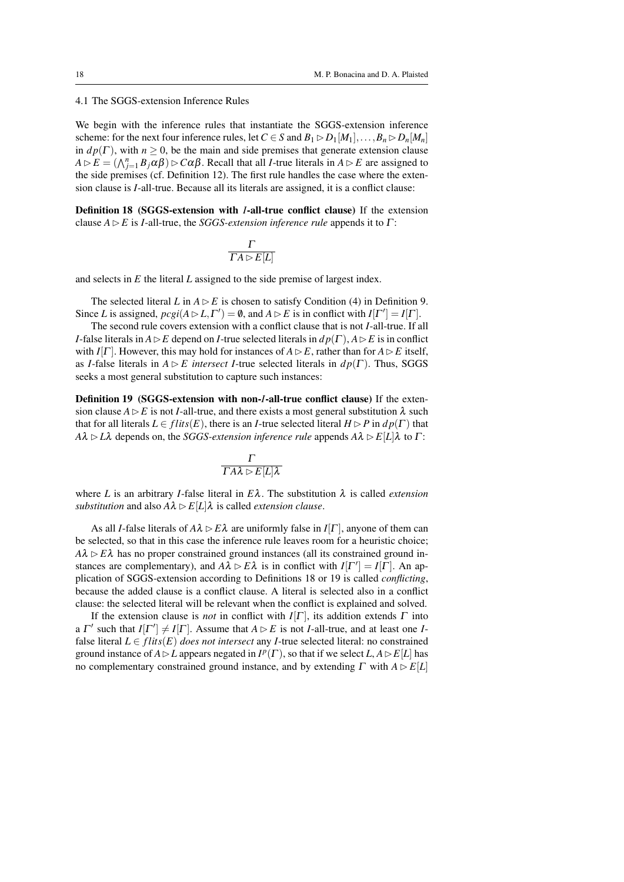4.1 The SGGS-extension Inference Rules

We begin with the inference rules that instantiate the SGGS-extension inference scheme: for the next four inference rules, let  $C \in S$  and  $B_1 \triangleright D_1[M_1], \ldots, B_n \triangleright D_n[M_n]$ in  $dp(\Gamma)$ , with  $n \geq 0$ , be the main and side premises that generate extension clause  $A \triangleright E = (\bigwedge_{j=1}^{n} B_j \alpha \beta) \triangleright C \alpha \beta$ . Recall that all *I*-true literals in  $A \triangleright E$  are assigned to the side premises (cf. Definition 12). The first rule handles the case where the extension clause is *I*-all-true. Because all its literals are assigned, it is a conflict clause:

Definition 18 (SGGS-extension with *I*-all-true conflict clause) If the extension clause  $A \triangleright E$  is *I*-all-true, the *SGGS-extension inference rule* appends it to  $\Gamma$ :

$$
\frac{\Gamma}{\Gamma A \rhd E[L]}
$$

and selects in *E* the literal *L* assigned to the side premise of largest index.

The selected literal *L* in  $A \triangleright E$  is chosen to satisfy Condition (4) in Definition 9. Since *L* is assigned,  $\text{pcgi}(A \triangleright L, \Gamma') = \emptyset$ , and  $A \triangleright E$  is in conflict with  $I[\Gamma'] = I[\Gamma]$ .

The second rule covers extension with a conflict clause that is not *I*-all-true. If all *I*-false literals in  $A \triangleright E$  depend on *I*-true selected literals in  $dp(\Gamma)$ ,  $A \triangleright E$  is in conflict with *I*[Γ]. However, this may hold for instances of  $A \triangleright E$ , rather than for  $A \triangleright E$  itself, as *I*-false literals in  $A \triangleright E$  *intersect I*-true selected literals in  $dp(\Gamma)$ . Thus, SGGS seeks a most general substitution to capture such instances:

Definition 19 (SGGS-extension with non-*I*-all-true conflict clause) If the extension clause  $A \triangleright E$  is not *I*-all-true, and there exists a most general substitution  $\lambda$  such that for all literals  $L \in \text{flits}(E)$ , there is an *I*-true selected literal  $H \triangleright P$  in  $dp(\Gamma)$  that  $A\lambda \triangleright L\lambda$  depends on, the *SGGS-extension inference rule* appends  $A\lambda \triangleright E[L]\lambda$  to  $\Gamma$ :

$$
\frac{\Gamma}{\Gamma A\lambda\vartriangleright E[L]\lambda}
$$

where *L* is an arbitrary *I*-false literal in  $E\lambda$ . The substitution  $\lambda$  is called *extension substitution* and also  $A\lambda \triangleright E[L]\lambda$  is called *extension clause*.

As all *I*-false literals of  $A\lambda \triangleright E\lambda$  are uniformly false in *I*[Γ], anyone of them can be selected, so that in this case the inference rule leaves room for a heuristic choice;  $A\lambda \triangleright E\lambda$  has no proper constrained ground instances (all its constrained ground instances are complementary), and  $A\lambda \triangleright E\lambda$  is in conflict with  $I[\Gamma'] = I[\Gamma]$ . An application of SGGS-extension according to Definitions 18 or 19 is called *conflicting*, because the added clause is a conflict clause. A literal is selected also in a conflict clause: the selected literal will be relevant when the conflict is explained and solved.

If the extension clause is *not* in conflict with  $I[\Gamma]$ , its addition extends  $\Gamma$  into a  $\Gamma'$  such that  $I[\Gamma'] \neq I[\Gamma]$ . Assume that  $A \triangleright E$  is not *I*-all-true, and at least one *I*false literal  $L \in \text{flits}(E)$  *does not intersect* any *I*-true selected literal: no constrained ground instance of  $A \triangleright L$  appears negated in  $I^p(\Gamma)$ , so that if we select  $L, A \triangleright E[L]$  has no complementary constrained ground instance, and by extending  $\Gamma$  with  $A \triangleright E[L]$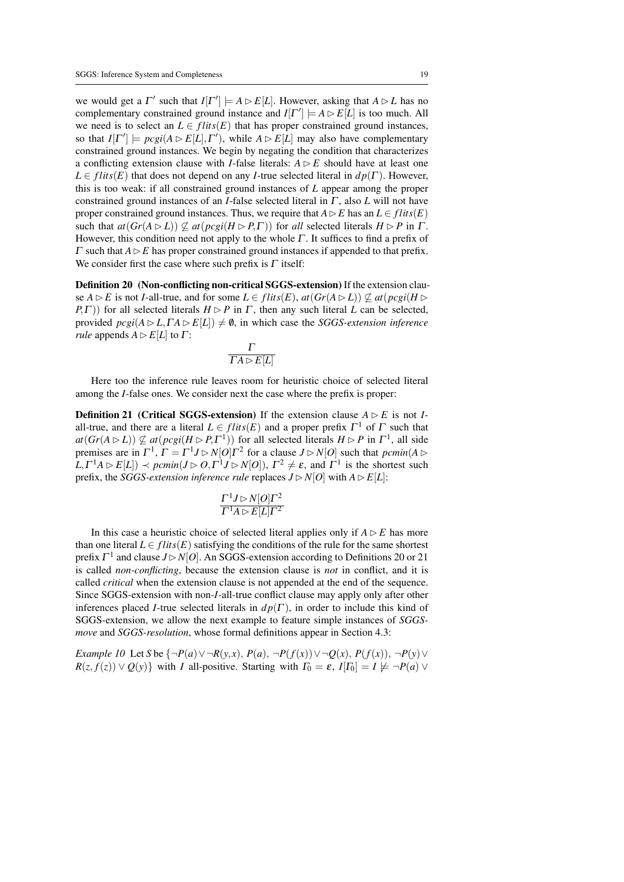we would get a  $\Gamma'$  such that  $I[\Gamma'] \models A \triangleright E[L]$ . However, asking that  $A \triangleright L$  has no complementary constrained ground instance and  $I[\Gamma'] \models A \triangleright E[L]$  is too much. All we need is to select an  $L \in \text{flits}(E)$  that has proper constrained ground instances, so that  $I[\Gamma'] \models \text{pcgi}(A \triangleright E[L], \Gamma')$ , while  $A \triangleright E[L]$  may also have complementary constrained ground instances. We begin by negating the condition that characterizes a conflicting extension clause with *I*-false literals:  $A \triangleright E$  should have at least one  $L \in \text{flits}(E)$  that does not depend on any *I*-true selected literal in  $dp(\Gamma)$ . However, this is too weak: if all constrained ground instances of *L* appear among the proper constrained ground instances of an *I*-false selected literal in Γ , also *L* will not have proper constrained ground instances. Thus, we require that  $A \triangleright E$  has an  $L \in \text{flits}(E)$ such that  $at(Gr(A \triangleright L)) \not\subseteq at(reci(H \triangleright P, \Gamma))$  for *all* selected literals  $H \triangleright P$  in  $\Gamma$ . However, this condition need not apply to the whole  $\Gamma$ . It suffices to find a prefix of  $\Gamma$  such that  $A \triangleright E$  has proper constrained ground instances if appended to that prefix. We consider first the case where such prefix is  $\Gamma$  itself:

Definition 20 (Non-conflicting non-critical SGGS-extension) If the extension clause  $A \triangleright E$  is not *I*-all-true, and for some  $L \in \text{flits}(E)$ ,  $\text{at}(Gr(A \triangleright L)) \nsubseteq \text{at}(pcgi(H \triangleright$ *P*, Γ)) for all selected literals  $H \triangleright P$  in Γ, then any such literal *L* can be selected, provided  $\text{pcgi}(A \triangleright L, \Gamma A \triangleright E[L]) \neq \emptyset$ , in which case the *SGGS-extension inference rule* appends  $A \triangleright E[L]$  to  $\Gamma$ :

$$
\frac{\Gamma}{\Gamma A \rhd E[L]}
$$

Here too the inference rule leaves room for heuristic choice of selected literal among the *I*-false ones. We consider next the case where the prefix is proper:

**Definition 21** (Critical SGGS-extension) If the extension clause  $A \triangleright E$  is not *I*all-true, and there are a literal  $L \in \text{flits}(E)$  and a proper prefix  $\Gamma^1$  of  $\Gamma$  such that  $at(Gr(A \triangleright L)) \nsubseteq at(pcgi(H \triangleright P, \Gamma^1))$  for all selected literals  $H \triangleright P$  in  $\Gamma^1$ , all side premises are in  $\Gamma^1$ ,  $\Gamma = \Gamma^1 J \triangleright N[O]\Gamma^2$  for a clause  $J \triangleright N[O]$  such that  $\text{pclim}(A \triangleright$  $L, \Gamma^1 A \rhd E[L] \rvert \prec \text{pcmin}(J \rhd O, \Gamma^1 J \rhd N[O]), \Gamma^2 \neq \varepsilon$ , and  $\Gamma^1$  is the shortest such prefix, the *SGGS-extension inference rule* replaces  $J \triangleright N[O]$  with  $A \triangleright E[L]$ :

$$
\frac{\Gamma^1 J \triangleright N[O]\Gamma^2}{\Gamma^1 A \triangleright E[L]\Gamma^2}
$$

In this case a heuristic choice of selected literal applies only if  $A \triangleright E$  has more than one literal  $L \in \text{flits}(E)$  satisfying the conditions of the rule for the same shortest prefix Γ<sup>1</sup> and clause *J* ⊳ *N*[*O*]. An SGGS-extension according to Definitions 20 or 21 is called *non-conflicting*, because the extension clause is *not* in conflict, and it is called *critical* when the extension clause is not appended at the end of the sequence. Since SGGS-extension with non-*I*-all-true conflict clause may apply only after other inferences placed *I*-true selected literals in  $dp(\Gamma)$ , in order to include this kind of SGGS-extension, we allow the next example to feature simple instances of *SGGSmove* and *SGGS-resolution*, whose formal definitions appear in Section 4.3:

*Example 10* Let *S* be { $\neg P(a) ∨ ∎R(y, x)$ ,  $P(a)$ ,  $\neg P(f(x)) ∨ ∎Q(x)$ ,  $P(f(x))$ ,  $\neg P(y) ∨$  $R(z, f(z)) \vee Q(y)$  with *I* all-positive. Starting with  $\Gamma_0 = \varepsilon$ ,  $I[\Gamma_0] = I \not\models \neg P(a) \vee P(a)$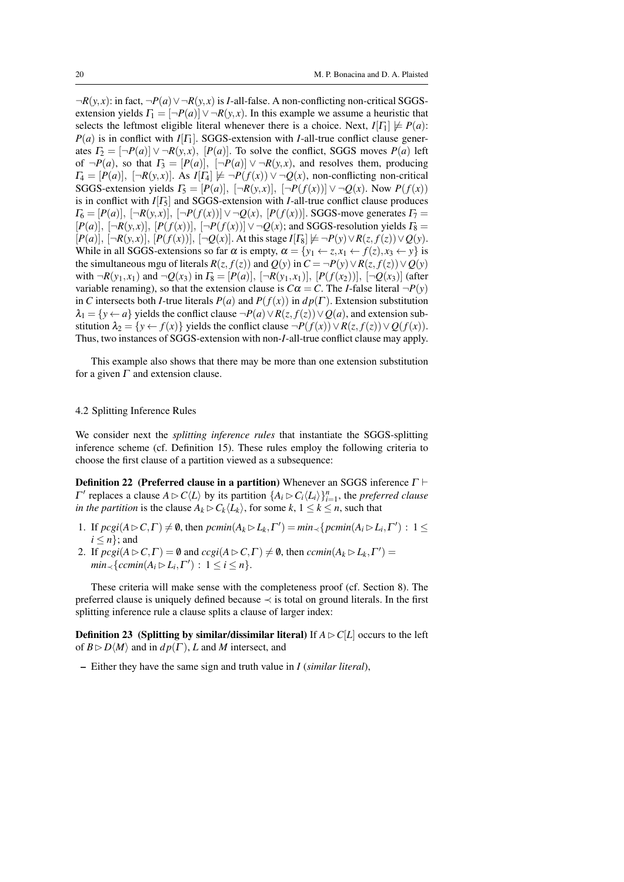¬*R*(*y*, *x*): in fact, ¬*P*(*a*)∨¬*R*(*y*, *x*) is *I*-all-false. A non-conflicting non-critical SGGSextension yields  $\Gamma_1 = [\neg P(a)] \lor \neg R(y, x)$ . In this example we assume a heuristic that selects the leftmost eligible literal whenever there is a choice. Next,  $I[T_1] \not\models P(a)$ :  $P(a)$  is in conflict with *I*[Γ<sub>1</sub>]. SGGS-extension with *I*-all-true conflict clause generates  $\Gamma_2 = [\neg P(a)] \lor \neg R(y, x)$ ,  $[P(a)]$ . To solve the conflict, SGGS moves  $P(a)$  left of  $\neg P(a)$ , so that  $\Gamma_3 = [P(a)], \quad \neg P(a) \vee \neg R(y,x)$ , and resolves them, producing  $T_4 = [P(a)], \; [\neg R(y,x)].$  As  $I[T_4] \not\models \neg P(f(x)) \lor \neg Q(x)$ , non-conflicting non-critical SGGS-extension yields  $\Gamma_5 = [P(a)], \ \ [\neg R(y,x)], \ \ [\neg P(f(x))] \lor \neg Q(x)$ . Now  $P(f(x))$ is in conflict with  $I[T_5]$  and SGGS-extension with *I*-all-true conflict clause produces  $\Gamma_6 = [P(a)], \ \left[ \neg R(y,x) \right], \ \left[ \neg P(f(x)) \right] \vee \neg Q(x), \ [P(f(x))].$  SGGS-move generates  $\Gamma_7 =$  $[P(a)], \, [\neg R(y,x)], \, [P(f(x))], \, [\neg P(f(x))] \vee \neg Q(x)$ ; and SGGS-resolution yields  $\Gamma_8 =$  $[P(a)], \, [-R(y,x)], \, [P(f(x))], \, [-Q(x)].$  At this stage  $I[T_8] \not\models \neg P(y) \lor R(z, f(z)) \lor Q(y)$ . While in all SGGS-extensions so far  $\alpha$  is empty,  $\alpha = \{y_1 \leftarrow z, x_1 \leftarrow f(z), x_3 \leftarrow y\}$  is the simultaneous mgu of literals  $R(z, f(z))$  and  $Q(y)$  in  $C = \neg P(y) \lor R(z, f(z)) \lor Q(y)$ with  $\neg R(y_1, x_1)$  and  $\neg Q(x_3)$  in  $\Gamma_8 = [P(a)], [\neg R(y_1, x_1)], [P(f(x_2))], [\neg Q(x_3)]$  (after variable renaming), so that the extension clause is  $C\alpha = C$ . The *I*-false literal  $\neg P(y)$ in *C* intersects both *I*-true literals  $P(a)$  and  $P(f(x))$  in  $dp(\Gamma)$ . Extension substitution  $\lambda_1 = \{y \leftarrow a\}$  yields the conflict clause  $\neg P(a) \vee R(z, f(z)) \vee Q(a)$ , and extension substitution  $\lambda_2 = \{y \leftarrow f(x)\}$  yields the conflict clause  $\neg P(f(x)) \vee R(z, f(z)) \vee Q(f(x))$ . Thus, two instances of SGGS-extension with non-*I*-all-true conflict clause may apply.

This example also shows that there may be more than one extension substitution for a given  $\Gamma$  and extension clause.

#### 4.2 Splitting Inference Rules

We consider next the *splitting inference rules* that instantiate the SGGS-splitting inference scheme (cf. Definition 15). These rules employ the following criteria to choose the first clause of a partition viewed as a subsequence:

**Definition 22** (Preferred clause in a partition) Whenever an SGGS inference  $\Gamma \vdash$ *Γ'* replaces a clause *A* ⊳ *C* $\langle L \rangle$  by its partition  ${A_i}$  ⊳ *C*<sub>*i*</sub> $\langle L_i \rangle$  $}$ <sup>*n*</sup><sub>*i*=1</sub>, the *preferred clause in the partition* is the clause  $A_k \triangleright C_k \langle L_k \rangle$ , for some  $k, 1 \leq k \leq n$ , such that

- 1. If  $\text{pcgi}(A \triangleright C, \Gamma) \neq \emptyset$ , then  $\text{pcmin}(A_k \triangleright L_k, \Gamma') = \min_{\prec} {\text{pcmin}(A_i \triangleright L_i, \Gamma')} : 1 \leq$  $i \leq n$ ; and
- 2. If  $\text{pcgi}(A \triangleright C, \Gamma) = \emptyset$  and  $\text{ccgi}(A \triangleright C, \Gamma) \neq \emptyset$ , then  $\text{ccmin}(A_k \triangleright L_k, \Gamma') =$  $min_{\prec} \{cemin(A_i \triangleright L_i, \Gamma') : 1 \leq i \leq n\}.$

These criteria will make sense with the completeness proof (cf. Section 8). The preferred clause is uniquely defined because ≺ is total on ground literals. In the first splitting inference rule a clause splits a clause of larger index:

**Definition 23** (Splitting by similar/dissimilar literal) If  $A \triangleright C[L]$  occurs to the left of  $B \triangleright D \langle M \rangle$  and in  $dp(\Gamma)$ , *L* and *M* intersect, and

– Either they have the same sign and truth value in *I* (*similar literal*),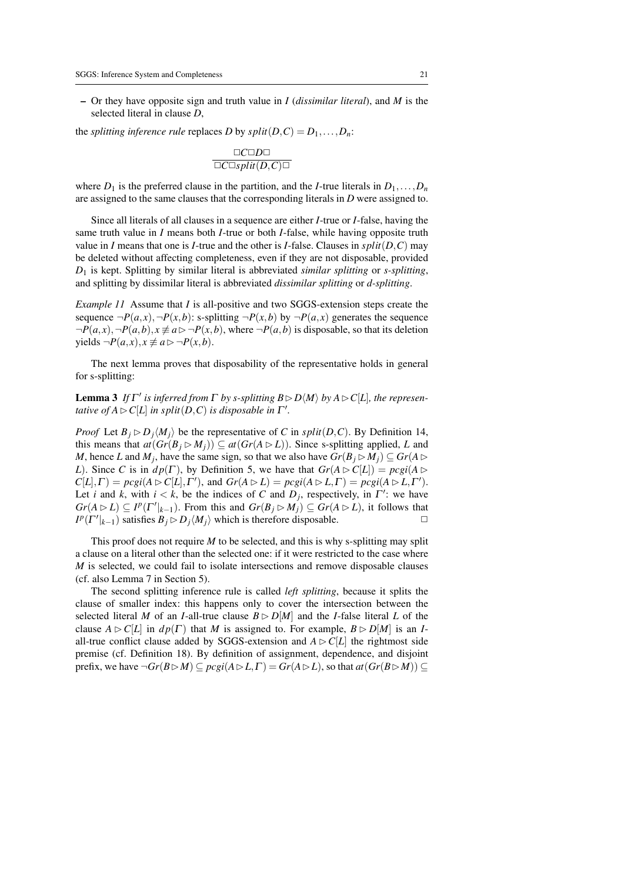– Or they have opposite sign and truth value in *I* (*dissimilar literal*), and *M* is the selected literal in clause *D*,

the *splitting inference rule* replaces *D* by  $split(D, C) = D_1, \ldots, D_n$ :

$$
\frac{\Box C \Box D \Box}{\Box C \Box split(D,C) \Box}
$$

where  $D_1$  is the preferred clause in the partition, and the *I*-true literals in  $D_1, \ldots, D_n$ are assigned to the same clauses that the corresponding literals in *D* were assigned to.

Since all literals of all clauses in a sequence are either *I*-true or *I*-false, having the same truth value in *I* means both *I*-true or both *I*-false, while having opposite truth value in *I* means that one is *I*-true and the other is *I*-false. Clauses in  $split(D, C)$  may be deleted without affecting completeness, even if they are not disposable, provided *D*<sup>1</sup> is kept. Splitting by similar literal is abbreviated *similar splitting* or *s-splitting*, and splitting by dissimilar literal is abbreviated *dissimilar splitting* or *d-splitting*.

*Example 11* Assume that *I* is all-positive and two SGGS-extension steps create the sequence  $\neg P(a,x)$ ,  $\neg P(x,b)$ : s-splitting  $\neg P(x,b)$  by  $\neg P(a,x)$  generates the sequence  $\neg P(a,x), \neg P(a,b), x \not\equiv a \triangleright \neg P(x,b)$ , where  $\neg P(a,b)$  is disposable, so that its deletion yields  $\neg P(a,x), x \not\equiv a ⊳ ¬P(x,b).$ 

The next lemma proves that disposability of the representative holds in general for s-splitting:

**Lemma 3** If  $\Gamma'$  is inferred from  $\Gamma$  by s-splitting  $B \triangleright D\langle M \rangle$  by  $A \triangleright C[L]$ , the represen*tative of*  $A \triangleright C[L]$  *in split* $(D, C)$  *is disposable in*  $\Gamma'$ *.* 

*Proof* Let  $B_i \triangleright D_i \langle M_i \rangle$  be the representative of *C* in *split*(*D,C*). By Definition 14, this means that  $at(Gr(B_i \triangleright M_i)) \subseteq at(Gr(A \triangleright L))$ . Since s-splitting applied, *L* and *M*, hence *L* and *M*<sub>*j*</sub>, have the same sign, so that we also have  $Gr(B_j \triangleright M_j) \subseteq Gr(A \triangleright$ *L*). Since *C* is in  $dp(\Gamma)$ , by Definition 5, we have that  $Gr(A \triangleright C[L]) = pcgi(A \triangleright$  $C[L], \Gamma$  =  $\text{pcgi}(A \triangleright C[L], \Gamma'$ ), and  $\text{Gr}(A \triangleright L) = \text{pcgi}(A \triangleright L, \Gamma) = \text{pcgi}(A \triangleright L, \Gamma').$ Let *i* and *k*, with  $i < k$ , be the indices of *C* and  $D_j$ , respectively, in  $\Gamma'$ : we have  $Gr(A \triangleright L) \subseteq I^p(\Gamma'|_{k-1})$ . From this and  $Gr(B_j \triangleright M_j) \subseteq Gr(A \triangleright L)$ , it follows that  $I^p(\Gamma'|_{k-1})$  satisfies  $B_j \triangleright D_j\langle M_j \rangle$  which is therefore disposable.

This proof does not require *M* to be selected, and this is why s-splitting may split a clause on a literal other than the selected one: if it were restricted to the case where *M* is selected, we could fail to isolate intersections and remove disposable clauses (cf. also Lemma 7 in Section 5).

The second splitting inference rule is called *left splitting*, because it splits the clause of smaller index: this happens only to cover the intersection between the selected literal *M* of an *I*-all-true clause  $B \triangleright D[M]$  and the *I*-false literal *L* of the clause  $A \triangleright C[L]$  in  $dp(\Gamma)$  that *M* is assigned to. For example,  $B \triangleright D[M]$  is an *I*all-true conflict clause added by SGGS-extension and  $A \triangleright C[L]$  the rightmost side premise (cf. Definition 18). By definition of assignment, dependence, and disjoint prefix, we have  $\neg Gr(B \triangleright M) \subseteq p c g i (A \triangleright L, \Gamma) = Gr(A \triangleright L)$ , so that  $a t (Gr(B \triangleright M)) \subseteq$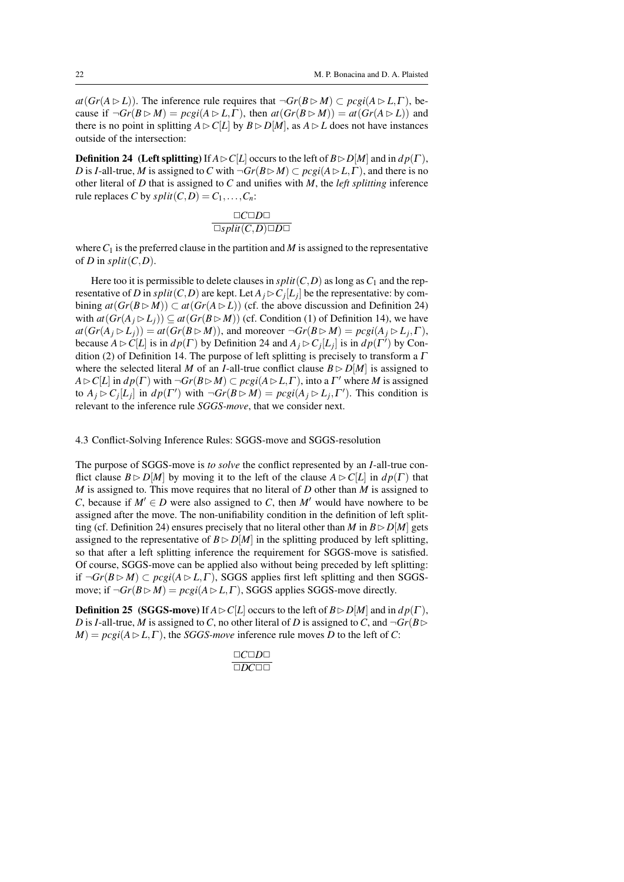$at(Gr(A \triangleright L))$ . The inference rule requires that  $\neg Gr(B \triangleright M) \subset pcgi(A \triangleright L, \Gamma)$ , because if  $\neg Gr(B \triangleright M) = p c g i (A \triangleright L, \Gamma)$ , then  $at(Gr(B \triangleright M)) = at(Gr(A \triangleright L))$  and there is no point in splitting  $A \triangleright C[L]$  by  $B \triangleright D[M]$ , as  $A \triangleright L$  does not have instances outside of the intersection:

**Definition 24** (Left splitting) If  $A \triangleright C[L]$  occurs to the left of  $B \triangleright D[M]$  and in  $dp(\Gamma)$ , *D* is *I*-all-true, *M* is assigned to *C* with  $\neg Gr(B \triangleright M) \subset pcgi(A \triangleright L, \Gamma)$ , and there is no other literal of *D* that is assigned to *C* and unifies with *M*, the *left splitting* inference rule replaces *C* by  $split(C, D) = C_1, \ldots, C_n$ :

$$
\Box C \Box D \Box
$$

$$
\Box split(C, D) \Box D \Box
$$

where  $C_1$  is the preferred clause in the partition and *M* is assigned to the representative of *D* in  $split(C, D)$ .

Here too it is permissible to delete clauses in  $split(C, D)$  as long as  $C_1$  and the representative of *D* in  $split(C, D)$  are kept. Let  $A_j \triangleright C_j[L_j]$  be the representative: by combining  $at(Gr(B \triangleright M)) \subset at(Gr(A \triangleright L))$  (cf. the above discussion and Definition 24) with  $at(Gr(A_i \triangleright L_i)) \subseteq at(Gr(B \triangleright M))$  (cf. Condition (1) of Definition 14), we have  $at(Gr(A_j \triangleright L_j)) = at(Gr(B \triangleright M))$ , and moreover  $\neg Gr(B \triangleright M) = pcgi(A_j \triangleright L_j, \Gamma)$ , because  $A \triangleright C[L]$  is in  $dp(\Gamma)$  by Definition 24 and  $A_j \triangleright C_j[L_j]$  is in  $dp(\Gamma')$  by Condition (2) of Definition 14. The purpose of left splitting is precisely to transform a  $\Gamma$ where the selected literal *M* of an *I*-all-true conflict clause  $B \triangleright D[M]$  is assigned to  $A \triangleright C[L]$  in  $dp(\Gamma)$  with  $\neg Gr(B \triangleright M) \subset pcgi(A \triangleright L, \Gamma)$ , into a  $\Gamma'$  where *M* is assigned to  $A_j \triangleright C_j[L_j]$  in  $dp(\Gamma')$  with  $\neg Gr(B \triangleright M) = pcsi(A_j \triangleright L_j, \Gamma')$ . This condition is relevant to the inference rule *SGGS-move*, that we consider next.

4.3 Conflict-Solving Inference Rules: SGGS-move and SGGS-resolution

The purpose of SGGS-move is *to solve* the conflict represented by an *I*-all-true conflict clause  $B \triangleright D[M]$  by moving it to the left of the clause  $A \triangleright C[L]$  in  $dp(\Gamma)$  that *M* is assigned to. This move requires that no literal of *D* other than *M* is assigned to *C*, because if  $M' \in D$  were also assigned to *C*, then *M'* would have nowhere to be assigned after the move. The non-unifiability condition in the definition of left splitting (cf. Definition 24) ensures precisely that no literal other than *M* in  $B \triangleright D[M]$  gets assigned to the representative of  $B \triangleright D[M]$  in the splitting produced by left splitting, so that after a left splitting inference the requirement for SGGS-move is satisfied. Of course, SGGS-move can be applied also without being preceded by left splitting: if  $\neg Gr(B \rhd M)$  ⊂ *pcgi*( $A \rhd L, \Gamma$ ), SGGS applies first left splitting and then SGGSmove; if  $\neg Gr(B \triangleright M) = \text{pcgi}(A \triangleright L, \Gamma)$ , SGGS applies SGGS-move directly.

**Definition 25** (SGGS-move) If  $A \triangleright C[L]$  occurs to the left of  $B \triangleright D[M]$  and in  $dp(\Gamma)$ , *D* is *I*-all-true, *M* is assigned to *C*, no other literal of *D* is assigned to *C*, and  $\neg Gr(B \triangleright$  $M$  =  $pcgi(A \triangleright L, \Gamma)$ , the *SGGS-move* inference rule moves *D* to the left of *C*:

$$
\frac{\Box C\Box D\Box}{\Box D C\Box\Box}
$$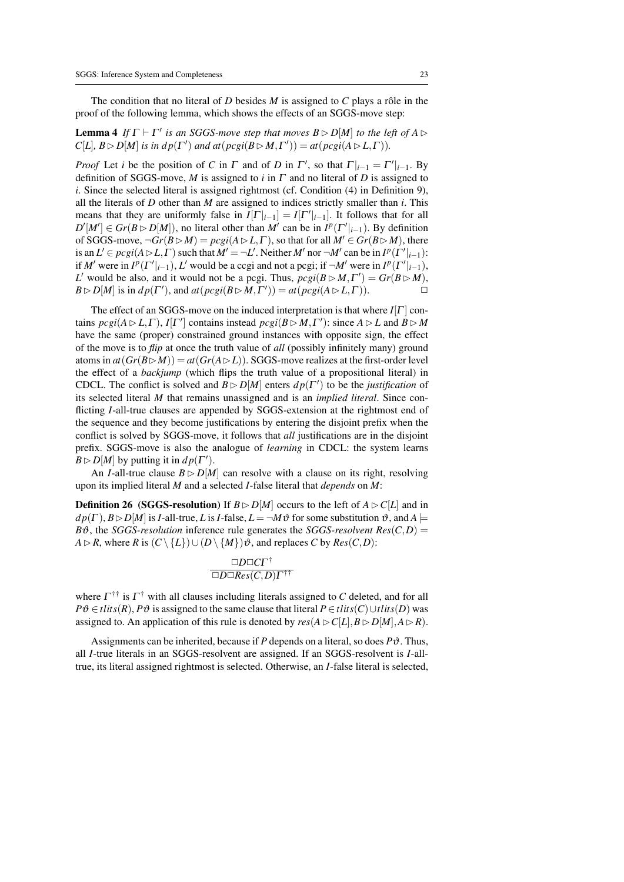The condition that no literal of *D* besides  $M$  is assigned to  $C$  plays a rôle in the proof of the following lemma, which shows the effects of an SGGS-move step:

# **Lemma 4** If  $\Gamma \vdash \Gamma'$  is an SGGS-move step that moves  $B \rhd D[M]$  to the left of  $A \rhd$  $C[L], B \triangleright D[M]$  *is in dp*( $\Gamma'$ ) *and at*( $\text{pcgi}(B \triangleright M, \Gamma')$ ) = *at*( $\text{pcgi}(A \triangleright L, \Gamma)$ ).

*Proof* Let *i* be the position of *C* in  $\Gamma$  and of *D* in  $\Gamma'$ , so that  $\Gamma|_{i-1} = \Gamma'|_{i-1}$ . By definition of SGGS-move, *M* is assigned to *i* in Γ and no literal of *D* is assigned to *i*. Since the selected literal is assigned rightmost (cf. Condition (4) in Definition 9), all the literals of *D* other than *M* are assigned to indices strictly smaller than *i*. This means that they are uniformly false in  $I[\Gamma]_{i-1} = I[\Gamma']_{i-1}$ . It follows that for all  $D'[M'] \in Gr(B \triangleright D[M])$ , no literal other than *M'* can be in  $I^p(\Gamma'|_{i-1})$ . By definition of SGGS-move,  $\neg Gr(B \triangleright M) = pccg(A \triangleright L, \Gamma)$ , so that for all  $M' \in Gr(B \triangleright M)$ , there is an  $L' \in pcgi(A \triangleright L, \Gamma)$  such that  $M' = \neg L'$ . Neither  $M'$  nor  $\neg M'$  can be in  $I^p(\Gamma'|_{i-1})$ : if *M*<sup> $\prime$ </sup> were in *I*<sup>*p*</sup>( $\Gamma' \mid_{i=1}$ ), *L*<sup> $\prime$ </sup> would be a ccgi and not a pcgi; if  $\neg M'$  were in *I<sup>p</sup>*( $\Gamma' \mid_{i=1}$ ), *L*' would be also, and it would not be a pcgi. Thus,  $\text{pcgi}(B \triangleright M, \Gamma') = \text{Gr}(B \triangleright M)$ ,  $B \triangleright D[M]$  is in  $dp(\Gamma')$ , and  $at(pcgi(B \triangleright M, \Gamma')) = at(pcgi(A \triangleright L, \Gamma))$ .

The effect of an SGGS-move on the induced interpretation is that where *I*[Γ ] contains  $\text{pcgi}(A \triangleright L, \Gamma)$ ,  $I[\Gamma']$  contains instead  $\text{pcgi}(B \triangleright M, \Gamma')$ : since  $A \triangleright L$  and  $B \triangleright M$ have the same (proper) constrained ground instances with opposite sign, the effect of the move is to *flip* at once the truth value of *all* (possibly infinitely many) ground atoms in  $at(Gr(B \triangleright M)) = at(Gr(A \triangleright L))$ . SGGS-move realizes at the first-order level the effect of a *backjump* (which flips the truth value of a propositional literal) in CDCL. The conflict is solved and  $B \triangleright D[M]$  enters  $dp(\Gamma')$  to be the *justification* of its selected literal *M* that remains unassigned and is an *implied literal*. Since conflicting *I*-all-true clauses are appended by SGGS-extension at the rightmost end of the sequence and they become justifications by entering the disjoint prefix when the conflict is solved by SGGS-move, it follows that *all* justifications are in the disjoint prefix. SGGS-move is also the analogue of *learning* in CDCL: the system learns  $B \triangleright D[M]$  by putting it in  $dp(\Gamma')$ .

An *I*-all-true clause  $B \triangleright D[M]$  can resolve with a clause on its right, resolving upon its implied literal *M* and a selected *I*-false literal that *depends* on *M*:

**Definition 26** (SGGS-resolution) If  $B \triangleright D[M]$  occurs to the left of  $A \triangleright C[L]$  and in  $dp(\Gamma)$ ,  $B \triangleright D[M]$  is *I*-all-true, *L* is *I*-false,  $L = \neg M \vartheta$  for some substitution  $\vartheta$ , and  $A \models$  $B\vartheta$ , the *SGGS-resolution* inference rule generates the *SGGS-resolvent*  $Res(C, D)$  = *A* ⊳ *R*, where *R* is  $(C \setminus \{L\}) \cup (D \setminus \{M\}) \vartheta$ , and replaces *C* by *Res*(*C*,*D*):

$$
\frac{\Box D\Box C\Gamma^\dagger}{\Box D\Box Res(C,D)\Gamma^\dagger^\dagger}
$$

where  $\Gamma^{\dagger\dagger}$  is  $\Gamma^{\dagger}$  with all clauses including literals assigned to *C* deleted, and for all *P*<sup>∂</sup> ∈ *tlits*(*R*), *P*<sup>∂</sup> is assigned to the same clause that literal *P* ∈ *tlits*(*C*)∪*tlits*(*D*) was assigned to. An application of this rule is denoted by  $res(A \triangleright C[L], B \triangleright D[M], A \triangleright R)$ .

Assignments can be inherited, because if  $P$  depends on a literal, so does  $P\vartheta$ . Thus, all *I*-true literals in an SGGS-resolvent are assigned. If an SGGS-resolvent is *I*-alltrue, its literal assigned rightmost is selected. Otherwise, an *I*-false literal is selected,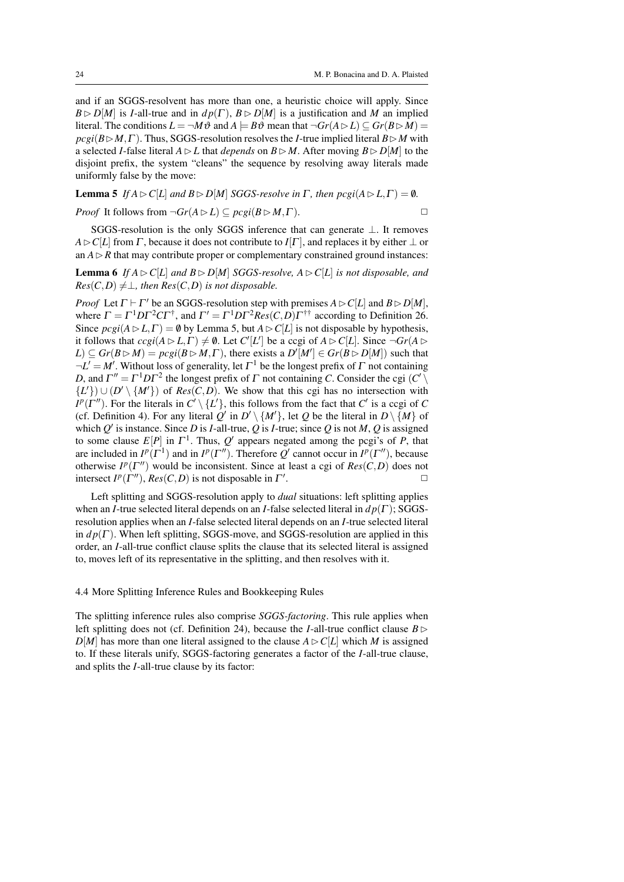and if an SGGS-resolvent has more than one, a heuristic choice will apply. Since  $B \triangleright D[M]$  is *I*-all-true and in  $dp(\Gamma)$ ,  $B \triangleright D[M]$  is a justification and *M* an implied literal. The conditions  $L = \neg M\vartheta$  and  $A \models B\vartheta$  mean that  $\neg Gr(A \triangleright L) \subseteq Gr(B \triangleright M)$  $pcgi(B \triangleright M, \Gamma)$ . Thus, SGGS-resolution resolves the *I*-true implied literal  $B \triangleright M$  with a selected *I*-false literal  $A \triangleright L$  that *depends* on  $B \triangleright M$ . After moving  $B \triangleright D[M]$  to the disjoint prefix, the system "cleans" the sequence by resolving away literals made uniformly false by the move:

**Lemma 5** *If*  $A \triangleright C[L]$  *and*  $B \triangleright D[M]$  *SGGS-resolve in*  $\Gamma$ *, then*  $\text{pcgi}(A \triangleright L, \Gamma) = \emptyset$ *. Proof* It follows from  $\neg Gr(A \triangleright L) \subseteq pcgi(B \triangleright M, \Gamma)$ .

SGGS-resolution is the only SGGS inference that can generate ⊥. It removes  $A \triangleright C[L]$  from  $\Gamma$ , because it does not contribute to  $I[\Gamma]$ , and replaces it by either  $\bot$  or an  $A \triangleright R$  that may contribute proper or complementary constrained ground instances:

**Lemma 6** If  $A \triangleright C[L]$  and  $B \triangleright D[M]$  *SGGS-resolve,*  $A \triangleright C[L]$  *is not disposable, and*  $Res(C,D) \neq \perp$ , then  $Res(C,D)$  *is not disposable.* 

*Proof* Let  $\Gamma \vdash \Gamma'$  be an SGGS-resolution step with premises  $A \triangleright C[L]$  and  $B \triangleright D[M]$ , where  $\Gamma = \Gamma^1 D \Gamma^2 C \Gamma^{\dagger}$ , and  $\Gamma' = \Gamma^1 D \Gamma^2 Res(C, D) \Gamma^{\dagger \dagger}$  according to Definition 26. Since  $\text{pc}gi(A \triangleright L, \Gamma) = \emptyset$  by Lemma 5, but  $A \triangleright C[L]$  is not disposable by hypothesis, it follows that  $ccgi(A \triangleright L, \Gamma) \neq \emptyset$ . Let  $C'[L']$  be a ccgi of  $A \triangleright C[L]$ . Since  $\neg Gr(A \triangleright$  $L$ )  $\subseteq$  *Gr*( $B \triangleright M$ ) =  $\text{pcgi}(B \triangleright M, \Gamma)$ , there exists a  $D'[M'] \in \text{Gr}(B \triangleright D[M])$  such that  $\neg L' = M'$ . Without loss of generality, let  $\Gamma^1$  be the longest prefix of  $\Gamma$  not containing *D*, and  $\Gamma'' = \Gamma^1 D \Gamma^2$  the longest prefix of  $\Gamma$  not containing *C*. Consider the cgi  $(C' \setminus C')$  ${L'\}$ )  $\cup$  (*D'* \  ${M'\}$ ) of *Res*(*C*,*D*). We show that this cgi has no intersection with *I*<sup>*p*</sup>( $\Gamma$ <sup>*n*</sup>). For the literals in *C*<sup> $\setminus$ </sup> {*L*<sup> $\setminus$ </sup>}, this follows from the fact that *C*<sup> $\prime$ </sup> is a ccgi of *C* (cf. Definition 4). For any literal  $Q'$  in  $D' \setminus \{M'\}$ , let *Q* be the literal in  $D \setminus \{M\}$  of which  $Q'$  is instance. Since *D* is *I*-all-true,  $Q$  is *I*-true; since  $Q$  is not  $M$ ,  $Q$  is assigned to some clause  $E[P]$  in  $\Gamma^1$ . Thus,  $Q'$  appears negated among the pcgi's of *P*, that are included in  $I^p(\Gamma^1)$  and in  $I^p(\Gamma'')$ . Therefore  $Q'$  cannot occur in  $I^p(\Gamma'')$ , because otherwise  $I^p(\Gamma'')$  would be inconsistent. Since at least a cgi of  $Res(C,D)$  does not intersect  $I^p(\Gamma'')$ ,  $Res(C, D)$  is not disposable in  $\Gamma'$ . The contract of  $\Box$ 

Left splitting and SGGS-resolution apply to *dual* situations: left splitting applies when an *I*-true selected literal depends on an *I*-false selected literal in *d p*(Γ ); SGGSresolution applies when an *I*-false selected literal depends on an *I*-true selected literal in  $dp(\Gamma)$ . When left splitting, SGGS-move, and SGGS-resolution are applied in this order, an *I*-all-true conflict clause splits the clause that its selected literal is assigned to, moves left of its representative in the splitting, and then resolves with it.

# 4.4 More Splitting Inference Rules and Bookkeeping Rules

The splitting inference rules also comprise *SGGS-factoring*. This rule applies when left splitting does not (cf. Definition 24), because the *I*-all-true conflict clause  $B \triangleright$  $D[M]$  has more than one literal assigned to the clause  $A \triangleright C[L]$  which *M* is assigned to. If these literals unify, SGGS-factoring generates a factor of the *I*-all-true clause, and splits the *I*-all-true clause by its factor: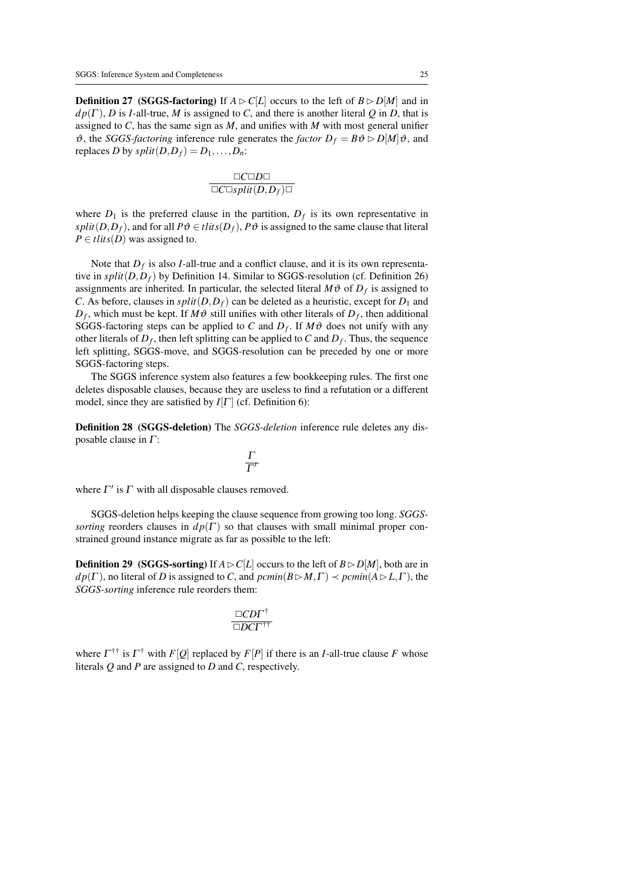**Definition 27** (SGGS-factoring) If  $A \triangleright C[L]$  occurs to the left of  $B \triangleright D[M]$  and in  $dp(\Gamma)$ , *D* is *I*-all-true, *M* is assigned to *C*, and there is another literal *Q* in *D*, that is assigned to *C*, has the same sign as *M*, and unifies with *M* with most general unifier  $\vartheta$ , the *SGGS-factoring* inference rule generates the *factor*  $D_f = B\vartheta \triangleright D[M]\vartheta$ , and replaces *D* by  $split(D, D_f) = D_1, \ldots, D_n$ :

$$
\frac{\Box C \Box D \Box}{\Box C \Box split(D,D_f) \Box}
$$

where  $D_1$  is the preferred clause in the partition,  $D_f$  is its own representative in *split*(*D*,*D*<sup>*f*</sup>), and for all  $P\vartheta \in \text{tlits}(D_f)$ ,  $P\vartheta$  is assigned to the same clause that literal  $P \in *tlits*(D)$  was assigned to.

Note that  $D_f$  is also *I*-all-true and a conflict clause, and it is its own representative in  $split(D, D_f)$  by Definition 14. Similar to SGGS-resolution (cf. Definition 26) assignments are inherited. In particular, the selected literal  $M\vartheta$  of  $D_f$  is assigned to *C*. As before, clauses in  $split(D, D_f)$  can be deleted as a heuristic, except for  $D_1$  and  $D_f$ , which must be kept. If  $M\vartheta$  still unifies with other literals of  $D_f$ , then additional SGGS-factoring steps can be applied to *C* and  $D_f$ . If  $M\vartheta$  does not unify with any other literals of  $D_f$ , then left splitting can be applied to C and  $D_f$ . Thus, the sequence left splitting, SGGS-move, and SGGS-resolution can be preceded by one or more SGGS-factoring steps.

The SGGS inference system also features a few bookkeeping rules. The first one deletes disposable clauses, because they are useless to find a refutation or a different model, since they are satisfied by  $I[\Gamma]$  (cf. Definition 6):

Definition 28 (SGGS-deletion) The *SGGS-deletion* inference rule deletes any disposable clause in  $\Gamma$ :

$$
\frac{\Gamma}{\Gamma'}
$$

where  $\Gamma'$  is  $\Gamma$  with all disposable clauses removed.

SGGS-deletion helps keeping the clause sequence from growing too long. *SGGSsorting* reorders clauses in  $dp(\Gamma)$  so that clauses with small minimal proper constrained ground instance migrate as far as possible to the left:

**Definition 29** (SGGS-sorting) If  $A \triangleright C[L]$  occurs to the left of  $B \triangleright D[M]$ , both are in *d p*( $\Gamma$ ), no literal of *D* is assigned to *C*, and  $\text{pclim}(B \triangleright M, \Gamma) \prec \text{pclim}(A \triangleright L, \Gamma)$ , the *SGGS-sorting* inference rule reorders them:

$$
\frac{\Box C D \Gamma^\dagger}{\Box D C \Gamma^{\dagger \dagger}}
$$

where  $\Gamma^{\dagger\dagger}$  is  $\Gamma^{\dagger}$  with  $F[Q]$  replaced by  $F[P]$  if there is an *I*-all-true clause *F* whose literals *Q* and *P* are assigned to *D* and *C*, respectively.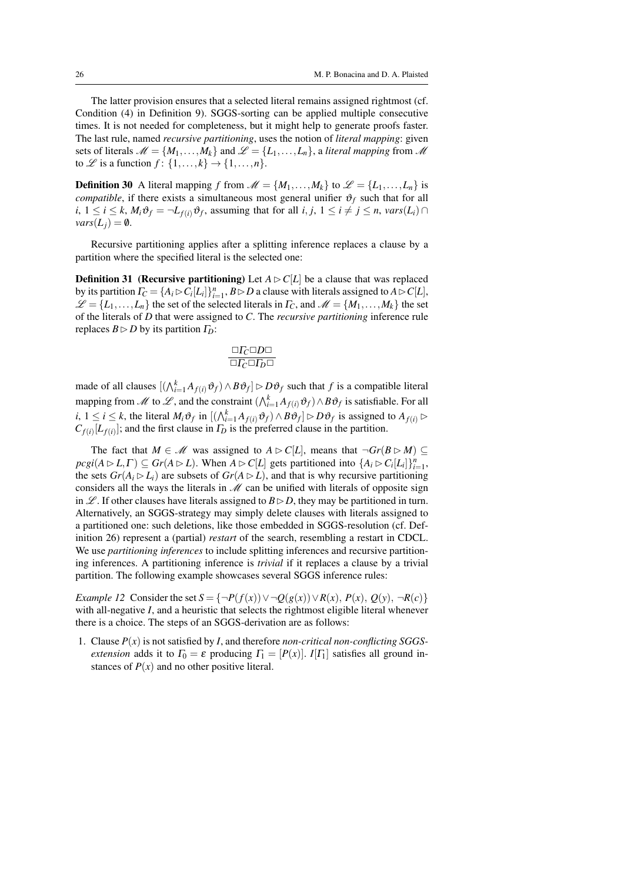The latter provision ensures that a selected literal remains assigned rightmost (cf. Condition (4) in Definition 9). SGGS-sorting can be applied multiple consecutive times. It is not needed for completeness, but it might help to generate proofs faster. The last rule, named *recursive partitioning*, uses the notion of *literal mapping*: given sets of literals  $\mathcal{M} = \{M_1, \ldots, M_k\}$  and  $\mathcal{L} = \{L_1, \ldots, L_n\}$ , a *literal mapping* from  $\mathcal{M}$ to  $\mathcal{L}$  is a function  $f: \{1, \ldots, k\} \rightarrow \{1, \ldots, n\}.$ 

**Definition 30** A literal mapping *f* from  $\mathcal{M} = \{M_1, \ldots, M_k\}$  to  $\mathcal{L} = \{L_1, \ldots, L_n\}$  is *compatible*, if there exists a simultaneous most general unifier  $\vartheta_f$  such that for all  $i, 1 \leq i \leq k$ ,  $M_i \vartheta_f = \neg L_{f(i)} \vartheta_f$ , assuming that for all  $i, j, 1 \leq i \neq j \leq n$ ,  $vars(L_i) \cap I$  $vars(L_i) = \emptyset$ .

Recursive partitioning applies after a splitting inference replaces a clause by a partition where the specified literal is the selected one:

**Definition 31** (**Recursive partitioning**) Let  $A \triangleright C[L]$  be a clause that was replaced by its partition  $\Gamma_C = \{A_i \rhd C_i[L_i]\}_{i=1}^n$ ,  $B \rhd D$  a clause with literals assigned to  $A \rhd C[L]$ ,  $\mathscr{L} = \{L_1, \ldots, L_n\}$  the set of the selected literals in  $\Gamma_C$ , and  $\mathscr{M} = \{M_1, \ldots, M_k\}$  the set of the literals of *D* that were assigned to *C*. The *recursive partitioning* inference rule replaces  $B \triangleright D$  by its partition  $\Gamma_D$ :

$$
\frac{\Box \varGamma_C \Box D \Box}{\Box \varGamma_C \Box \varGamma_D \Box}
$$

made of all clauses  $[(\bigwedge_{i=1}^{k} A_{f(i)} \vartheta_f) \wedge B \vartheta_f] \rhd D \vartheta_f$  such that *f* is a compatible literal mapping from  $\mathcal M$  to  $\mathcal L$ , and the constraint  $(\bigwedge_{i=1}^k A_{f(i)}\vartheta_f) \wedge B\vartheta_f$  is satisfiable. For all *i*, 1 ≤ *i* ≤ *k*, the literal  $M_i \vartheta_f$  in  $[(\bigwedge_{i=1}^k A_{f(i)} \vartheta_f) \wedge B \vartheta_f] \triangleright D \vartheta_f$  is assigned to  $A_{f(i)} \triangleright$  $C_{f(i)}[L_{f(i)}]$ ; and the first clause in  $\Gamma_D$  is the preferred clause in the partition.

The fact that  $M \in \mathcal{M}$  was assigned to  $A \triangleright C[L]$ , means that  $\neg Gr(B \triangleright M) \subseteq$  $\text{proj}(A \triangleright L, \Gamma) \subseteq \text{Gr}(A \triangleright L)$ . When  $A \triangleright C[L]$  gets partitioned into  $\{A_i \triangleright C_i[L_i]\}_{i=1}^n$ , the sets  $Gr(A_i \triangleright L_i)$  are subsets of  $Gr(A \triangleright L)$ , and that is why recursive partitioning considers all the ways the literals in  $M$  can be unified with literals of opposite sign in  $\mathscr L$ . If other clauses have literals assigned to  $B \triangleright D$ , they may be partitioned in turn. Alternatively, an SGGS-strategy may simply delete clauses with literals assigned to a partitioned one: such deletions, like those embedded in SGGS-resolution (cf. Definition 26) represent a (partial) *restart* of the search, resembling a restart in CDCL. We use *partitioning inferences* to include splitting inferences and recursive partitioning inferences. A partitioning inference is *trivial* if it replaces a clause by a trivial partition. The following example showcases several SGGS inference rules:

*Example 12* Consider the set  $S = \{\neg P(f(x)) \vee \neg Q(g(x)) \vee R(x), P(x), Q(y), \neg R(c)\}\$ with all-negative *I*, and a heuristic that selects the rightmost eligible literal whenever there is a choice. The steps of an SGGS-derivation are as follows:

1. Clause *P*(*x*) is not satisfied by *I*, and therefore *non-critical non-conflicting SGGSextension* adds it to  $\Gamma_0 = \varepsilon$  producing  $\Gamma_1 = [P(x)]$ . *I*[ $\Gamma_1$ ] satisfies all ground instances of  $P(x)$  and no other positive literal.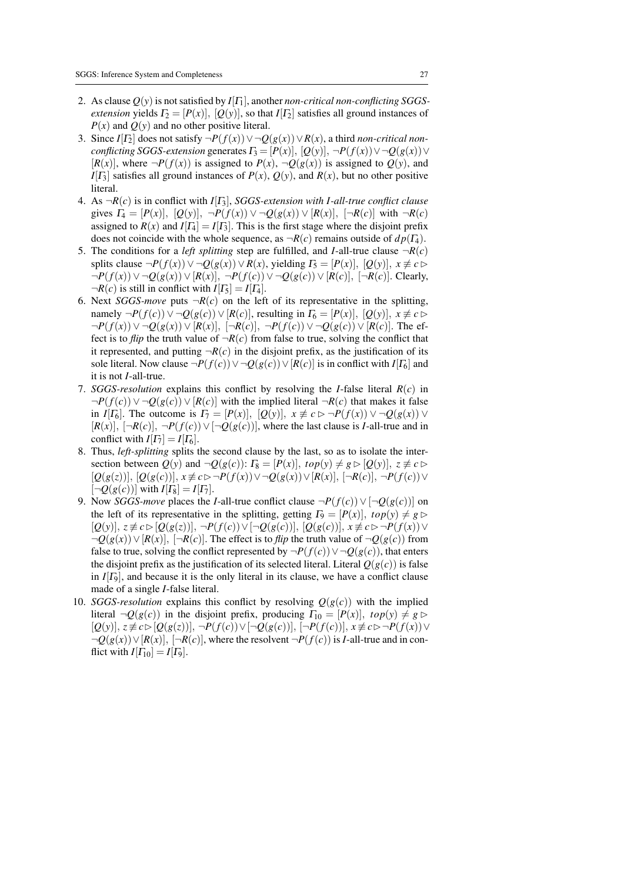- 2. As clause  $Q(y)$  is not satisfied by  $I[T_1]$ , another *non-critical non-conflicting SGGSextension* yields  $\Gamma_2 = [P(x)], [Q(y)],$  so that  $I[\Gamma_2]$  satisfies all ground instances of  $P(x)$  and  $Q(y)$  and no other positive literal.
- 3. Since  $I[T_2]$  does not satisfy  $\neg P(f(x)) \vee \neg Q(g(x)) \vee R(x)$ , a third *non-critical nonconflicting SGGS-extension* generates  $\Gamma_3 = [P(x)], [Q(y)], \neg P(f(x)) \vee \neg Q(g(x)) \vee$  $[R(x)]$ , where  $\neg P(f(x))$  is assigned to  $P(x)$ ,  $\neg Q(g(x))$  is assigned to  $Q(y)$ , and *I*[ $\Gamma_3$ ] satisfies all ground instances of  $P(x)$ ,  $Q(y)$ , and  $R(x)$ , but no other positive literal.
- 4. As ¬*R*(*c*) is in conflict with *I*[Γ3], *SGGS-extension with I-all-true conflict clause* gives  $\Gamma_4 = [P(x)], [Q(y)], \neg P(f(x)) \vee \neg Q(g(x)) \vee [R(x)], [\neg R(c)]$  with  $\neg R(c)$ assigned to  $R(x)$  and  $I[T_4] = I[T_3]$ . This is the first stage where the disjoint prefix does not coincide with the whole sequence, as  $\neg R(c)$  remains outside of  $dp(T_4)$ .
- 5. The conditions for a *left splitting* step are fulfilled, and *I*-all-true clause  $\neg R(c)$ splits clause  $\neg P(f(x)) \vee \neg Q(g(x)) \vee R(x)$ , yielding  $\Gamma_5 = [P(x)], [Q(y)], x \not\equiv c \triangleright$  $\neg P(f(x)) \vee \neg Q(g(x)) \vee [R(x)], \neg P(f(c)) \vee \neg Q(g(c)) \vee [R(c)], \neg R(c)].$  Clearly,  $\neg R(c)$  is still in conflict with  $I[T_5] = I[T_4]$ .
- 6. Next *SGGS-move* puts  $\neg R(c)$  on the left of its representative in the splitting, namely  $\neg P(f(c)) \vee \neg Q(g(c)) \vee [R(c)]$ , resulting in  $\Gamma_6 = [P(x)], [Q(y)], x \not\equiv c \triangleright$  $\neg P(f(x)) \vee \neg Q(g(x)) \vee [R(x)], \ \neg P(f(c)), \ \neg P(f(c)) \vee \neg Q(g(c)) \vee [R(c)].$  The effect is to *flip* the truth value of  $\neg R(c)$  from false to true, solving the conflict that it represented, and putting  $\neg R(c)$  in the disjoint prefix, as the justification of its sole literal. Now clause  $\neg P(f(c)) \vee \neg Q(g(c)) \vee [R(c)]$  is in conflict with *I*[Γ<sub>6</sub>] and it is not *I*-all-true.
- 7. *SGGS-resolution* explains this conflict by resolving the *I*-false literal *R*(*c*) in  $\neg P(f(c)) \vee \neg Q(g(c)) \vee [R(c)]$  with the implied literal  $\neg R(c)$  that makes it false in *I*[ $\Gamma_6$ ]. The outcome is  $\Gamma_7 = [P(x)], [Q(y)], x \not\equiv c \rhd \neg P(f(x)) \vee \neg Q(g(x)) \vee$  $[R(x)], \, [\neg R(c)], \, \neg P(f(c)) \vee [\neg Q(g(c))],$  where the last clause is *I*-all-true and in conflict with  $I[T_7] = I[T_6]$ .
- 8. Thus, *left-splitting* splits the second clause by the last, so as to isolate the intersection between  $Q(y)$  and  $\neg Q(g(c))$ :  $\Gamma_8 = [P(x)]$ ,  $top(y) \neq g \triangleright [Q(y)]$ ,  $z \neq c \triangleright$  $[Q(g(z))], [Q(g(c))], x \not\equiv c \triangleright \neg P(f(x)) \vee \neg Q(g(x)) \vee [R(x)], \neg R(c)], \neg P(f(c)) \vee$  $[\neg Q(g(c))]$  with  $I[\Gamma_8] = I[\Gamma_7]$ .
- 9. Now *SGGS-move* places the *I*-all-true conflict clause  $\neg P(f(c)) \vee \neg Q(g(c))$  on the left of its representative in the splitting, getting  $\Gamma_9 = [P(x)]$ ,  $top(y) \neq g \triangleright$  $[Q(y)], z \not\equiv c \triangleright [Q(g(z))], \neg P(f(c)) \vee [\neg Q(g(c))], [Q(g(c))], x \not\equiv c \triangleright \neg P(f(x)) \vee$  $\neg Q(g(x)) \vee [R(x)], \, [\neg R(c)]$ . The effect is to *flip* the truth value of  $\neg Q(g(c))$  from false to true, solving the conflict represented by  $\neg P(f(c)) \vee \neg Q(g(c))$ , that enters the disjoint prefix as the justification of its selected literal. Literal  $Q(g(c))$  is false in  $I[\Gamma_9]$ , and because it is the only literal in its clause, we have a conflict clause made of a single *I*-false literal.
- 10. *SGGS-resolution* explains this conflict by resolving  $Q(g(c))$  with the implied literal  $\neg Q(g(c))$  in the disjoint prefix, producing  $\Gamma_{10} = [P(x)]$ ,  $top(y) \neq g \triangleright$  $[Q(y)], z \not\equiv c \triangleright [Q(g(z))], \neg P(f(c)) \vee [\neg Q(g(c))], [\neg P(f(c))], x \not\equiv c \triangleright \neg P(f(x)) \vee$  $\neg Q(g(x)) \vee [R(x)]$ ,  $\neg R(c)$ , where the resolvent  $\neg P(f(c))$  is *I*-all-true and in conflict with  $I[\Gamma_{10}] = I[\Gamma_9]$ .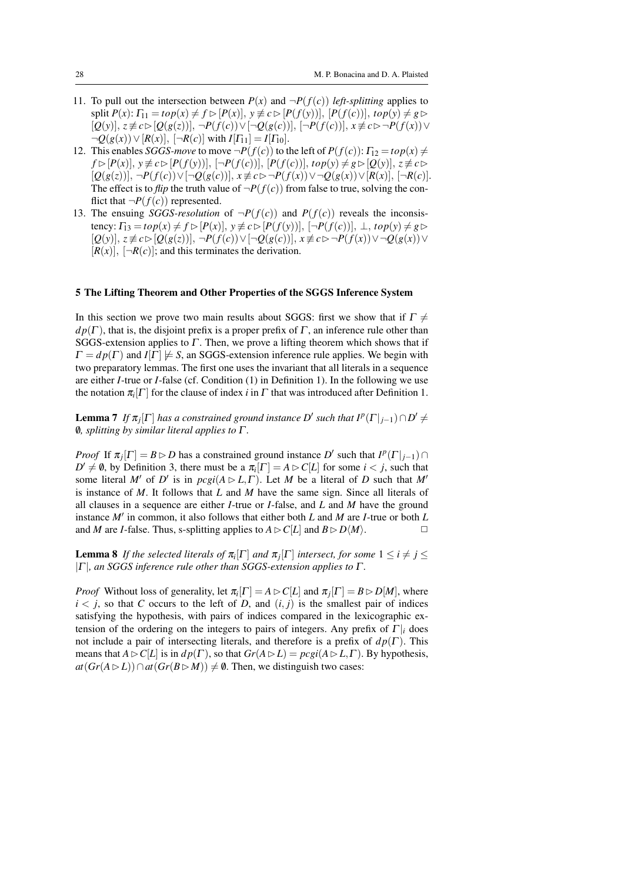- 11. To pull out the intersection between  $P(x)$  and  $\neg P(f(c))$  *left-splitting* applies to  $\text{split } P(x): \Gamma_{11} = \text{top}(x) \neq f \triangleright [P(x)], y \not\equiv c \triangleright [P(f(y))], [P(f(c))], \text{top}(y) \neq g \triangleright$  $[Q(y)], z \not\equiv c \triangleright [Q(g(z))], \neg P(f(c)) \vee [\neg Q(g(c))], [\neg P(f(c))], x \not\equiv c \triangleright \neg P(f(x)) \vee$  $\neg Q(g(x)) \lor [R(x)], \ [\neg R(c)] \text{ with } I[\Gamma_{11}] = I[\Gamma_{10}].$
- 12. This enables *SGGS-move* to move  $\neg P(f(c))$  to the left of  $P(f(c))$ :  $\Gamma_{12} = \log(x) \neq$  $f \triangleright [P(x)], y \not\equiv c \triangleright [P(f(y))], \neg P(f(c))], [P(f(c))], top(y) \neq g \triangleright [Q(y)], z \not\equiv c \triangleright$  $[Q(g(z))], \neg P(f(c)) \vee [\neg Q(g(c))], x \not\equiv c \triangleright \neg P(f(x)) \vee \neg Q(g(x)) \vee [R(x)], [\neg R(c)].$ The effect is to *flip* the truth value of  $\neg P(f(c))$  from false to true, solving the conflict that  $\neg P(f(c))$  represented.
- 13. The ensuing *SGGS-resolution* of  $\neg P(f(c))$  and  $P(f(c))$  reveals the inconsis $t$ ency:  $\Gamma_{13} = \frac{top(x) \neq f \triangleright [P(x)], y \neq c \triangleright [P(f(y))], [-P(f(c))], \bot, \text{top}(y) \neq g \triangleright$  $[\mathcal{Q}(y)], z \not\equiv c \triangleright [\mathcal{Q}(g(z))], \neg P(f(c)) \vee [\neg \mathcal{Q}(g(c))], x \not\equiv c \triangleright \neg P(f(x)) \vee \neg \mathcal{Q}(g(x)) \vee$  $[R(x)], \, [\neg R(c)];$  and this terminates the derivation.

# 5 The Lifting Theorem and Other Properties of the SGGS Inference System

In this section we prove two main results about SGGS: first we show that if  $\Gamma \neq$  $dp(\Gamma)$ , that is, the disjoint prefix is a proper prefix of  $\Gamma$ , an inference rule other than SGGS-extension applies to  $\Gamma$ . Then, we prove a lifting theorem which shows that if  $\Gamma = dp(\Gamma)$  and  $I[\Gamma] \not\models S$ , an SGGS-extension inference rule applies. We begin with two preparatory lemmas. The first one uses the invariant that all literals in a sequence are either *I*-true or *I*-false (cf. Condition (1) in Definition 1). In the following we use the notation  $\pi_i[\Gamma]$  for the clause of index *i* in  $\Gamma$  that was introduced after Definition 1.

**Lemma 7** If  $\pi_j[\Gamma]$  has a constrained ground instance D' such that  $I^p(\Gamma|_{j-1}) \cap D' \neq D'$ /0*, splitting by similar literal applies to* Γ *.*

*Proof* If  $\pi_j[\Gamma] = B \triangleright D$  has a constrained ground instance *D'* such that  $I^p(\Gamma|_{j-1}) \cap$  $D' \neq \emptyset$ , by Definition 3, there must be a  $\pi_i[\Gamma] = A \triangleright C[L]$  for some  $i < j$ , such that some literal *M'* of *D'* is in  $\text{pcgi}(A \triangleright L, \Gamma)$ . Let *M* be a literal of *D* such that *M'* is instance of *M*. It follows that *L* and *M* have the same sign. Since all literals of all clauses in a sequence are either *I*-true or *I*-false, and *L* and *M* have the ground instance  $M'$  in common, it also follows that either both  $L$  and  $M$  are  $I$ -true or both  $L$ and *M* are *I*-false. Thus, s-splitting applies to  $A \triangleright C[L]$  and  $B \triangleright D\langle M \rangle$ .

**Lemma 8** If the selected literals of  $\pi_i[\Gamma]$  and  $\pi_j[\Gamma]$  intersect, for some  $1 \leq i \neq j \leq$ |Γ |*, an SGGS inference rule other than SGGS-extension applies to* Γ *.*

*Proof* Without loss of generality, let  $\pi_i[\Gamma] = A \triangleright C[L]$  and  $\pi_j[\Gamma] = B \triangleright D[M]$ , where  $i < j$ , so that *C* occurs to the left of *D*, and  $(i, j)$  is the smallest pair of indices satisfying the hypothesis, with pairs of indices compared in the lexicographic extension of the ordering on the integers to pairs of integers. Any prefix of  $\Gamma$ <sup>*|<sub>i</sub>*</sup> does not include a pair of intersecting literals, and therefore is a prefix of  $dp(\Gamma)$ . This means that  $A \triangleright C[L]$  is in  $dp(\Gamma)$ , so that  $Gr(A \triangleright L) = pcgi(A \triangleright L, \Gamma)$ . By hypothesis, *at*( $Gr(A \triangleright L)$ )∩*at*( $Gr(B \triangleright M)$ ) ≠  $\emptyset$ . Then, we distinguish two cases: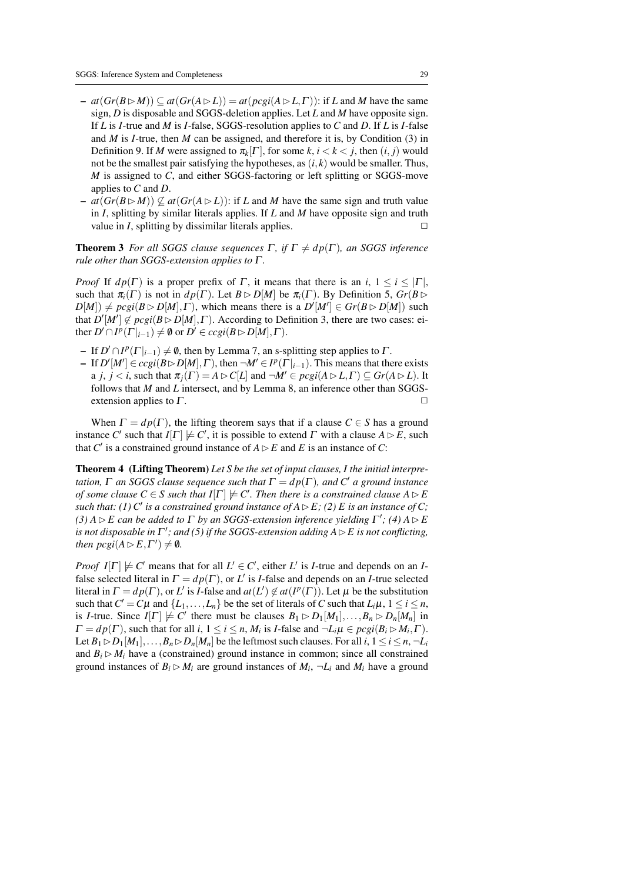- $\leq$  *at*(*Gr*(*B* ⊵ *M*)) ⊆ *at*(*Gr*(*A* ⊵ *L*)) = *at*(*pcgi*(*A* ⊵ *L*, Γ)): if *L* and *M* have the same sign, *D* is disposable and SGGS-deletion applies. Let *L* and *M* have opposite sign. If *L* is *I*-true and *M* is *I*-false, SGGS-resolution applies to *C* and *D*. If *L* is *I*-false and *M* is *I*-true, then *M* can be assigned, and therefore it is, by Condition (3) in Definition 9. If *M* were assigned to  $\pi_k[\Gamma]$ , for some  $k, i < k < j$ , then  $(i, j)$  would not be the smallest pair satisfying the hypotheses, as  $(i, k)$  would be smaller. Thus, *M* is assigned to *C*, and either SGGS-factoring or left splitting or SGGS-move applies to *C* and *D*.
- $at(Gr(B \triangleright M)) \nsubseteq at(Gr(A \triangleright L))$ : if *L* and *M* have the same sign and truth value in *I*, splitting by similar literals applies. If *L* and *M* have opposite sign and truth value in *I*, splitting by dissimilar literals applies.

**Theorem 3** *For all SGGS clause sequences*  $\Gamma$ *, if*  $\Gamma \neq dp(\Gamma)$ *, an SGGS inference rule other than SGGS-extension applies to* Γ *.*

*Proof* If  $d p(\Gamma)$  is a proper prefix of Γ, it means that there is an *i*,  $1 \le i \le |\Gamma|$ , such that  $\pi_i(\Gamma)$  is not in  $dp(\Gamma)$ . Let  $B \triangleright D[M]$  be  $\pi_i(\Gamma)$ . By Definition 5,  $Gr(B \triangleright$  $D[M]) \neq pcgi(B \triangleright D[M], \Gamma)$ , which means there is a  $D'[M'] \in Gr(B \triangleright D[M])$  such that  $D'[M'] \notin proj(B \triangleright D[M], \Gamma)$ . According to Definition 3, there are two cases: either  $D' \cap I^p(\Gamma|_{i-1}) \neq \emptyset$  or  $D' \in cccgi(B \rhd D[M], \Gamma)$ .

- $-$  If *D'* ∩ *I<sup>p</sup>* ( $\Gamma$ <sub>*i*-1</sub>)  $\neq$  **0**, then by Lemma 7, an s-splitting step applies to Γ.
- $-I$  If  $D'[M'] \in cccgi(B \triangleright D[M], \Gamma)$ , then  $\neg M' \in I^p(\Gamma|_{i-1})$ . This means that there exists a *j*,  $j < i$ , such that  $\pi_i(\Gamma) = A \triangleright C[L]$  and  $\neg M' \in pcgi(A \triangleright L, \Gamma) \subseteq Gr(A \triangleright L)$ . It follows that *M* and *L* intersect, and by Lemma 8, an inference other than SGGSextension applies to  $\Gamma$ .

When  $\Gamma = dp(\Gamma)$ , the lifting theorem says that if a clause  $C \in S$  has a ground instance *C'* such that  $I[\Gamma] \not\models C'$ , it is possible to extend  $\Gamma$  with a clause  $A \triangleright E$ , such that *C'* is a constrained ground instance of  $A \triangleright E$  and *E* is an instance of *C*:

Theorem 4 (Lifting Theorem) *Let S be the set of input clauses, I the initial interpretation,*  $\Gamma$  *an SGGS clause sequence such that*  $\Gamma = dp(\Gamma)$ *, and*  $C'$  *a ground instance of some clause*  $C \in S$  such that  $I[\Gamma] \not\models C'$ . Then there is a constrained clause  $A \triangleright E$ *such that: (1)*  $C'$  *is a constrained ground instance of A*  $\triangleright$  *E; (2)*  $E$  *is an instance of C; (3)*  $A \triangleright E$  can be added to  $\Gamma$  by an SGGS-extension inference yielding  $\Gamma'$ ; (4)  $A \triangleright E$ *is not disposable in*  $\Gamma'$ ; and (5) if the SGGS-extension adding  $A \triangleright E$  is not conflicting, *then*  $\text{pcgi}(A \triangleright E, \Gamma') \neq \emptyset$ *.* 

*Proof*  $I[\Gamma] \not\models C'$  means that for all  $L' \in C'$ , either  $L'$  is *I*-true and depends on an *I*false selected literal in  $\Gamma = dp(\Gamma)$ , or *L'* is *I*-false and depends on an *I*-true selected literal in  $\Gamma = dp(\Gamma)$ , or *L'* is *I*-false and  $at(L') \notin at(P(\Gamma))$ . Let  $\mu$  be the substitution such that  $C' = C\mu$  and  $\{L_1, \ldots, L_n\}$  be the set of literals of *C* such that  $L_i\mu$ ,  $1 \le i \le n$ , is *I*-true. Since  $I[\Gamma] \not\models C'$  there must be clauses  $B_1 \rhd D_1[M_1],...,B_n \rhd D_n[M_n]$  in  $\Gamma = dp(\Gamma)$ , such that for all *i*,  $1 \le i \le n$ ,  $M_i$  is *I*-false and  $\neg L_i \mu \in pcgi(B_i \rhd M_i, \Gamma)$ . Let  $B_1 \triangleright D_1[M_1], \ldots, B_n \triangleright D_n[M_n]$  be the leftmost such clauses. For all *i*,  $1 \le i \le n, \neg L_i$ and  $B_i \triangleright M_i$  have a (constrained) ground instance in common; since all constrained ground instances of  $B_i \triangleright M_i$  are ground instances of  $M_i$ ,  $\neg L_i$  and  $M_i$  have a ground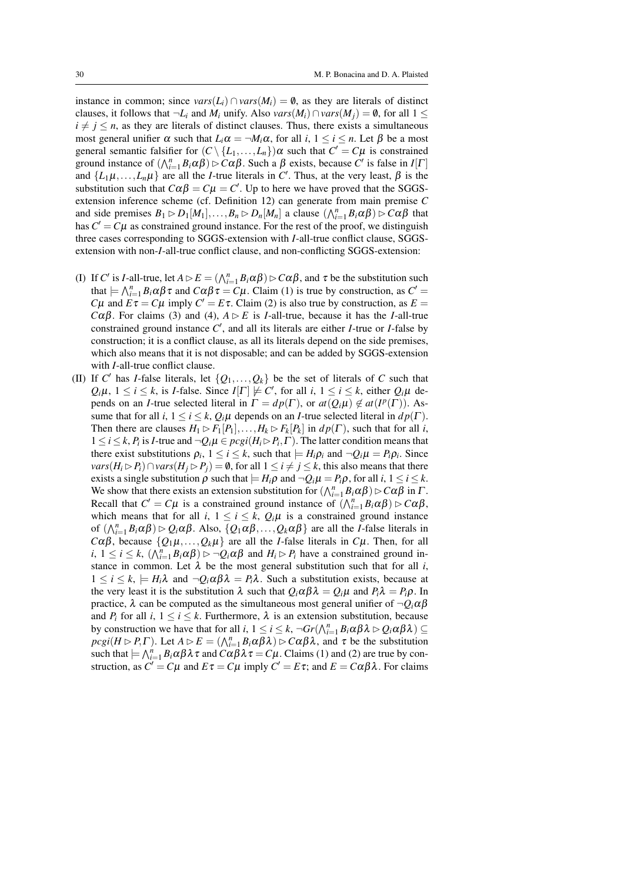instance in common; since  $vars(L_i) \cap vars(M_i) = \emptyset$ , as they are literals of distinct clauses, it follows that  $\neg L_i$  and  $M_i$  unify. Also  $vars(M_i) \cap vars(M_j) = \emptyset$ , for all  $1 \leq$  $i \neq j \leq n$ , as they are literals of distinct clauses. Thus, there exists a simultaneous most general unifier  $\alpha$  such that  $L_i\alpha = \neg M_i\alpha$ , for all  $i, 1 \le i \le n$ . Let  $\beta$  be a most general semantic falsifier for  $(C \setminus \{L_1, \ldots, L_n\})\alpha$  such that  $C' = C\mu$  is constrained ground instance of  $(\bigwedge_{i=1}^{n} B_i \alpha \beta) \triangleright C \alpha \beta$ . Such a  $\beta$  exists, because  $C'$  is false in *I*[*Γ*] and  $\{L_1\mu, \ldots, L_n\mu\}$  are all the *I*-true literals in C'. Thus, at the very least,  $\beta$  is the substitution such that  $C\alpha\beta = C\mu = C'$ . Up to here we have proved that the SGGSextension inference scheme (cf. Definition 12) can generate from main premise *C* and side premises  $B_1 \triangleright D_1[M_1], \ldots, B_n \triangleright D_n[M_n]$  a clause  $(\bigwedge_{i=1}^n B_i \alpha \beta) \triangleright C \alpha \beta$  that has  $C' = C\mu$  as constrained ground instance. For the rest of the proof, we distinguish three cases corresponding to SGGS-extension with *I*-all-true conflict clause, SGGSextension with non-*I*-all-true conflict clause, and non-conflicting SGGS-extension:

- (I) If *C'* is *I*-all-true, let  $A \triangleright E = (\bigwedge_{i=1}^{n} B_i \alpha \beta) \triangleright C \alpha \beta$ , and  $\tau$  be the substitution such that  $\models \bigwedge_{i=1}^n B_i \alpha \beta \tau$  and  $C\alpha \beta \tau = C\mu$ . Claim (1) is true by construction, as  $C' =$ *C*µ and  $E\tau = C\mu$  imply  $C' = E\tau$ . Claim (2) is also true by construction, as  $E =$ *C*αβ. For claims (3) and (4),  $A \triangleright E$  is *I*-all-true, because it has the *I*-all-true constrained ground instance  $C'$ , and all its literals are either *I*-true or *I*-false by construction; it is a conflict clause, as all its literals depend on the side premises, which also means that it is not disposable; and can be added by SGGS-extension with *I*-all-true conflict clause.
- (II) If *C*<sup> $\prime$ </sup> has *I*-false literals, let  $\{Q_1, \ldots, Q_k\}$  be the set of literals of *C* such that  $Q_i\mu$ ,  $1 \leq i \leq k$ , is *I*-false. Since  $I[\Gamma] \not\models C'$ , for all *i*,  $1 \leq i \leq k$ , either  $Q_i\mu$  depends on an *I*-true selected literal in  $\Gamma = dp(\Gamma)$ , or  $at(Q_i\mu) \notin at(I^p(\Gamma))$ . Assume that for all *i*,  $1 \le i \le k$ ,  $Q_i\mu$  depends on an *I*-true selected literal in  $dp(\Gamma)$ . Then there are clauses  $H_1 \triangleright F_1[P_1], \ldots, H_k \triangleright F_k[P_k]$  in  $dp(\Gamma)$ , such that for all *i*,  $1 \leq i \leq k$ ,  $P_i$  is *I*-true and  $\neg Q_i \mu \in \text{pcgi}(H_i \triangleright P_i, \Gamma)$ . The latter condition means that there exist substitutions  $\rho_i$ ,  $1 \le i \le k$ , such that  $\models H_i \rho_i$  and  $\neg Q_i \mu = P_i \rho_i$ . Since *vars*( $H_i \triangleright P_i$ )∩*vars*( $H_j \triangleright P_j$ ) = 0, for all 1 ≤ *i* ≠ *j* ≤ *k*, this also means that there exists a single substitution  $\rho$  such that  $\vert H_i \rho$  and  $\neg Q_i \mu = P_i \rho$ , for all  $i, 1 \le i \le k$ . We show that there exists an extension substitution for  $(\bigwedge_{i=1}^{n} B_i \alpha \beta) \triangleright C \alpha \beta$  in  $\Gamma$ . Recall that  $C' = C\mu$  is a constrained ground instance of  $(\bigwedge_{i=1}^{n} B_i \alpha \beta) \triangleright C\alpha \beta$ , which means that for all *i*,  $1 \le i \le k$ ,  $Q_i \mu$  is a constrained ground instance of  $(\bigwedge_{i=1}^{n} B_i \alpha \beta) \triangleright Q_i \alpha \beta$ . Also,  $\{Q_1 \alpha \beta, \dots, Q_k \alpha \beta\}$  are all the *I*-false literals in *C*αβ, because  $\{Q_1\mu, \ldots, Q_k\mu\}$  are all the *I*-false literals in *C*μ. Then, for all *i*,  $1 \le i \le k$ ,  $(\bigwedge_{i=1}^{n} B_i \alpha \beta) \triangleright \neg Q_i \alpha \beta$  and  $H_i \triangleright P_i$  have a constrained ground instance in common. Let  $\lambda$  be the most general substitution such that for all *i*,  $1 \leq i \leq k$ ,  $\models H_i \lambda$  and  $\neg Q_i \alpha \beta \lambda = P_i \lambda$ . Such a substitution exists, because at the very least it is the substitution  $\lambda$  such that  $Q_i \alpha \beta \lambda = Q_i \mu$  and  $P_i \lambda = P_i \rho$ . In practice,  $\lambda$  can be computed as the simultaneous most general unifier of  $\neg Q_i \alpha \beta$ and  $P_i$  for all  $i, 1 \le i \le k$ . Furthermore,  $\lambda$  is an extension substitution, because by construction we have that for all *i*,  $1 \le i \le k$ ,  $\neg Gr(\bigwedge_{i=1}^{n} B_i \alpha \beta \lambda \rhd Q_i \alpha \beta \lambda) \subseteq$  $\text{proj}(H \triangleright P, \Gamma)$ . Let  $A \triangleright E = (\bigwedge_{i=1}^{n} B_i \alpha \beta \lambda) \triangleright C \alpha \beta \lambda$ , and  $\tau$  be the substitution such that  $\models \bigwedge_{i=1}^n B_i \alpha \beta \lambda \tau$  and  $C \alpha \beta \lambda \tau = C \mu$ . Claims (1) and (2) are true by construction, as  $C' = C\mu$  and  $E\tau = C\mu$  imply  $C' = E\tau$ ; and  $E = C\alpha\beta\lambda$ . For claims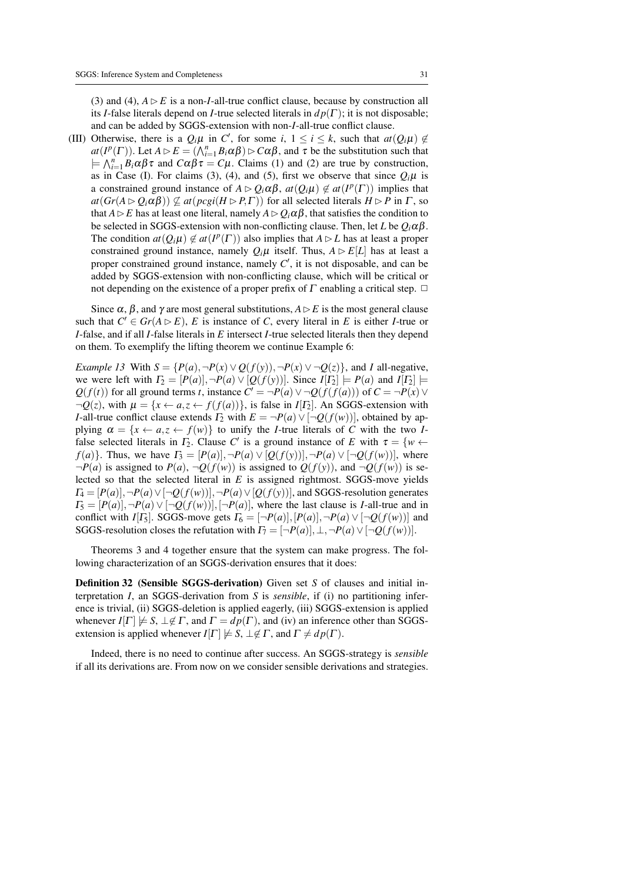(3) and (4),  $A \triangleright E$  is a non-*I*-all-true conflict clause, because by construction all its *I*-false literals depend on *I*-true selected literals in  $dp(\Gamma)$ ; it is not disposable; and can be added by SGGS-extension with non-*I*-all-true conflict clause.

(III) Otherwise, there is a  $Q_i\mu$  in *C*<sup> $\prime$ </sup>, for some *i*,  $1 \le i \le k$ , such that  $at(Q_i\mu) \notin$  $at(P^p(\Gamma))$ . Let  $A \triangleright E = (\bigwedge_{i=1}^n B_i \alpha \beta) \triangleright C \alpha \beta$ , and  $\tau$  be the substitution such that  $\models \bigwedge_{i=1}^{n} B_i \alpha \beta \tau$  and  $C\alpha\beta \tau = C\mu$ . Claims (1) and (2) are true by construction, as in Case (I). For claims (3), (4), and (5), first we observe that since  $Q_i\mu$  is a constrained ground instance of  $A \triangleright Q_i \alpha \beta$ ,  $at(Q_i \mu) \notin at(I^p(\Gamma))$  implies that  $at(Gr(A \triangleright Q_i \alpha \beta)) \nsubseteq at(pcgi(H \triangleright P, \Gamma))$  for all selected literals  $H \triangleright P$  in  $\Gamma$ , so that  $A \triangleright E$  has at least one literal, namely  $A \triangleright Q_i \alpha \beta$ , that satisfies the condition to be selected in SGGS-extension with non-conflicting clause. Then, let *L* be  $O_i \alpha \beta$ . The condition  $at(Q_i\mu) \notin at(I^p(\Gamma))$  also implies that  $A \triangleright L$  has at least a proper constrained ground instance, namely  $Q_i\mu$  itself. Thus,  $A \triangleright E[L]$  has at least a proper constrained ground instance, namely  $C'$ , it is not disposable, and can be added by SGGS-extension with non-conflicting clause, which will be critical or not depending on the existence of a proper prefix of  $\Gamma$  enabling a critical step.  $\Box$ 

Since  $\alpha$ ,  $\beta$ , and  $\gamma$  are most general substitutions,  $A \triangleright E$  is the most general clause such that  $C' \in Gr(A \triangleright E)$ , *E* is instance of *C*, every literal in *E* is either *I*-true or *I*-false, and if all *I*-false literals in *E* intersect *I*-true selected literals then they depend on them. To exemplify the lifting theorem we continue Example 6:

*Example 13* With  $S = \{P(a), \neg P(x) \lor Q(f(y)), \neg P(x) \lor \neg Q(z)\}$ , and *I* all-negative, we were left with  $\Gamma_2 = [P(a)], \neg P(a) \lor [Q(f(y))]$ . Since  $I[\Gamma_2] \models P(a)$  and  $I[\Gamma_2] \models$ *Q*(*f*(*t*)) for all ground terms *t*, instance  $C' = \neg P(a) \vee \neg Q(f(f(a)))$  of  $C = \neg P(x) \vee \neg Q(f(f(a)))$  $\neg Q(z)$ , with  $\mu = \{x \leftarrow a, z \leftarrow f(f(a))\}$ , is false in *I*[*Γ*<sub>2</sub>]. An SGGS-extension with *I*-all-true conflict clause extends  $\Gamma_2$  with  $E = \neg P(a) \vee [\neg Q(f(w))]$ , obtained by applying  $\alpha = \{x \leftarrow a, z \leftarrow f(w)\}\$  to unify the *I*-true literals of *C* with the two *I*false selected literals in  $\Gamma_2$ . Clause C' is a ground instance of E with  $\tau = \{w \leftarrow$ *f*(*a*)}. Thus, we have  $\Gamma_3 = [P(a)], \neg P(a) \vee [Q(f(y))], \neg P(a) \vee [\neg Q(f(w))],$  where  $\neg P(a)$  is assigned to  $P(a)$ ,  $\neg Q(f(w))$  is assigned to  $Q(f(y))$ , and  $\neg Q(f(w))$  is selected so that the selected literal in *E* is assigned rightmost. SGGS-move yields  $\Gamma_4 = [P(a)], \neg P(a) \vee [\neg Q(f(w))], \neg P(a) \vee [Q(f(y))]$ , and SGGS-resolution generates  $\Gamma_5 = [P(a)], \neg P(a) \vee [\neg Q(f(w))], [\neg P(a)],$  where the last clause is *I*-all-true and in conflict with *I*[ $\Gamma_5$ ]. SGGS-move gets  $\Gamma_6 = [\neg P(a)], [P(a)], \neg P(a) \vee [\neg Q(f(w))]$  and SGGS-resolution closes the refutation with  $\Gamma_7 = [\neg P(a)], \bot, \neg P(a) \vee [\neg Q(f(w))].$ 

Theorems 3 and 4 together ensure that the system can make progress. The following characterization of an SGGS-derivation ensures that it does:

Definition 32 (Sensible SGGS-derivation) Given set *S* of clauses and initial interpretation *I*, an SGGS-derivation from *S* is *sensible*, if (i) no partitioning inference is trivial, (ii) SGGS-deletion is applied eagerly, (iii) SGGS-extension is applied whenever  $I[\Gamma] \not\models S, \bot \not\in \Gamma$ , and  $\Gamma = dp(\Gamma)$ , and (iv) an inference other than SGGSextension is applied whenever  $I[\Gamma] \not\models S, \bot \not\in \Gamma$ , and  $\Gamma \not= dp(\Gamma)$ .

Indeed, there is no need to continue after success. An SGGS-strategy is *sensible* if all its derivations are. From now on we consider sensible derivations and strategies.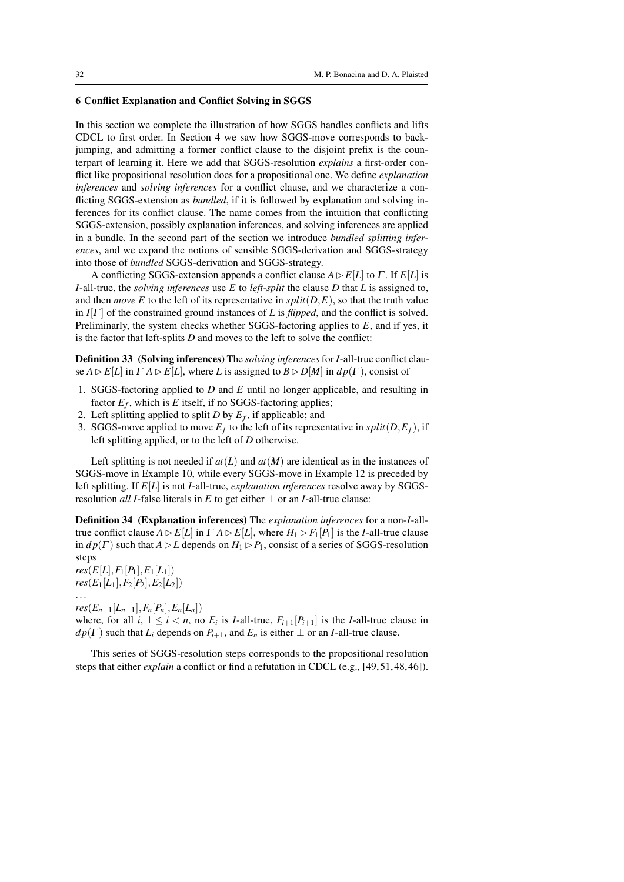# 6 Conflict Explanation and Conflict Solving in SGGS

In this section we complete the illustration of how SGGS handles conflicts and lifts CDCL to first order. In Section 4 we saw how SGGS-move corresponds to backjumping, and admitting a former conflict clause to the disjoint prefix is the counterpart of learning it. Here we add that SGGS-resolution *explains* a first-order conflict like propositional resolution does for a propositional one. We define *explanation inferences* and *solving inferences* for a conflict clause, and we characterize a conflicting SGGS-extension as *bundled*, if it is followed by explanation and solving inferences for its conflict clause. The name comes from the intuition that conflicting SGGS-extension, possibly explanation inferences, and solving inferences are applied in a bundle. In the second part of the section we introduce *bundled splitting inferences*, and we expand the notions of sensible SGGS-derivation and SGGS-strategy into those of *bundled* SGGS-derivation and SGGS-strategy.

A conflicting SGGS-extension appends a conflict clause  $A \triangleright E[L]$  to  $\Gamma$ . If  $E[L]$  is *I*-all-true, the *solving inferences* use *E* to *left-split* the clause *D* that *L* is assigned to, and then *move* E to the left of its representative in  $split(D, E)$ , so that the truth value in  $I[\Gamma]$  of the constrained ground instances of *L* is *flipped*, and the conflict is solved. Preliminarly, the system checks whether SGGS-factoring applies to *E*, and if yes, it is the factor that left-splits *D* and moves to the left to solve the conflict:

Definition 33 (Solving inferences) The *solving inferences*for *I*-all-true conflict clause  $A \triangleright E[L]$  in  $\Gamma A \triangleright E[L]$ , where *L* is assigned to  $B \triangleright D[M]$  in  $dp(\Gamma)$ , consist of

- 1. SGGS-factoring applied to *D* and *E* until no longer applicable, and resulting in factor  $E_f$ , which is  $E$  itself, if no SGGS-factoring applies;
- 2. Left splitting applied to split *D* by *E<sup>f</sup>* , if applicable; and
- 3. SGGS-move applied to move  $E_f$  to the left of its representative in  $split(D, E_f)$ , if left splitting applied, or to the left of *D* otherwise.

Left splitting is not needed if  $at(L)$  and  $at(M)$  are identical as in the instances of SGGS-move in Example 10, while every SGGS-move in Example 12 is preceded by left splitting. If *E*[*L*] is not *I*-all-true, *explanation inferences* resolve away by SGGSresolution *all I*-false literals in *E* to get either  $\perp$  or an *I*-all-true clause:

Definition 34 (Explanation inferences) The *explanation inferences* for a non-*I*-alltrue conflict clause  $A \triangleright E[L]$  in  $\Gamma A \triangleright E[L]$ , where  $H_1 \triangleright F_1[P_1]$  is the *I*-all-true clause in  $dp(\Gamma)$  such that  $A \triangleright L$  depends on  $H_1 \triangleright P_1$ , consist of a series of SGGS-resolution steps

 $res(E[L], F_1[P_1], E_1[L_1])$  $res(E_1[L_1], F_2[P_2], E_2[L_2])$ ...

 $res(E_{n-1}[L_{n-1}], F_n[P_n], E_n[L_n])$ 

where, for all  $i, 1 \leq i < n$ , no  $E_i$  is *I*-all-true,  $F_{i+1}[P_{i+1}]$  is the *I*-all-true clause in  $dp(\Gamma)$  such that  $L_i$  depends on  $P_{i+1}$ , and  $E_n$  is either  $\bot$  or an *I*-all-true clause.

This series of SGGS-resolution steps corresponds to the propositional resolution steps that either *explain* a conflict or find a refutation in CDCL (e.g., [49, 51, 48, 46]).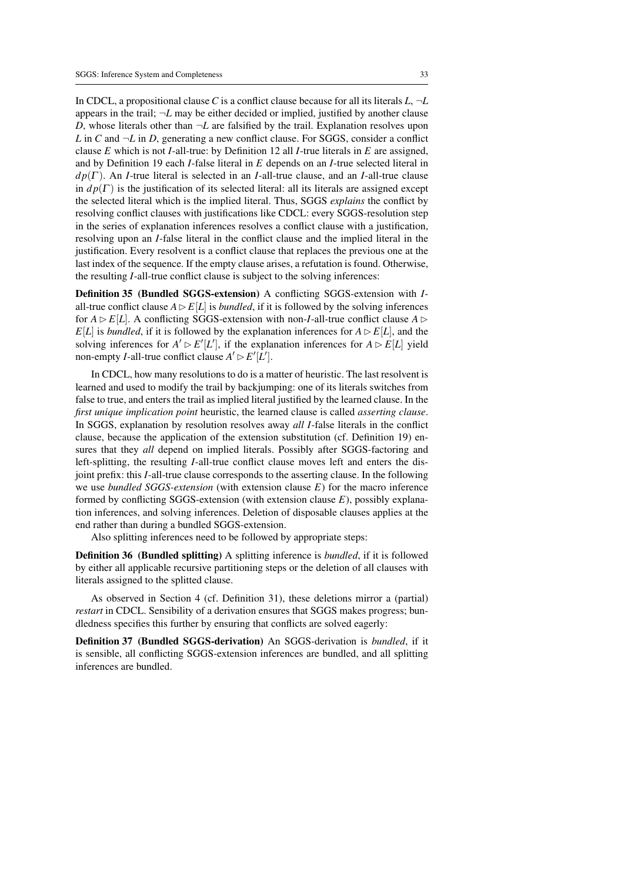In CDCL, a propositional clause *C* is a conflict clause because for all its literals  $L, \neg L$ appears in the trail;  $\neg L$  may be either decided or implied, justified by another clause *D*, whose literals other than  $\neg L$  are falsified by the trail. Explanation resolves upon *L* in *C* and  $\neg L$  in *D*, generating a new conflict clause. For SGGS, consider a conflict clause *E* which is not *I*-all-true: by Definition 12 all *I*-true literals in *E* are assigned, and by Definition 19 each *I*-false literal in *E* depends on an *I*-true selected literal in *d p*(Γ ). An *I*-true literal is selected in an *I*-all-true clause, and an *I*-all-true clause in  $dp(\Gamma)$  is the justification of its selected literal: all its literals are assigned except the selected literal which is the implied literal. Thus, SGGS *explains* the conflict by resolving conflict clauses with justifications like CDCL: every SGGS-resolution step in the series of explanation inferences resolves a conflict clause with a justification, resolving upon an *I*-false literal in the conflict clause and the implied literal in the justification. Every resolvent is a conflict clause that replaces the previous one at the last index of the sequence. If the empty clause arises, a refutation is found. Otherwise, the resulting *I*-all-true conflict clause is subject to the solving inferences:

Definition 35 (Bundled SGGS-extension) A conflicting SGGS-extension with *I*all-true conflict clause  $A \triangleright E[L]$  is *bundled*, if it is followed by the solving inferences for  $A \triangleright E[L]$ . A conflicting SGGS-extension with non-*I*-all-true conflict clause  $A \triangleright$  $E[L]$  is *bundled*, if it is followed by the explanation inferences for  $A \triangleright E[L]$ , and the solving inferences for  $A' \triangleright E'[L']$ , if the explanation inferences for  $A \triangleright E[L]$  yield non-empty *I*-all-true conflict clause  $A' \triangleright E'[L']$ .

In CDCL, how many resolutions to do is a matter of heuristic. The last resolvent is learned and used to modify the trail by backjumping: one of its literals switches from false to true, and enters the trail as implied literal justified by the learned clause. In the *first unique implication point* heuristic, the learned clause is called *asserting clause*. In SGGS, explanation by resolution resolves away *all I*-false literals in the conflict clause, because the application of the extension substitution (cf. Definition 19) ensures that they *all* depend on implied literals. Possibly after SGGS-factoring and left-splitting, the resulting *I*-all-true conflict clause moves left and enters the disjoint prefix: this *I*-all-true clause corresponds to the asserting clause. In the following we use *bundled SGGS-extension* (with extension clause *E*) for the macro inference formed by conflicting SGGS-extension (with extension clause *E*), possibly explanation inferences, and solving inferences. Deletion of disposable clauses applies at the end rather than during a bundled SGGS-extension.

Also splitting inferences need to be followed by appropriate steps:

Definition 36 (Bundled splitting) A splitting inference is *bundled*, if it is followed by either all applicable recursive partitioning steps or the deletion of all clauses with literals assigned to the splitted clause.

As observed in Section 4 (cf. Definition 31), these deletions mirror a (partial) *restart* in CDCL. Sensibility of a derivation ensures that SGGS makes progress; bundledness specifies this further by ensuring that conflicts are solved eagerly:

Definition 37 (Bundled SGGS-derivation) An SGGS-derivation is *bundled*, if it is sensible, all conflicting SGGS-extension inferences are bundled, and all splitting inferences are bundled.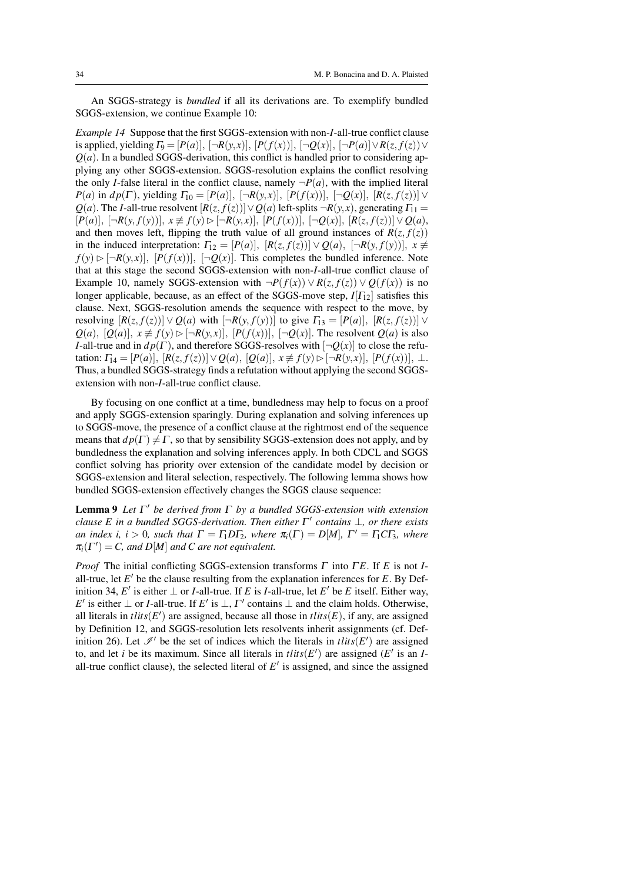An SGGS-strategy is *bundled* if all its derivations are. To exemplify bundled SGGS-extension, we continue Example 10:

*Example 14* Suppose that the first SGGS-extension with non-*I*-all-true conflict clause is applied, yielding  $\Gamma_9 = [P(a)], [\neg R(y,x)], [P(f(x))], [\neg Q(x)], [\neg P(a)] \vee R(z, f(z)) \vee$  $Q(a)$ . In a bundled SGGS-derivation, this conflict is handled prior to considering applying any other SGGS-extension. SGGS-resolution explains the conflict resolving the only *I*-false literal in the conflict clause, namely  $\neg P(a)$ , with the implied literal *P*(*a*) in *dp*(Γ), yielding  $\Gamma_{10} = [P(a)], [\neg R(y,x)], [P(f(x))], [\neg Q(x)], [R(z, f(z))] ∨$ *Q*(*a*). The *I*-all-true resolvent  $[R(z, f(z))] \vee Q(a)$  left-splits  $\neg R(y, x)$ , generating  $\Gamma_{11} =$  $[P(a)], [\neg R(y, f(y))], x \not\equiv f(y) \triangleright [\neg R(y,x)], [P(f(x))], [\neg Q(x)], [R(z, f(z))] \vee Q(a),$ and then moves left, flipping the truth value of all ground instances of  $R(z, f(z))$ in the induced interpretation:  $\Gamma_{12} = [P(a)], [R(z, f(z))] \vee Q(a), [-R(y, f(y))], x \neq$  $f(y) \triangleright [\neg R(y,x)], [P(f(x))], [\neg Q(x)].$  This completes the bundled inference. Note that at this stage the second SGGS-extension with non-*I*-all-true conflict clause of Example 10, namely SGGS-extension with  $\neg P(f(x)) \vee R(z, f(z)) \vee Q(f(x))$  is no longer applicable, because, as an effect of the SGGS-move step,  $I[T_1]$  satisfies this clause. Next, SGGS-resolution amends the sequence with respect to the move, by resolving  $[R(z, f(z))] \vee Q(a)$  with  $[\neg R(y, f(y))]$  to give  $\Gamma_{13} = [P(a)], [R(z, f(z))] \vee$ *Q*(*a*), [*Q*(*a*)],  $x \neq f(y) ⊗ [¬R(y,x)]$ , [*P*(*f*(*x*))], [¬*Q*(*x*)]. The resolvent *Q*(*a*) is also *I*-all-true and in  $dp(\Gamma)$ , and therefore SGGS-resolves with  $\neg Q(x)$  to close the refutation:  $\Gamma_{14} = [P(a)], [R(z, f(z))] ∨ Q(a), [Q(a)], x \not\equiv f(y) ⊳ [¬R(y,x)], [P(f(x))], ⊥.$ Thus, a bundled SGGS-strategy finds a refutation without applying the second SGGSextension with non-*I*-all-true conflict clause.

By focusing on one conflict at a time, bundledness may help to focus on a proof and apply SGGS-extension sparingly. During explanation and solving inferences up to SGGS-move, the presence of a conflict clause at the rightmost end of the sequence means that  $dp(\Gamma) \neq \Gamma$ , so that by sensibility SGGS-extension does not apply, and by bundledness the explanation and solving inferences apply. In both CDCL and SGGS conflict solving has priority over extension of the candidate model by decision or SGGS-extension and literal selection, respectively. The following lemma shows how bundled SGGS-extension effectively changes the SGGS clause sequence:

Lemma 9 *Let* Γ <sup>0</sup> *be derived from* Γ *by a bundled SGGS-extension with extension clause E in a bundled SGGS-derivation. Then either*  $Γ'$  *contains*  $\bot$ *, or there exists an index i, i* > 0*, such that*  $\Gamma = \Gamma_1 D \Gamma_2$ *, where*  $\pi_i(\Gamma) = D[M]$ *,*  $\Gamma' = \Gamma_1 C \Gamma_3$ *, where*  $\pi_i(\Gamma') = C$ , and  $D[M]$  and C are not equivalent.

*Proof* The initial conflicting SGGS-extension transforms  $\Gamma$  into  $\Gamma E$ . If  $E$  is not *I*all-true, let  $E'$  be the clause resulting from the explanation inferences for  $E$ . By Definition 34, *E*' is either  $\perp$  or *I*-all-true. If *E* is *I*-all-true, let *E*' be *E* itself. Either way, *E*' is either  $\perp$  or *I*-all-true. If *E*' is  $\perp$ , *Γ*' contains  $\perp$  and the claim holds. Otherwise, all literals in  $\text{t}$  *tlits*( $E'$ ) are assigned, because all those in  $\text{t}$ *lits*( $E$ ), if any, are assigned by Definition 12, and SGGS-resolution lets resolvents inherit assignments (cf. Definition 26). Let  $\mathcal{I}'$  be the set of indices which the literals in *tlits*(*E'*) are assigned to, and let *i* be its maximum. Since all literals in  $tlits(E')$  are assigned ( $E'$  is an *I*all-true conflict clause), the selected literal of  $E'$  is assigned, and since the assigned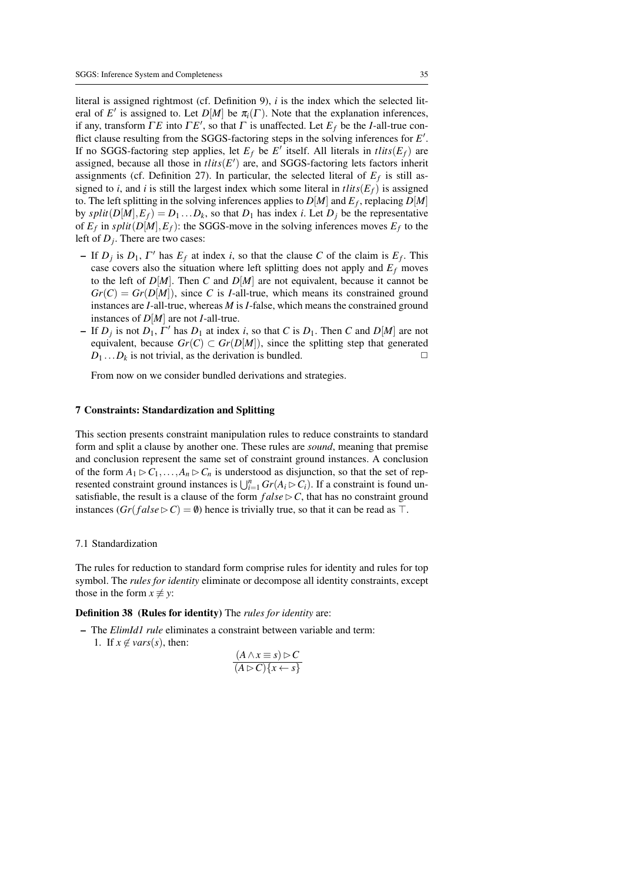literal is assigned rightmost (cf. Definition 9), *i* is the index which the selected literal of *E'* is assigned to. Let *D[M]* be  $\pi_i(\Gamma)$ . Note that the explanation inferences, if any, transform  $\Gamma E$  into  $\Gamma E'$ , so that  $\Gamma$  is unaffected. Let  $E_f$  be the *I*-all-true conflict clause resulting from the SGGS-factoring steps in the solving inferences for *E'*. If no SGGS-factoring step applies, let  $E_f$  be  $E'$  itself. All literals in *tlits*( $E_f$ ) are assigned, because all those in  $tlits(E')$  are, and SGGS-factoring lets factors inherit assignments (cf. Definition 27). In particular, the selected literal of  $E_f$  is still assigned to *i*, and *i* is still the largest index which some literal in  $\text{t}$ lits( $E_f$ ) is assigned to. The left splitting in the solving inferences applies to  $D[M]$  and  $E_f$ , replacing  $D[M]$ by  $split(D[M], E_f) = D_1 \dots D_k$ , so that  $D_1$  has index *i*. Let  $D_j$  be the representative of  $E_f$  in  $split(D[M], E_f)$ : the SGGS-move in the solving inferences moves  $E_f$  to the left of *D<sup>j</sup>* . There are two cases:

- $-$  If  $D_j$  is  $D_1$ ,  $\Gamma'$  has  $E_f$  at index *i*, so that the clause *C* of the claim is  $E_f$ . This case covers also the situation where left splitting does not apply and  $E_f$  moves to the left of  $D[M]$ . Then C and  $D[M]$  are not equivalent, because it cannot be  $Gr(C) = Gr(D[M])$ , since *C* is *I*-all-true, which means its constrained ground instances are *I*-all-true, whereas *M* is *I*-false, which means the constrained ground instances of *D*[*M*] are not *I*-all-true.
- $-I$  If  $D_j$  is not  $D_1$ ,  $\Gamma'$  has  $D_1$  at index *i*, so that *C* is  $D_1$ . Then *C* and  $D[M]$  are not equivalent, because  $Gr(C) \subset Gr(D[M])$ , since the splitting step that generated  $D_1 \dots D_k$  is not trivial, as the derivation is bundled.  $\square$

From now on we consider bundled derivations and strategies.

# 7 Constraints: Standardization and Splitting

This section presents constraint manipulation rules to reduce constraints to standard form and split a clause by another one. These rules are *sound*, meaning that premise and conclusion represent the same set of constraint ground instances. A conclusion of the form  $A_1 \triangleright C_1, \ldots, A_n \triangleright C_n$  is understood as disjunction, so that the set of represented constraint ground instances is  $\bigcup_{i=1}^{n} Gr(A_i \triangleright C_i)$ . If a constraint is found unsatisfiable, the result is a clause of the form  $false \triangleright C$ , that has no constraint ground instances  $(Gr(false \triangleright C) = \emptyset)$  hence is trivially true, so that it can be read as  $\top$ .

# 7.1 Standardization

The rules for reduction to standard form comprise rules for identity and rules for top symbol. The *rules for identity* eliminate or decompose all identity constraints, except those in the form  $x \neq y$ :

Definition 38 (Rules for identity) The *rules for identity* are:

– The *ElimId1 rule* eliminates a constraint between variable and term: 1. If  $x \notin \text{vars}(s)$ , then:

$$
\frac{(A \wedge x \equiv s) \rhd C}{(A \rhd C)\{x \leftarrow s\}}
$$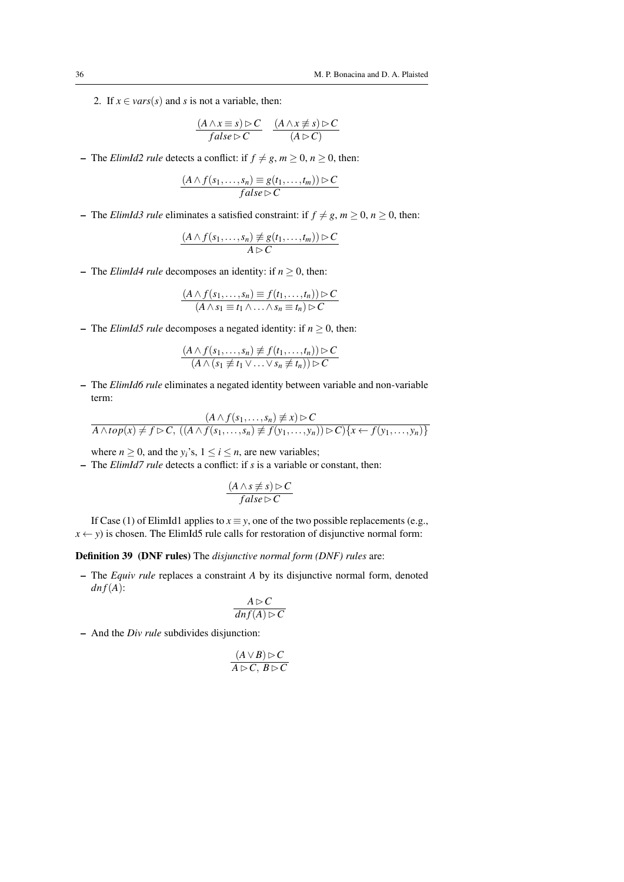2. If  $x \in vars(s)$  and *s* is not a variable, then:

$$
\frac{(A \wedge x \equiv s) \rhd C}{false \rhd C} \quad \frac{(A \wedge x \not\equiv s) \rhd C}{(A \rhd C)}
$$

 $-$  The *ElimId2 rule* detects a conflict: if  $f \neq g, m \geq 0, n \geq 0$ , then:

$$
\frac{(A \wedge f(s_1,\ldots,s_n) \equiv g(t_1,\ldots,t_m)) \triangleright C}{false \triangleright C}
$$

– The *ElimId3 rule* eliminates a satisfied constraint: if  $f \neq g, m \geq 0, n \geq 0$ , then:

$$
\frac{(A \wedge f(s_1,\ldots,s_n) \neq g(t_1,\ldots,t_m)) \triangleright C}{A \triangleright C}
$$

– The *ElimId4 rule* decomposes an identity: if  $n \geq 0$ , then:

$$
\frac{(A \wedge f(s_1,\ldots,s_n) \equiv f(t_1,\ldots,t_n)) \triangleright C}{(A \wedge s_1 \equiv t_1 \wedge \ldots \wedge s_n \equiv t_n) \triangleright C}
$$

– The *ElimId5 rule* decomposes a negated identity: if  $n > 0$ , then:

$$
\frac{(A \wedge f(s_1,\ldots,s_n) \not\equiv f(t_1,\ldots,t_n)) \triangleright C}{(A \wedge (s_1 \not\equiv t_1 \vee \ldots \vee s_n \not\equiv t_n)) \triangleright C}
$$

– The *ElimId6 rule* eliminates a negated identity between variable and non-variable term:

$$
(A \wedge f(s_1, \ldots, s_n) \neq x) \triangleright C
$$
  

$$
A \wedge top(x) \neq f \triangleright C, ((A \wedge f(s_1, \ldots, s_n) \neq f(y_1, \ldots, y_n)) \triangleright C) \{x \leftarrow f(y_1, \ldots, y_n)\}
$$

where  $n \geq 0$ , and the  $y_i$ 's,  $1 \leq i \leq n$ , are new variables;

– The *ElimId7 rule* detects a conflict: if *s* is a variable or constant, then:

$$
\frac{(A \wedge s \not\equiv s) \triangleright C}{false \triangleright C}
$$

If Case (1) of ElimId1 applies to  $x \equiv y$ , one of the two possible replacements (e.g.,  $x \leftarrow y$ ) is chosen. The ElimId5 rule calls for restoration of disjunctive normal form:

Definition 39 (DNF rules) The *disjunctive normal form (DNF) rules* are:

– The *Equiv rule* replaces a constraint *A* by its disjunctive normal form, denoted  $dn f(A)$ :

$$
\frac{A \triangleright C}{\operatorname{dn} f(A) \triangleright C}
$$

– And the *Div rule* subdivides disjunction:

$$
\frac{(A \vee B) \triangleright C}{A \triangleright C, B \triangleright C}
$$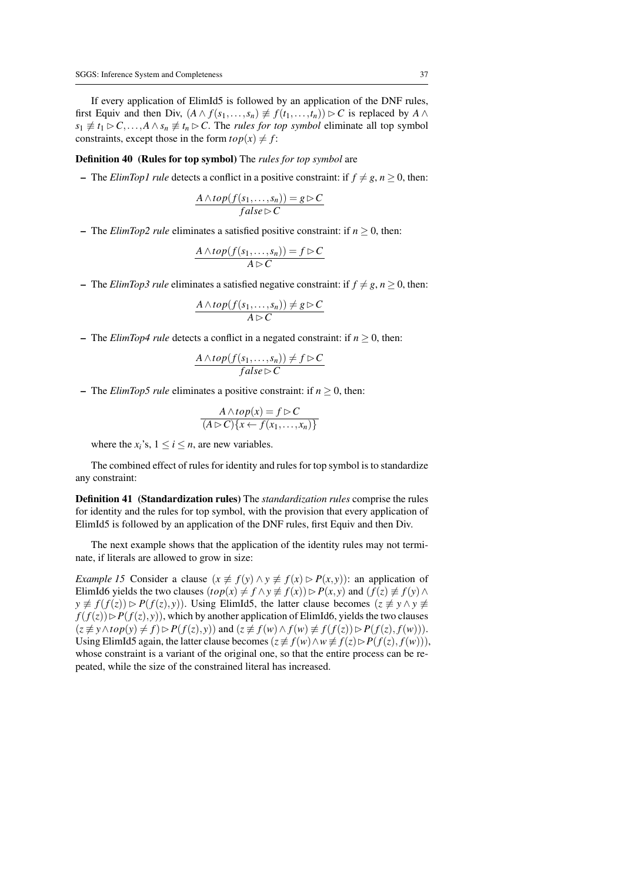If every application of ElimId5 is followed by an application of the DNF rules, first Equiv and then Div,  $(A \wedge f(s_1, \ldots, s_n) \neq f(t_1, \ldots, t_n)) \triangleright C$  is replaced by  $A \wedge$  $s_1 \not\equiv t_1 \triangleright C, \ldots, A \wedge s_n \not\equiv t_n \triangleright C$ . The *rules for top symbol* eliminate all top symbol constraints, except those in the form  $top(x) \neq f$ :

#### Definition 40 (Rules for top symbol) The *rules for top symbol* are

– The *ElimTop1 rule* detects a conflict in a positive constraint: if  $f \neq g, n \geq 0$ , then:

$$
\frac{A \wedge top(f(s_1, \ldots, s_n)) = g \triangleright C}{false \triangleright C}
$$

– The *ElimTop2 rule* eliminates a satisfied positive constraint: if  $n \geq 0$ , then:

$$
\frac{A \wedge top(f(s_1,\ldots,s_n)) = f \triangleright C}{A \triangleright C}
$$

 $\blacksquare$  The *ElimTop3 rule* eliminates a satisfied negative constraint: if  $f \neq g, n \geq 0$ , then:

$$
\frac{A \wedge top(f(s_1, \ldots, s_n)) \neq g \triangleright C}{A \triangleright C}
$$

– The *ElimTop4 rule* detects a conflict in a negated constraint: if  $n \geq 0$ , then:

$$
\frac{A \wedge top(f(s_1, \ldots, s_n)) \neq f \triangleright C}{false \triangleright C}
$$

– The *ElimTop5 rule* eliminates a positive constraint: if  $n > 0$ , then:

$$
\frac{A \wedge top(x) = f \triangleright C}{(A \triangleright C)\{x \leftarrow f(x_1, \dots, x_n)\}}
$$

where the  $x_i$ 's,  $1 \le i \le n$ , are new variables.

The combined effect of rules for identity and rules for top symbol is to standardize any constraint:

Definition 41 (Standardization rules) The *standardization rules* comprise the rules for identity and the rules for top symbol, with the provision that every application of ElimId5 is followed by an application of the DNF rules, first Equiv and then Div.

The next example shows that the application of the identity rules may not terminate, if literals are allowed to grow in size:

*Example 15* Consider a clause  $(x \neq f(y) \land y \neq f(x) \rhd P(x, y)$ : an application of ElimId6 yields the two clauses  $(top(x) \neq f \land y \neq f(x)) \triangleright P(x, y)$  and  $(f(z) \neq f(y) \land g(z)$  $y \not\equiv f(f(z)) \rhd P(f(z), y)$ ). Using ElimId5, the latter clause becomes  $(z \not\equiv y \wedge y \not\equiv z)$  $f(f(z)) \triangleright P(f(z), y)$ , which by another application of ElimId6, yields the two clauses  $(z \neq y \wedge top(y) \neq f) \triangleright P(f(z), y)$  and  $(z \neq f(w) \wedge f(w) \neq f(f(z)) \triangleright P(f(z), f(w))).$ Using ElimId5 again, the latter clause becomes ( $z \not\equiv f(w) \land w \not\equiv f(z) \triangleright P(f(z), f(w))$ ), whose constraint is a variant of the original one, so that the entire process can be repeated, while the size of the constrained literal has increased.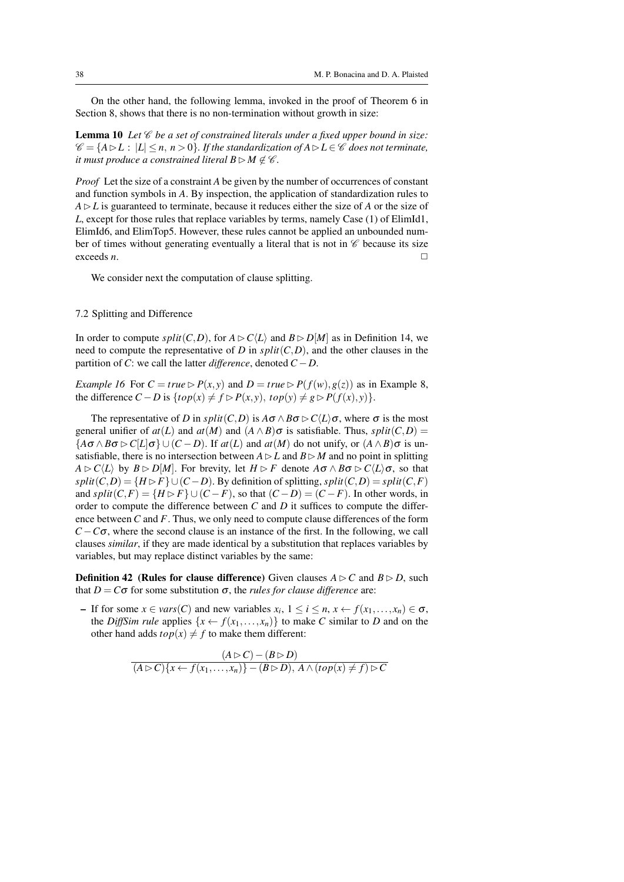On the other hand, the following lemma, invoked in the proof of Theorem 6 in Section 8, shows that there is no non-termination without growth in size:

**Lemma 10** Let  $\mathscr C$  be a set of constrained literals under a fixed upper bound in size:  $\mathscr{C} = \{A \triangleright L : |L| \leq n, n > 0\}$ . If the standardization of  $A \triangleright L \in \mathscr{C}$  does not terminate, *it must produce a constrained literal*  $B \triangleright M \notin \mathscr{C}$ *.* 

*Proof* Let the size of a constraint *A* be given by the number of occurrences of constant and function symbols in *A*. By inspection, the application of standardization rules to  $A \triangleright L$  is guaranteed to terminate, because it reduces either the size of *A* or the size of *L*, except for those rules that replace variables by terms, namely Case (1) of ElimId1, ElimId6, and ElimTop5. However, these rules cannot be applied an unbounded number of times without generating eventually a literal that is not in  $\mathscr C$  because its size exceeds *n*.  $\Box$ 

We consider next the computation of clause splitting.

# 7.2 Splitting and Difference

In order to compute *split*(*C*,*D*), for  $A \triangleright C\langle L \rangle$  and  $B \triangleright D[M]$  as in Definition 14, we need to compute the representative of *D* in  $split(C, D)$ , and the other clauses in the partition of *C*: we call the latter *difference*, denoted *C* −*D*.

*Example 16* For  $C = true \triangleright P(x, y)$  and  $D = true \triangleright P(f(w), g(z))$  as in Example 8, the difference  $C - D$  is  $\{top(x) \neq f \triangleright P(x, y), top(y) \neq g \triangleright P(f(x), y)\}.$ 

The representative of *D* in  $split(C, D)$  is  $A\sigma \wedge B\sigma \triangleright C\langle L \rangle \sigma$ , where  $\sigma$  is the most general unifier of  $at(L)$  and  $at(M)$  and  $(A \wedge B)$  $\sigma$  is satisfiable. Thus,  $split(C, D)$  =  ${A\sigma \wedge B\sigma \triangleright C[L|\sigma}$  ∪ (*C* − *D*). If *at*(*L*) and *at*(*M*) do not unify, or  $(A \wedge B)\sigma$  is unsatisfiable, there is no intersection between  $A \triangleright L$  and  $B \triangleright M$  and no point in splitting  $A \triangleright C\langle L \rangle$  by  $B \triangleright D[M]$ . For brevity, let  $H \triangleright F$  denote  $A \sigma \wedge B \sigma \triangleright C\langle L \rangle \sigma$ , so that  $split(C, D) = {H \triangleright F} \cup (C - D)$ . By definition of splitting,  $split(C, D) = split(C, F)$ and  $split(C, F) = \{H \triangleright F\} \cup (C - F)$ , so that  $(C - D) = (C - F)$ . In other words, in order to compute the difference between  $C$  and  $D$  it suffices to compute the difference between *C* and *F*. Thus, we only need to compute clause differences of the form  $C - C\sigma$ , where the second clause is an instance of the first. In the following, we call clauses *similar*, if they are made identical by a substitution that replaces variables by variables, but may replace distinct variables by the same:

**Definition 42** (Rules for clause difference) Given clauses  $A \triangleright C$  and  $B \triangleright D$ , such that  $D = C\sigma$  for some substitution  $\sigma$ , the *rules for clause difference* are:

 $\blacksquare$  If for some *x* ∈ *vars*(*C*) and new variables *x<sub>i</sub>*, 1 ≤ *i* ≤ *n*, *x* ← *f*(*x*<sub>1</sub>,...,*x<sub>n</sub>*) ∈ *σ*, the *DiffSim rule* applies  $\{x \leftarrow f(x_1, \ldots, x_n)\}$  to make *C* similar to *D* and on the other hand adds  $top(x) \neq f$  to make them different:

$$
\frac{(A \triangleright C) - (B \triangleright D)}{(A \triangleright C)\{x \leftarrow f(x_1, \dots, x_n\}\} - (B \triangleright D), A \wedge (top(x) \neq f) \triangleright C}
$$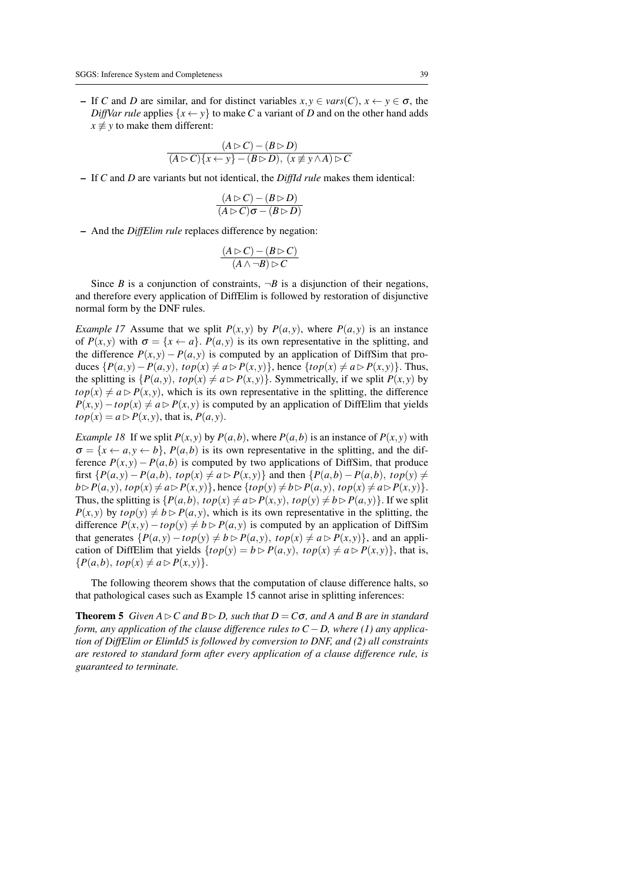– If *C* and *D* are similar, and for distinct variables *x*, *y* ∈ *vars*(*C*), *x* ← *y* ∈ σ, the *DiffVar rule* applies  $\{x \leftarrow y\}$  to make *C* a variant of *D* and on the other hand adds  $x \not\equiv y$  to make them different:

$$
\frac{(A \triangleright C) - (B \triangleright D)}{(A \triangleright C)\{x \leftarrow y\} - (B \triangleright D), (x \not\equiv y \land A) \triangleright C}
$$

– If *C* and *D* are variants but not identical, the *DiffId rule* makes them identical:

$$
\frac{(A \triangleright C) - (B \triangleright D)}{(A \triangleright C)\sigma - (B \triangleright D)}
$$

– And the *DiffElim rule* replaces difference by negation:

$$
\frac{(A \triangleright C) - (B \triangleright C)}{(A \wedge \neg B) \triangleright C}
$$

Since *B* is a conjunction of constraints,  $\neg B$  is a disjunction of their negations, and therefore every application of DiffElim is followed by restoration of disjunctive normal form by the DNF rules.

*Example 17* Assume that we split  $P(x, y)$  by  $P(a, y)$ , where  $P(a, y)$  is an instance of  $P(x, y)$  with  $\sigma = \{x \leftarrow a\}$ .  $P(a, y)$  is its own representative in the splitting, and the difference  $P(x, y) - P(a, y)$  is computed by an application of DiffSim that produces  ${P(a,y) - P(a,y), top(x) ≠ a ⊵ P(x,y)}$ , hence  ${top(x) ≠ a ⊢ P(x,y)}$ . Thus, the splitting is  $\{P(a, y), top(x) \neq a \triangleright P(x, y)\}$ . Symmetrically, if we split  $P(x, y)$  by  $top(x) \neq a \triangleright P(x, y)$ , which is its own representative in the splitting, the difference  $P(x, y) - top(x) \neq a \triangleright P(x, y)$  is computed by an application of DiffElim that yields  $top(x) = a \triangleright P(x, y)$ , that is,  $P(a, y)$ .

*Example 18* If we split  $P(x, y)$  by  $P(a, b)$ , where  $P(a, b)$  is an instance of  $P(x, y)$  with  $\sigma = \{x \leftarrow a, y \leftarrow b\}$ ,  $P(a, b)$  is its own representative in the splitting, and the difference  $P(x, y) - P(a, b)$  is computed by two applications of DiffSim, that produce first  $\{P(a,y) - P(a,b), \text{top}(x) \neq a \triangleright P(x,y)\}$  and then  $\{P(a,b) - P(a,b), \text{top}(y) \neq b\}$  $b \triangleright P(a, y)$ ,  $top(x) \neq a \triangleright P(x, y)$ , hence  $\{top(y) \neq b \triangleright P(a, y), top(x) \neq a \triangleright P(x, y)\}.$ Thus, the splitting is  $\{P(a,b), top(x) \neq a \triangleright P(x,y), top(y) \neq b \triangleright P(a,y)\}$ . If we split  $P(x, y)$  by  $top(y) \neq b \triangleright P(a, y)$ , which is its own representative in the splitting, the difference  $P(x, y) - top(y) \neq b \triangleright P(a, y)$  is computed by an application of DiffSim that generates  $\{P(a, y) - top(y) \neq b \triangleright P(a, y), top(x) \neq a \triangleright P(x, y)\}$ , and an application of DiffElim that yields  $\{top(y) = b \triangleright P(a, y), top(x) \neq a \triangleright P(x, y)\}$ , that is,  ${P(a,b), top(x) \neq a \triangleright P(x,y)}.$ 

The following theorem shows that the computation of clause difference halts, so that pathological cases such as Example 15 cannot arise in splitting inferences:

**Theorem 5** *Given*  $A \triangleright C$  *and*  $B \triangleright D$ *, such that*  $D = C\sigma$ *, and* A *and* B *are in standard form, any application of the clause difference rules to*  $C - D$ *, where (1) any application of DiffElim or ElimId5 is followed by conversion to DNF, and (2) all constraints are restored to standard form after every application of a clause difference rule, is guaranteed to terminate.*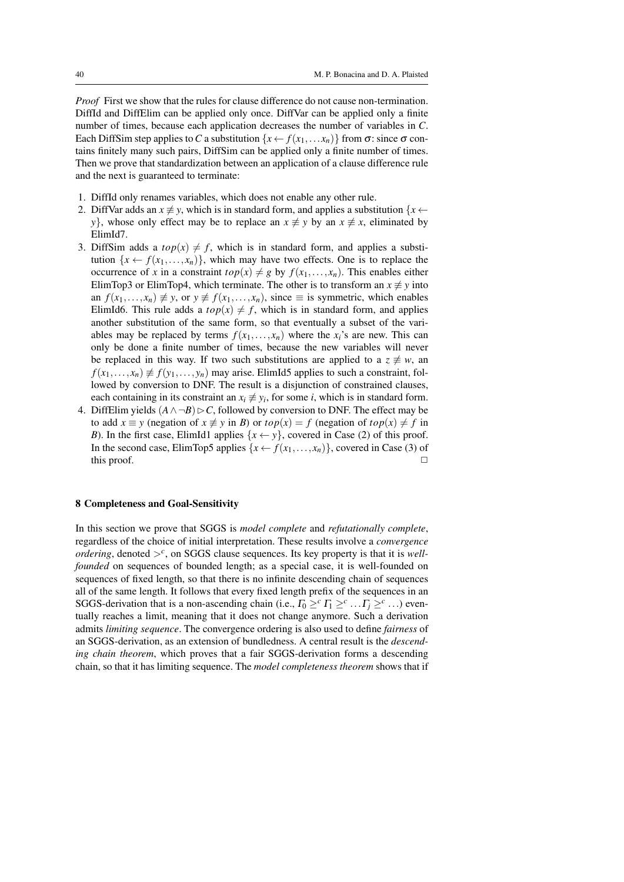*Proof* First we show that the rules for clause difference do not cause non-termination. DiffId and DiffElim can be applied only once. DiffVar can be applied only a finite number of times, because each application decreases the number of variables in *C*. Each DiffSim step applies to C a substitution  $\{x \leftarrow f(x_1, \ldots, x_n)\}$  from  $\sigma$ : since  $\sigma$  contains finitely many such pairs, DiffSim can be applied only a finite number of times. Then we prove that standardization between an application of a clause difference rule and the next is guaranteed to terminate:

- 1. DiffId only renames variables, which does not enable any other rule.
- 2. DiffVar adds an  $x \neq y$ , which is in standard form, and applies a substitution  $\{x \leftarrow y\}$ *y*}, whose only effect may be to replace an  $x \neq y$  by an  $x \neq x$ , eliminated by ElimId7.
- 3. DiffSim adds a  $top(x) \neq f$ , which is in standard form, and applies a substitution  $\{x \leftarrow f(x_1, \ldots, x_n)\}$ , which may have two effects. One is to replace the occurrence of *x* in a constraint  $top(x) \neq g$  by  $f(x_1,...,x_n)$ . This enables either ElimTop3 or ElimTop4, which terminate. The other is to transform an  $x \neq y$  into an  $f(x_1,...,x_n) \neq y$ , or  $y \neq f(x_1,...,x_n)$ , since  $\equiv$  is symmetric, which enables ElimId6. This rule adds a  $top(x) \neq f$ , which is in standard form, and applies another substitution of the same form, so that eventually a subset of the variables may be replaced by terms  $f(x_1,...,x_n)$  where the  $x_i$ 's are new. This can only be done a finite number of times, because the new variables will never be replaced in this way. If two such substitutions are applied to a  $z \neq w$ , an  $f(x_1,...,x_n) \neq f(y_1,...,y_n)$  may arise. ElimId5 applies to such a constraint, followed by conversion to DNF. The result is a disjunction of constrained clauses, each containing in its constraint an  $x_i \neq y_i$ , for some *i*, which is in standard form.
- 4. DiffElim yields  $(A \land \neg B) \triangleright C$ , followed by conversion to DNF. The effect may be to add  $x \equiv y$  (negation of  $x \not\equiv y$  in *B*) or  $top(x) = f$  (negation of  $top(x) \neq f$  in *B*). In the first case, ElimId1 applies  $\{x \leftarrow y\}$ , covered in Case (2) of this proof. In the second case, ElimTop5 applies  $\{x \leftarrow f(x_1,...,x_n)\}$ , covered in Case (3) of this proof.  $\Box$

# 8 Completeness and Goal-Sensitivity

In this section we prove that SGGS is *model complete* and *refutationally complete*, regardless of the choice of initial interpretation. These results involve a *convergence ordering*, denoted  $>^c$ , on SGGS clause sequences. Its key property is that it is *wellfounded* on sequences of bounded length; as a special case, it is well-founded on sequences of fixed length, so that there is no infinite descending chain of sequences all of the same length. It follows that every fixed length prefix of the sequences in an SGGS-derivation that is a non-ascending chain (i.e.,  $\Gamma_0 \geq^c \Gamma_1 \geq^c \ldots \Gamma_j \geq^c \ldots$ ) eventually reaches a limit, meaning that it does not change anymore. Such a derivation admits *limiting sequence*. The convergence ordering is also used to define *fairness* of an SGGS-derivation, as an extension of bundledness. A central result is the *descending chain theorem*, which proves that a fair SGGS-derivation forms a descending chain, so that it has limiting sequence. The *model completeness theorem* shows that if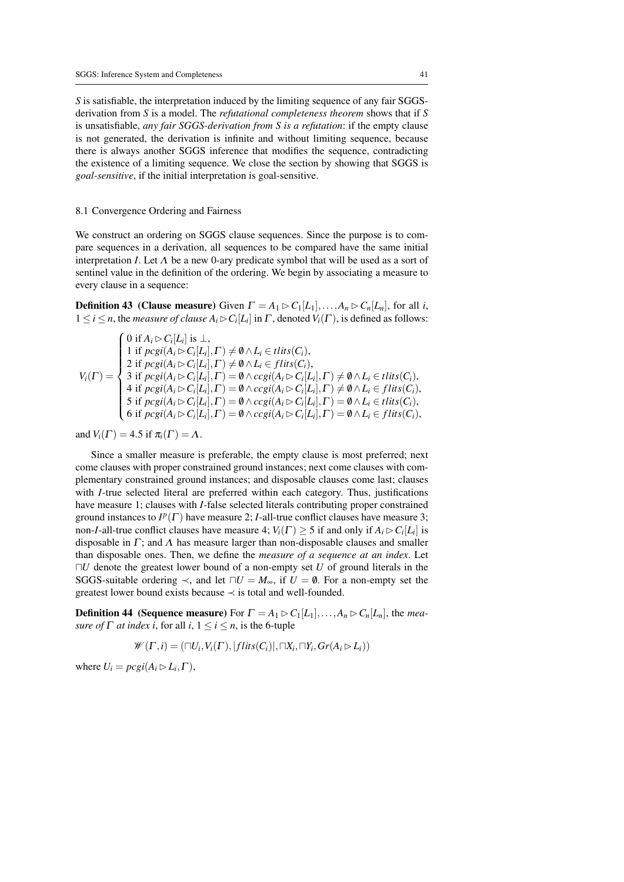*S* is satisfiable, the interpretation induced by the limiting sequence of any fair SGGSderivation from *S* is a model. The *refutational completeness theorem* shows that if *S* is unsatisfiable, *any fair SGGS-derivation from S is a refutation*: if the empty clause is not generated, the derivation is infinite and without limiting sequence, because there is always another SGGS inference that modifies the sequence, contradicting the existence of a limiting sequence. We close the section by showing that SGGS is *goal-sensitive*, if the initial interpretation is goal-sensitive.

## 8.1 Convergence Ordering and Fairness

We construct an ordering on SGGS clause sequences. Since the purpose is to compare sequences in a derivation, all sequences to be compared have the same initial interpretation *I*. Let  $\Lambda$  be a new 0-ary predicate symbol that will be used as a sort of sentinel value in the definition of the ordering. We begin by associating a measure to every clause in a sequence:

**Definition 43** (Clause measure) Given  $\Gamma = A_1 \triangleright C_1[L_1], \ldots, A_n \triangleright C_n[L_n]$ , for all *i*,  $1 \leq i \leq n$ , the *measure of clause*  $A_i \triangleright C_i[L_i]$  in  $\Gamma$ , denoted  $V_i(\Gamma)$ , is defined as follows:

$$
V_i(\Gamma) = \begin{cases} 0 \text{ if } A_i \rhd C_i[L_i] \text{ is } \bot, \\ 1 \text{ if } \text{pcgi}(A_i \rhd C_i[L_i], \Gamma) \neq \emptyset \wedge L_i \in \text{flits}(C_i), \\ 2 \text{ if } \text{pcgi}(A_i \rhd C_i[L_i], \Gamma) \neq \emptyset \wedge L_i \in \text{flits}(C_i), \\ 3 \text{ if } \text{pcgi}(A_i \rhd C_i[L_i], \Gamma) = \emptyset \wedge \text{ccgi}(A_i \rhd C_i[L_i], \Gamma) \neq \emptyset \wedge L_i \in \text{flits}(C_i), \\ 4 \text{ if } \text{pcgi}(A_i \rhd C_i[L_i], \Gamma) = \emptyset \wedge \text{ccgi}(A_i \rhd C_i[L_i], \Gamma) \neq \emptyset \wedge L_i \in \text{flits}(C_i), \\ 5 \text{ if } \text{pcgi}(A_i \rhd C_i[L_i], \Gamma) = \emptyset \wedge \text{ccgi}(A_i \rhd C_i[L_i], \Gamma) = \emptyset \wedge L_i \in \text{flits}(C_i), \\ 6 \text{ if } \text{pcgi}(A_i \rhd C_i[L_i], \Gamma) = \emptyset \wedge \text{ccgi}(A_i \rhd C_i[L_i], \Gamma) = \emptyset \wedge L_i \in \text{flits}(C_i), \end{cases}
$$

and  $V_i(\Gamma) = 4.5$  if  $\pi_i(\Gamma) = \Lambda$ .

Since a smaller measure is preferable, the empty clause is most preferred; next come clauses with proper constrained ground instances; next come clauses with complementary constrained ground instances; and disposable clauses come last; clauses with *I*-true selected literal are preferred within each category. Thus, justifications have measure 1; clauses with *I*-false selected literals contributing proper constrained ground instances to  $I^p(\Gamma)$  have measure 2; *I*-all-true conflict clauses have measure 3; non-*I*-all-true conflict clauses have measure 4;  $V_i(\Gamma) \ge 5$  if and only if  $A_i \triangleright C_i[L_i]$  is disposable in  $\Gamma$ ; and  $\Lambda$  has measure larger than non-disposable clauses and smaller than disposable ones. Then, we define the *measure of a sequence at an index*. Let  $\nabla U$  denote the greatest lower bound of a non-empty set *U* of ground literals in the SGGS-suitable ordering  $\prec$ , and let  $\neg U = M_{\infty}$ , if  $U = \emptyset$ . For a non-empty set the greatest lower bound exists because  $\prec$  is total and well-founded.

**Definition 44** (Sequence measure) For  $\Gamma = A_1 \triangleright C_1[L_1],...,A_n \triangleright C_n[L_n]$ , the *measure of*  $\Gamma$  *at index i*, for all *i*,  $1 \le i \le n$ , is the 6-tuple

$$
\mathscr{W}(\Gamma,i)=(\sqcap U_i,V_i(\Gamma),|flits(C_i)|,\sqcap X_i,\sqcap Y_i,Gr(A_i\rhd L_i))
$$

where  $U_i = p cgi(A_i \triangleright L_i, \Gamma)$ ,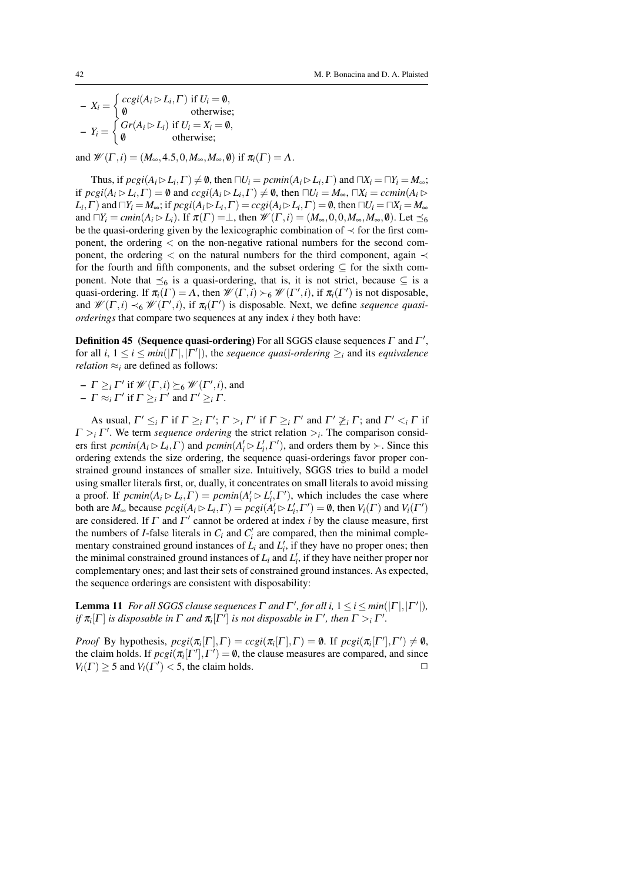$X_i = \begin{cases} ccgi(A_i \triangleright L_i, \Gamma) & \text{if } U_i = \emptyset, \\ \emptyset & \text{otherwise} \end{cases}$ /0 otherwise;  $Y_i = \begin{cases} Gr(A_i \triangleright L_i) & \text{if } U_i = X_i = \emptyset, \\ \emptyset & \text{otherwise.} \end{cases}$ /0 otherwise;

and  $\mathcal{W}(\Gamma, i) = (M_\infty, 4.5, 0, M_\infty, M_\infty, \emptyset)$  if  $\pi_i(\Gamma) = \Lambda$ .

Thus, if  $\text{proj}(A_i \triangleright L_i, \Gamma) \neq \emptyset$ , then  $\Box U_i = \text{pemin}(A_i \triangleright L_i, \Gamma)$  and  $\Box X_i = \Box Y_i = M_\infty$ ; if  $\text{proj}(A_i \triangleright L_i, \Gamma) = \emptyset$  and  $\text{ccgi}(A_i \triangleright L_i, \Gamma) \neq \emptyset$ , then  $\Box U_i = M_\infty$ ,  $\Box X_i = \text{ccmin}(A_i \triangleright$  $L_i, \Gamma$ ) and  $\Box Y_i = M_\infty$ ; if  $\text{proj}(A_i \triangleright L_i, \Gamma) = \text{ccgi}(A_i \triangleright L_i, \Gamma) = \emptyset$ , then  $\Box U_i = \Box X_i = M_\infty$ and  $\Pi Y_i = cmin(A_i \triangleright L_i)$ . If  $\pi(\Gamma) = \bot$ , then  $\mathcal{W}(\Gamma, i) = (M_\infty, 0, 0, M_\infty, M_\infty, \emptyset)$ . Let  $\preceq_6$ be the quasi-ordering given by the lexicographic combination of  $\prec$  for the first component, the ordering < on the non-negative rational numbers for the second component, the ordering  $\lt$  on the natural numbers for the third component, again  $\lt$ for the fourth and fifth components, and the subset ordering  $\subseteq$  for the sixth component. Note that  $\preceq_6$  is a quasi-ordering, that is, it is not strict, because  $\subseteq$  is a quasi-ordering. If  $\pi_i(\Gamma) = \Lambda$ , then  $\mathcal{W}(\Gamma, i) \succ_6 \mathcal{W}(\Gamma', i)$ , if  $\pi_i(\Gamma')$  is not disposable, and  $\mathscr{W}(\Gamma,i) \prec_6 \mathscr{W}(\Gamma',i)$ , if  $\pi_i(\Gamma')$  is disposable. Next, we define *sequence quasiorderings* that compare two sequences at any index *i* they both have:

**Definition 45** (Sequence quasi-ordering) For all SGGS clause sequences  $\Gamma$  and  $\Gamma'$ , for all *i*,  $1 \le i \le min(|\Gamma|, |\Gamma'|)$ , the *sequence quasi-ordering*  $\ge_i$  and its *equivalence relation*  $\approx$ <sub>*i*</sub> are defined as follows:

 $-I \geq_i \Gamma'$  if  $\mathcal{W}(\Gamma,i) \succeq_6 \mathcal{W}(\Gamma',i)$ , and

 $-\Gamma \approx_i \Gamma'$  if  $\Gamma \geq_i \Gamma'$  and  $\Gamma' \geq_i \Gamma$ .

As usual,  $\Gamma' \leq_i \Gamma$  if  $\Gamma \geq_i \Gamma'$ ;  $\Gamma >_i \Gamma'$  if  $\Gamma \geq_i \Gamma'$  and  $\Gamma' \not\geq_i \Gamma$ ; and  $\Gamma' <_i \Gamma$  if  $\Gamma >$ <sup>*i*</sup>. We term *sequence ordering* the strict relation  $>$ *<sub>i</sub>*. The comparison considers first  $\text{pcmin}(A_i \triangleright L_i, \Gamma)$  and  $\text{pcmin}(A_i' \triangleright L_i', \Gamma')$ , and orders them by  $\succ$ . Since this ordering extends the size ordering, the sequence quasi-orderings favor proper constrained ground instances of smaller size. Intuitively, SGGS tries to build a model using smaller literals first, or, dually, it concentrates on small literals to avoid missing a proof. If  $\text{p}_{\text{c}}\text{c}_{\text{l}}(A_i \triangleright L_i, \Gamma) = \text{p}_{\text{c}}\text{c}_{\text{l}}(A_i \triangleright L_i', \Gamma'),$  which includes the case where both are  $M_{\infty}$  because  $\text{pcgi}(A_i \triangleright L_i, \Gamma) = \text{pcgi}(A_i' \triangleright L_i', \Gamma') = \emptyset$ , then  $V_i(\Gamma)$  and  $V_i(\Gamma')$ are considered. If  $\Gamma$  and  $\Gamma'$  cannot be ordered at index *i* by the clause measure, first the numbers of *I*-false literals in  $C_i$  and  $C'_i$  are compared, then the minimal complementary constrained ground instances of  $\dot{L}_i$  and  $L'_i$ , if they have no proper ones; then the minimal constrained ground instances of  $L_i$  and  $L'_i$ , if they have neither proper nor complementary ones; and last their sets of constrained ground instances. As expected, the sequence orderings are consistent with disposability:

**Lemma 11** For all SGGS clause sequences  $\Gamma$  and  $\Gamma'$ , for all i,  $1 \le i \le min(|\Gamma|, |\Gamma'|)$ , *if*  $\pi$ <sub>*i*</sub> $[\Gamma]$  *is disposable in*  $\Gamma$  *and*  $\pi$ <sub>*i*</sub> $[\Gamma']$  *is not disposable in*  $\Gamma'$ *, then*  $\Gamma >$ *<sub><i>i*</sub>  $\Gamma'$ *.* 

*Proof* By hypothesis,  $\text{pcgi}(\pi_i[\Gamma], \Gamma) = \text{ccgi}(\pi_i[\Gamma], \Gamma) = \emptyset$ . If  $\text{pcgi}(\pi_i[\Gamma'], \Gamma') \neq \emptyset$ , the claim holds. If  $\text{proj}(\pi_i[\Gamma'], \Gamma') = \emptyset$ , the clause measures are compared, and since  $V_i(\Gamma) \ge 5$  and  $V_i(\Gamma') < 5$ , the claim holds.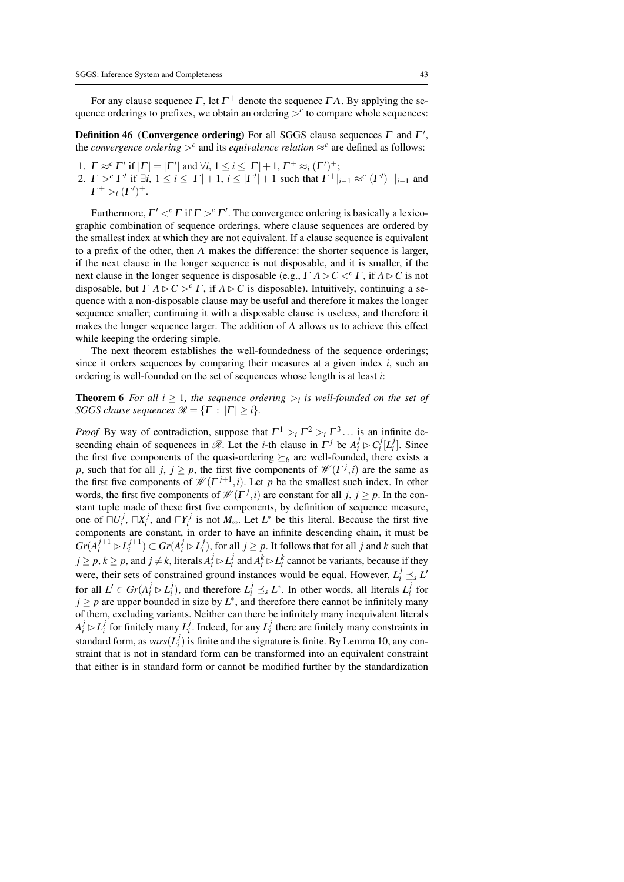For any clause sequence  $\Gamma$ , let  $\Gamma^+$  denote the sequence  $\Gamma\Lambda$ . By applying the sequence orderings to prefixes, we obtain an ordering  $>^c$  to compare whole sequences:

**Definition 46** (Convergence ordering) For all SGGS clause sequences  $\Gamma$  and  $\Gamma'$ , the *convergence ordering*  $>^c$  and its *equivalence relation*  $\approx^c$  are defined as follows:

1.  $\Gamma \approx^c \Gamma'$  if  $|\Gamma| = |\Gamma'|$  and  $\forall i, 1 \le i \le |\Gamma| + 1, \Gamma^+ \approx_i (\Gamma')^+$ ; 2.  $\Gamma >^c \Gamma'$  if  $\exists i, 1 \le i \le |\Gamma| + 1$ ,  $i \le |\Gamma'| + 1$  such that  $\Gamma^+|_{i-1} \approx^c (\Gamma')^+|_{i-1}$  and  $\Gamma^+ >_i (\Gamma')^+$ .

Furthermore,  $\Gamma' <^c \Gamma$  if  $\Gamma >^c \Gamma'$ . The convergence ordering is basically a lexicographic combination of sequence orderings, where clause sequences are ordered by the smallest index at which they are not equivalent. If a clause sequence is equivalent to a prefix of the other, then  $\Lambda$  makes the difference: the shorter sequence is larger, if the next clause in the longer sequence is not disposable, and it is smaller, if the next clause in the longer sequence is disposable (e.g.,  $\Gamma A \triangleright C \lt^c \Gamma$ , if  $A \triangleright C$  is not disposable, but  $\Gamma A \triangleright C >^c \Gamma$ , if  $A \triangleright C$  is disposable). Intuitively, continuing a sequence with a non-disposable clause may be useful and therefore it makes the longer sequence smaller; continuing it with a disposable clause is useless, and therefore it makes the longer sequence larger. The addition of  $\Lambda$  allows us to achieve this effect while keeping the ordering simple.

The next theorem establishes the well-foundedness of the sequence orderings; since it orders sequences by comparing their measures at a given index *i*, such an ordering is well-founded on the set of sequences whose length is at least *i*:

**Theorem 6** For all  $i \geq 1$ , the sequence ordering  $\gt_i$  is well-founded on the set of *SGGS clause sequences*  $\mathcal{R} = \{ \Gamma : |\Gamma| \geq i \}.$ 

*Proof* By way of contradiction, suppose that  $\Gamma^1 >_i \Gamma^2 >_i \Gamma^3 \dots$  is an infinite descending chain of sequences in  $\mathcal{R}$ . Let the *i*-th clause in  $\Gamma^j$  be  $A_i^j \rhd C_i^j[L_i^j]$ . Since the first five components of the quasi-ordering  $\succeq_6$  are well-founded, there exists a *p*, such that for all *j*,  $j \ge p$ , the first five components of  $\mathcal{W}(\Gamma^j, i)$  are the same as the first five components of  $\mathcal{W}(\Gamma^{j+1}, i)$ . Let *p* be the smallest such index. In other words, the first five components of  $\mathcal{W}(\Gamma^j, i)$  are constant for all *j*, *j*  $\geq p$ . In the constant tuple made of these first five components, by definition of sequence measure, one of  $\Box U_i^j$ ,  $\Box X_i^j$ , and  $\Box Y_i^j$  is not  $M_{\infty}$ . Let  $L^*$  be this literal. Because the first five components are constant, in order to have an infinite descending chain, it must be  $Gr(A_i^{j+1} \triangleright L_i^{j+1}) \subset Gr(A_i^j \triangleright L_i^j)$ , for all  $j \geq p$ . It follows that for all j and k such that  $j \ge p, k \ge p$ , and  $j \ne k$ , literals  $A_i^j \rhd L_i^j$  and  $A_i^k \rhd L_i^k$  cannot be variants, because if they were, their sets of constrained ground instances would be equal. However,  $L_i^j \leq s L'$ for all  $L' \in Gr(A_i^j \rhd L_i^j)$ , and therefore  $L_i^j \preceq_s L^*$ . In other words, all literals  $L_i^j$  for  $j \geq p$  are upper bounded in size by  $L^*$ , and therefore there cannot be infinitely many of them, excluding variants. Neither can there be infinitely many inequivalent literals  $A_i^j \triangleright L_i^j$  for finitely many  $L_i^j$ . Indeed, for any  $L_i^j$  there are finitely many constraints in standard form, as  $vars(L_i^j)$  is finite and the signature is finite. By Lemma 10, any constraint that is not in standard form can be transformed into an equivalent constraint that either is in standard form or cannot be modified further by the standardization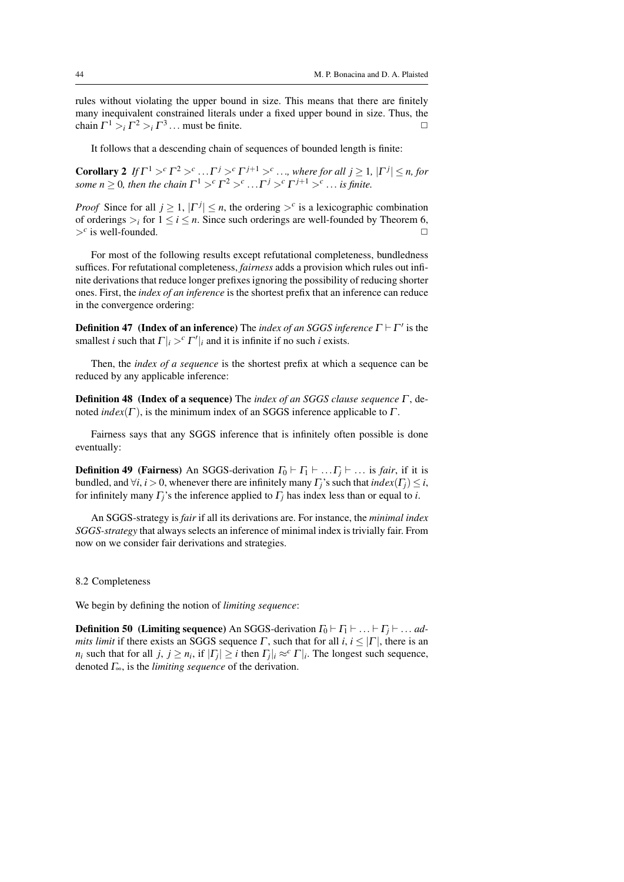rules without violating the upper bound in size. This means that there are finitely many inequivalent constrained literals under a fixed upper bound in size. Thus, the chain  $\Gamma^1 >$   $\Gamma^2 >$   $\Gamma^3$ ... must be finite.

It follows that a descending chain of sequences of bounded length is finite:

**Corollary 2** If  $\Gamma^1 >^c \Gamma^2 >^c \ldots \Gamma^j >^c \Gamma^{j+1} >^c \ldots$ , where for all  $j \ge 1$ ,  $|\Gamma^j| \le n$ , for *some*  $n \geq 0$ , then the chain  $\Gamma^1 >^c \Gamma^2 >^c \ldots \Gamma^j >^c \Gamma^{j+1} >^c \ldots$  is finite.

*Proof* Since for all  $j \geq 1$ ,  $|\Gamma^j| \leq n$ , the ordering  $\gt^c$  is a lexicographic combination of orderings  $\geq_i$  for  $1 \leq i \leq n$ . Since such orderings are well-founded by Theorem 6,  $>^c$  is well-founded.  $\square$ 

For most of the following results except refutational completeness, bundledness suffices. For refutational completeness, *fairness* adds a provision which rules out infinite derivations that reduce longer prefixes ignoring the possibility of reducing shorter ones. First, the *index of an inference* is the shortest prefix that an inference can reduce in the convergence ordering:

**Definition 47** (Index of an inference) The *index of an SGGS inference*  $\Gamma \vdash \Gamma'$  is the smallest *i* such that  $\Gamma|_i >^c \Gamma'|_i$  and it is infinite if no such *i* exists.

Then, the *index of a sequence* is the shortest prefix at which a sequence can be reduced by any applicable inference:

Definition 48 (Index of a sequence) The *index of an SGGS clause sequence* Γ , denoted  $index(\Gamma)$ , is the minimum index of an SGGS inference applicable to  $\Gamma$ .

Fairness says that any SGGS inference that is infinitely often possible is done eventually:

**Definition 49** (Fairness) An SGGS-derivation  $\Gamma_0 \vdash \Gamma_1 \vdash \dots \Gamma_i \vdash \dots$  is *fair*, if it is bundled, and  $\forall i, i > 0$ , whenever there are infinitely many  $\Gamma_i$ 's such that  $index(\Gamma_i) \leq i$ , for infinitely many  $\Gamma$ <sup>*j*</sup>'s the inference applied to  $\Gamma$ <sup>*j*</sup> has index less than or equal to *i*.

An SGGS-strategy is *fair* if all its derivations are. For instance, the *minimal index SGGS-strategy* that always selects an inference of minimal index is trivially fair. From now on we consider fair derivations and strategies.

#### 8.2 Completeness

We begin by defining the notion of *limiting sequence*:

**Definition 50** (Limiting sequence) An SGGS-derivation  $\Gamma_0 \vdash \Gamma_1 \vdash \ldots \vdash \Gamma_i \vdash \ldots ad$ *mits limit* if there exists an SGGS sequence  $\Gamma$ , such that for all  $i, i \leq |\Gamma|$ , there is an *n*<sub>*i*</sub> such that for all *j*,  $j \geq n_i$ , if  $|\Gamma_j| \geq i$  then  $\Gamma_j|_i \approx^c \Gamma|_i$ . The longest such sequence, denoted Γ∞, is the *limiting sequence* of the derivation.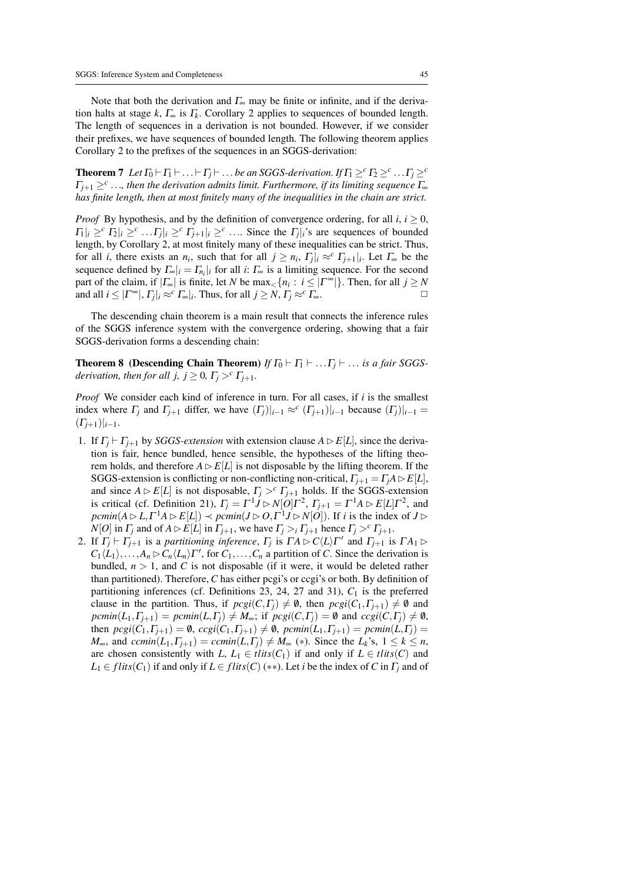Note that both the derivation and  $\Gamma_{\infty}$  may be finite or infinite, and if the derivation halts at stage  $k$ ,  $\Gamma_{\infty}$  is  $\Gamma_k$ . Corollary 2 applies to sequences of bounded length. The length of sequences in a derivation is not bounded. However, if we consider their prefixes, we have sequences of bounded length. The following theorem applies Corollary 2 to the prefixes of the sequences in an SGGS-derivation:

**Theorem 7** Let  $\Gamma_0 \vdash \Gamma_1 \vdash \ldots \vdash \Gamma_j \vdash \ldots$  *be an SGGS-derivation.* If  $\Gamma_1 \geq^c \Gamma_2 \geq^c \ldots \Gamma_j \geq^c$  $\Gamma_{j+1} \geq^c \ldots$ , then the derivation admits limit. Furthermore, if its limiting sequence  $\Gamma_{\infty}$ *has finite length, then at most finitely many of the inequalities in the chain are strict.*

*Proof* By hypothesis, and by the definition of convergence ordering, for all  $i, i \geq 0$ ,  $|\Pi_i|_i \geq^c \Pi_2|_i \geq^c \dots \Gamma_j|_i \geq^c \Gamma_{j+1}|_i \geq^c \dots$  Since the  $\Gamma_j|_i$ 's are sequences of bounded length, by Corollary 2, at most finitely many of these inequalities can be strict. Thus, for all *i*, there exists an  $n_i$ , such that for all  $j \geq n_i$ ,  $\Gamma_j |_i \approx^c \Gamma_{j+1} |_i$ . Let  $\Gamma_{\infty}$  be the sequence defined by  $\Gamma_{\infty}|_i = \Gamma_{n_i}|_i$  for all *i*:  $\Gamma_{\infty}$  is a limiting sequence. For the second part of the claim, if  $|\Gamma_{\infty}|$  is finite, let *N* be  $\max_{\leq} \{n_i : i \leq |\Gamma^{\infty}|\}$ . Then, for all  $j \geq N$ and all  $i \leq |\Gamma^{\infty}|$ ,  $\Gamma_j|_i \approx^c \Gamma_{\infty}|_i$ . Thus, for all  $j \geq N$ ,  $\Gamma_j \approx^c \Gamma_{\infty}$ .

The descending chain theorem is a main result that connects the inference rules of the SGGS inference system with the convergence ordering, showing that a fair SGGS-derivation forms a descending chain:

**Theorem 8** (Descending Chain Theorem) *If*  $\Gamma_0 \vdash \Gamma_1 \vdash \ldots \Gamma_j \vdash \ldots$  *is a fair SGGSderivation, then for all j,*  $j \geq 0$ *,*  $\Gamma_j >^c \Gamma_{j+1}$ *.* 

*Proof* We consider each kind of inference in turn. For all cases, if *i* is the smallest index where  $\Gamma_j$  and  $\Gamma_{j+1}$  differ, we have  $(\Gamma_j)|_{i-1} \approx^c (\Gamma_{j+1})|_{i-1}$  because  $(\Gamma_j)|_{i-1} =$  $(\Gamma_{i+1})|_{i-1}.$ 

- 1. If  $\Gamma_i \vdash \Gamma_{i+1}$  by *SGGS-extension* with extension clause  $A \triangleright E[L]$ , since the derivation is fair, hence bundled, hence sensible, the hypotheses of the lifting theorem holds, and therefore  $A \triangleright E[L]$  is not disposable by the lifting theorem. If the SGGS-extension is conflicting or non-conflicting non-critical,  $\Gamma_{j+1} = \Gamma_j A \triangleright E[L]$ , and since  $A \triangleright E[L]$  is not disposable,  $\Gamma_j >^c \Gamma_{j+1}$  holds. If the SGGS-extension is critical (cf. Definition 21),  $\Gamma_j = \Gamma^1 J \triangleright N[O]\Gamma^2$ ,  $\Gamma_{j+1} = \Gamma^1 A \triangleright E[L]\Gamma^2$ , and  $\mathit{pclmin}(A \triangleright L, \Gamma^1 A \triangleright E[L]) \prec \mathit{pclmin}(J \triangleright O, \Gamma^1 J \triangleright N[O])$ . If *i* is the index of  $J \triangleright$ *N*[*O*] in  $\Gamma$ <sup>*j*</sup> and of  $A \triangleright E[L]$  in  $\Gamma$ <sup>*j*+1</sup>, we have  $\Gamma$ <sup>*j*</sup> >*i*  $\Gamma$ <sup>*j*+1</sup> hence  $\Gamma$ <sup>*j*</sup> ><sup>*c*</sup>  $\Gamma$ <sup>*j*+1</sup>.
- 2. If  $\Gamma_j \vdash \Gamma_{j+1}$  is a *partitioning inference*,  $\Gamma_j$  is  $\Gamma A \rhd C\langle L \rangle \Gamma'$  and  $\Gamma_{j+1}$  is  $\Gamma A_1 \rhd$  $C_1\langle L_1 \rangle, \ldots, A_n \rhd C_n\langle L_n \rangle \Gamma'$ , for  $C_1, \ldots, C_n$  a partition of *C*. Since the derivation is bundled,  $n > 1$ , and C is not disposable (if it were, it would be deleted rather than partitioned). Therefore, *C* has either pcgi's or ccgi's or both. By definition of partitioning inferences (cf. Definitions 23, 24, 27 and 31),  $C_1$  is the preferred clause in the partition. Thus, if  $\text{pcgi}(C, \Gamma) \neq \emptyset$ , then  $\text{pcgi}(C_1, \Gamma) \neq \emptyset$  and  $\text{pcmin}(L_1, \Gamma_{i+1}) = \text{pcmin}(L, \Gamma_i) \neq M_\infty$ ; if  $\text{pccgi}(C, \Gamma_i) = \emptyset$  and  $\text{ccgi}(C, \Gamma_i) \neq \emptyset$ , then  $\text{pcgi}(C_1, \Gamma_{j+1}) = \emptyset$ ,  $\text{ccgi}(C_1, \Gamma_{j+1}) \neq \emptyset$ ,  $\text{pcmin}(L_1, \Gamma_{j+1}) = \text{pcmin}(L, \Gamma_j) =$ *M*<sub>∞</sub>, and *ccmin*(*L*<sub>1</sub>,  $\Gamma$ <sub>*j*+1</sub>) = *ccmin*(*L*,  $\Gamma$ <sup>*j*</sup>)  $\neq$  *M*<sub>∞</sub> (\*). Since the *L*<sup>*k*</sup>'s, 1 ≤ *k* ≤ *n*, are chosen consistently with *L*,  $L_1 \in \text{tlits}(C_1)$  if and only if  $L \in \text{tlits}(C)$  and  $L_1 \in \text{flits}(C_1)$  if and only if  $L \in \text{flits}(C)$  (\*\*). Let *i* be the index of *C* in  $\Gamma$ *j* and of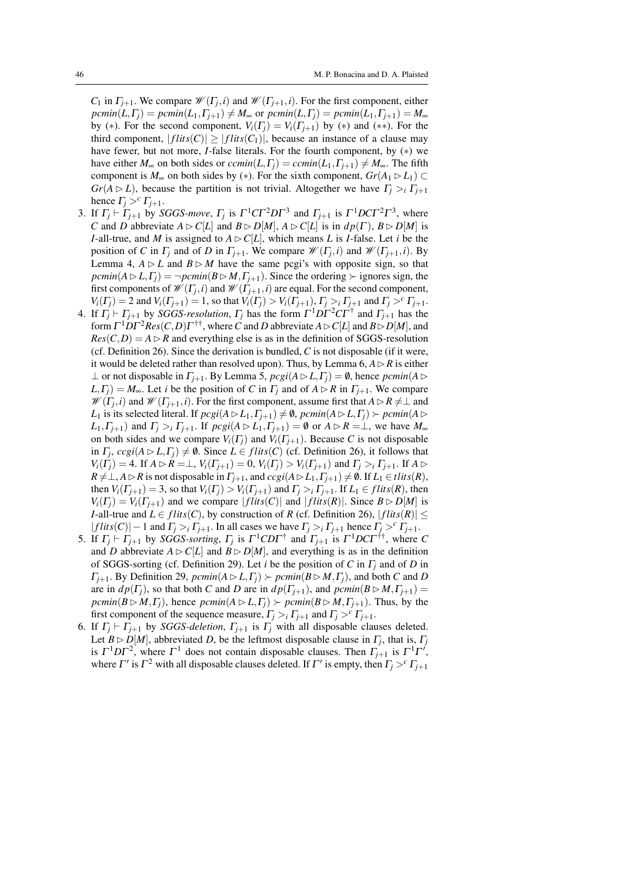*C*<sub>1</sub> in  $\Gamma_{j+1}$ . We compare  $\mathcal{W}(\Gamma_j, i)$  and  $\mathcal{W}(\Gamma_{j+1}, i)$ . For the first component, either  $pemin(L,\Gamma_j) = pemin(L_1,\Gamma_{j+1}) \neq M_\infty$  or  $pemin(L,\Gamma_j) = pemin(L_1,\Gamma_{j+1}) = M_\infty$ by (\*). For the second component,  $V_i(\Gamma_j) = V_i(\Gamma_{j+1})$  by (\*) and (\*\*). For the third component,  $|flits(C)| \ge |flits(C_1)|$ , because an instance of a clause may have fewer, but not more, *I*-false literals. For the fourth component, by (∗) we have either  $M_{\infty}$  on both sides or  $ccmin(L, \Gamma) = cmin(L_1, \Gamma) \neq M_{\infty}$ . The fifth component is  $M_{\infty}$  on both sides by (\*). For the sixth component,  $Gr(A_1 \triangleright L_1) \subset$ *Gr*( $A \triangleright L$ ), because the partition is not trivial. Altogether we have  $\Gamma_i > i \Gamma_{i+1}$ hence  $\Gamma_j >^c \Gamma_{j+1}$ .

- 3. If  $\Gamma_j \vdash \Gamma_{j+1}$  by *SGGS-move*,  $\Gamma_j$  is  $\Gamma^1 C \Gamma^2 D \Gamma^3$  and  $\Gamma_{j+1}$  is  $\Gamma^1 D C \Gamma^2 \Gamma^3$ , where *C* and *D* abbreviate  $A \triangleright C[L]$  and  $B \triangleright D[M]$ ,  $A \triangleright C[L]$  is in  $dp(\Gamma)$ ,  $B \triangleright D[M]$  is *I*-all-true, and *M* is assigned to  $A \triangleright C[L]$ , which means *L* is *I*-false. Let *i* be the position of *C* in  $\Gamma_j$  and of *D* in  $\Gamma_{j+1}$ . We compare  $\mathcal{W}(\Gamma_j, i)$  and  $\mathcal{W}(\Gamma_{j+1}, i)$ . By Lemma 4,  $A \triangleright L$  and  $B \triangleright M$  have the same pcgi's with opposite sign, so that  $\text{pcmin}(A \triangleright L, \Gamma_j) = \neg \text{pcmin}(B \triangleright M, \Gamma_{j+1})$ . Since the ordering  $\succ$  ignores sign, the first components of  $\mathscr{W}(\Gamma_j,i)$  and  $\mathscr{W}(\Gamma_{j+1},i)$  are equal. For the second component,  $V_i(\Gamma_j) = 2$  and  $V_i(\Gamma_{j+1}) = 1$ , so that  $V_i(\Gamma_j) > V_i(\Gamma_{j+1}),$   $\Gamma_j >_i \Gamma_{j+1}$  and  $\Gamma_j >^c \Gamma_{j+1}.$
- 4. If  $\Gamma_j \vdash \Gamma_{j+1}$  by *SGGS-resolution*,  $\Gamma_j$  has the form  $\Gamma^1 D \Gamma^2 C \Gamma^{\dagger}$  and  $\Gamma_{j+1}$  has the  $\text{form } \Gamma^1 D \Gamma^2 Res(C, D) \Gamma^{\dagger \dagger}$ , where  $C$  and  $D$  abbreviate  $A \triangleright C[L]$  and  $B \triangleright D[M]$ , and  $Res(C, D) = A \triangleright R$  and everything else is as in the definition of SGGS-resolution (cf. Definition 26). Since the derivation is bundled, *C* is not disposable (if it were, it would be deleted rather than resolved upon). Thus, by Lemma  $6, A \triangleright R$  is either ⊥ or not disposable in  $\Gamma_{i+1}$ . By Lemma 5,  $\text{pcgi}(A \triangleright L, \Gamma_i) = \emptyset$ , hence  $\text{pcmin}(A \triangleright$  $L, \Gamma$ <sup>*j*</sup>) =  $M_{\infty}$ . Let *i* be the position of *C* in  $\Gamma$ *j* and of  $A \triangleright R$  in  $\Gamma$ <sup>*j*+1</sup>. We compare  $\mathscr{W}(\Gamma_j,i)$  and  $\mathscr{W}(\Gamma_{j+1},i)$ . For the first component, assume first that  $A \triangleright R \neq \perp$  and  $L_1$  is its selected literal. If  $\text{pcgi}(A \triangleright L_1, \Gamma_{i+1}) \neq \emptyset$ ,  $\text{pcmin}(A \triangleright L, \Gamma_i) \succ \text{pcmin}(A \triangleright L_1)$  $L_1, \Gamma_{j+1}$ ) and  $\Gamma_j >_i \Gamma_{j+1}$ . If  $\text{proj}(A \triangleright L_1, \Gamma_{j+1}) = \emptyset$  or  $A \triangleright R = \perp$ , we have  $M_{\infty}$ on both sides and we compare  $V_i(\Gamma)$  and  $V_i(\Gamma)_{i+1}$ . Because C is not disposable in  $\Gamma_j$ ,  $ccgi(A \triangleright L, \Gamma_j) \neq \emptyset$ . Since  $L \in \text{flits}(C)$  (cf. Definition 26), it follows that  $V_i(\Gamma_i) = 4$ . If  $A \triangleright R = \perp$ ,  $V_i(\Gamma_{i+1}) = 0$ ,  $V_i(\Gamma_i) > V_i(\Gamma_{i+1})$  and  $\Gamma_i >_i \Gamma_{i+1}$ . If  $A \triangleright$  $R \neq \perp$ ,  $A \rhd R$  is not disposable in  $\Gamma_{j+1}$ , and  $ccgi(A \rhd L_1, \Gamma_{j+1}) \neq \emptyset$ . If  $L_1 \in \text{tlits}(R)$ , then  $V_i(\Gamma_{i+1}) = 3$ , so that  $V_i(\Gamma_i) > V_i(\Gamma_{i+1})$  and  $\Gamma_i > i \Gamma_{i+1}$ . If  $L_1 \in \text{flits}(R)$ , then  $V_i(\Gamma_i) = V_i(\Gamma_{i+1})$  and we compare  $|flits(C)|$  and  $|flits(R)|$ . Since  $B \triangleright D[M]$  is *I*-all-true and  $L \in \text{flits}(C)$ , by construction of *R* (cf. Definition 26),  $| \text{flits}(R) | \leq$  $|flits(C)| - 1$  and  $\Gamma_i >_i \Gamma_{i+1}$ . In all cases we have  $\Gamma_i >_i \Gamma_{i+1}$  hence  $\Gamma_i >^c \Gamma_{i+1}$ .
- 5. If  $\Gamma_j \vdash \Gamma_{j+1}$  by *SGGS-sorting*,  $\Gamma_j$  is  $\Gamma^1$ CD $\Gamma^{\dagger}$  and  $\Gamma_{j+1}$  is  $\Gamma^1$ DC $\Gamma^{\dagger\dagger}$ , where C and *D* abbreviate  $A \triangleright C[L]$  and  $B \triangleright D[M]$ , and everything is as in the definition of SGGS-sorting (cf. Definition 29). Let *i* be the position of *C* in Γ*<sup>j</sup>* and of *D* in  $\Gamma_{j+1}$ . By Definition 29,  $\text{pcmin}(A \triangleright L, \Gamma_j) \succ \text{pcmin}(B \triangleright M, \Gamma_j)$ , and both *C* and *D* are in  $dp(\Gamma_i)$ , so that both *C* and *D* are in  $dp(\Gamma_{i+1})$ , and  $pemin(B \triangleright M, \Gamma_{i+1}) =$  $\text{pcmin}(B \triangleright M, \Gamma_i)$ , hence  $\text{pcmin}(A \triangleright L, \Gamma_i) \succ \text{pcmin}(B \triangleright M, \Gamma_{i+1})$ . Thus, by the first component of the sequence measure,  $\Gamma_i >_i \Gamma_{i+1}$  and  $\Gamma_i >^c \Gamma_{i+1}$ .
- 6. If  $\Gamma_i \vdash \Gamma_{i+1}$  by *SGGS-deletion*,  $\Gamma_{i+1}$  is  $\Gamma_i$  with all disposable clauses deleted. Let  $B \triangleright D[M]$ , abbreviated *D*, be the leftmost disposable clause in  $\Gamma_j$ , that is,  $\Gamma_j$ is  $\Gamma^1 D \Gamma^2$ , where  $\Gamma^1$  does not contain disposable clauses. Then  $\Gamma_{j+1}$  is  $\Gamma^1 \Gamma^j$ , where  $\Gamma'$  is  $\Gamma^2$  with all disposable clauses deleted. If  $\Gamma'$  is empty, then  $\Gamma_j > c \Gamma_{j+1}$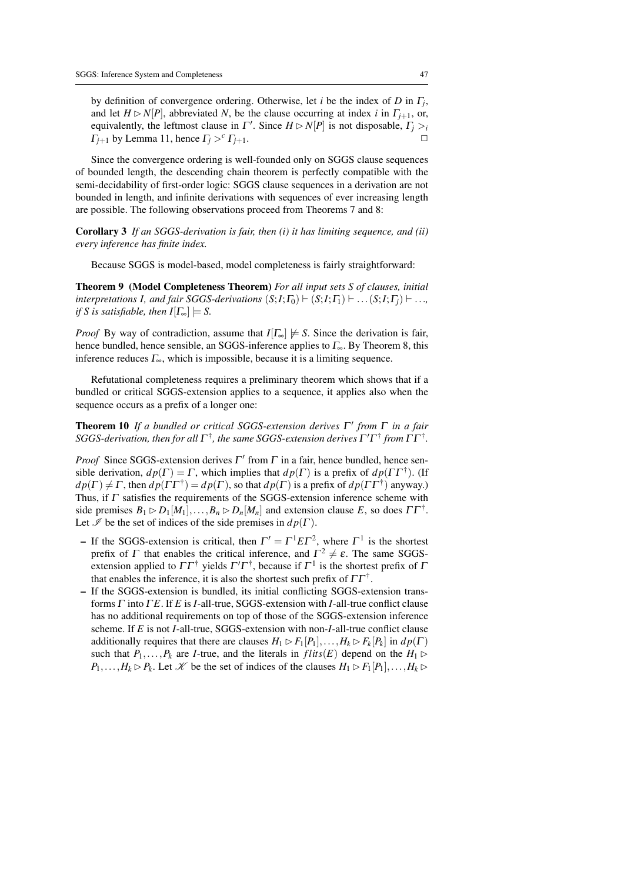by definition of convergence ordering. Otherwise, let *i* be the index of *D* in Γ*<sup>j</sup>* , and let  $H \triangleright N[P]$ , abbreviated *N*, be the clause occurring at index *i* in  $\Gamma_{i+1}$ , or, equivalently, the leftmost clause in  $\Gamma'$ . Since  $H \triangleright N[P]$  is not disposable,  $\Gamma_j > i$ *Γ*<sub>*j*+1</sub> by Lemma 11, hence  $Γ<sub>j</sub> ><sup>c</sup> Γ<sub>j+1</sub>$ .

Since the convergence ordering is well-founded only on SGGS clause sequences of bounded length, the descending chain theorem is perfectly compatible with the semi-decidability of first-order logic: SGGS clause sequences in a derivation are not bounded in length, and infinite derivations with sequences of ever increasing length are possible. The following observations proceed from Theorems 7 and 8:

Corollary 3 *If an SGGS-derivation is fair, then (i) it has limiting sequence, and (ii) every inference has finite index.*

Because SGGS is model-based, model completeness is fairly straightforward:

Theorem 9 (Model Completeness Theorem) *For all input sets S of clauses, initial interpretations I, and fair SGGS-derivations*  $(S,I;\Gamma_0) \vdash (S,I;\Gamma_1) \vdash \ldots (S,I;\Gamma_i) \vdash \ldots$ *if S is satisfiable, then*  $I[\Gamma_{\infty}] \models S$ .

*Proof* By way of contradiction, assume that  $I[\Gamma_{\infty}] \not\models S$ . Since the derivation is fair, hence bundled, hence sensible, an SGGS-inference applies to  $\Gamma_{\infty}$ . By Theorem 8, this inference reduces  $\Gamma_{\infty}$ , which is impossible, because it is a limiting sequence.

Refutational completeness requires a preliminary theorem which shows that if a bundled or critical SGGS-extension applies to a sequence, it applies also when the sequence occurs as a prefix of a longer one:

Theorem 10 *If a bundled or critical SGGS-extension derives* Γ 0 *from* Γ *in a fair*  $SGGS$ -derivation, then for all  $\Gamma^\dagger$ , the same SGGS-extension derives  $\Gamma'\Gamma^\dagger$  from  $\Gamma\Gamma^\dagger$ .

*Proof* Since SGGS-extension derives  $\Gamma'$  from  $\Gamma$  in a fair, hence bundled, hence sensible derivation,  $dp(\Gamma) = \Gamma$ , which implies that  $dp(\Gamma)$  is a prefix of  $dp(\Gamma \Gamma^{\dagger})$ . (If  $dp(\Gamma) \neq \Gamma$ , then  $dp(\Gamma \Gamma^{\dagger}) = dp(\Gamma)$ , so that  $dp(\Gamma)$  is a prefix of  $dp(\Gamma \Gamma^{\dagger})$  anyway.) Thus, if  $\Gamma$  satisfies the requirements of the SGGS-extension inference scheme with side premises  $B_1 \triangleright D_1[M_1], \ldots, B_n \triangleright D_n[M_n]$  and extension clause *E*, so does  $\Gamma \Gamma^{\dagger}$ . Let  $\mathscr I$  be the set of indices of the side premises in  $dp(\Gamma)$ .

- If the SGGS-extension is critical, then  $\Gamma' = \Gamma^1 E \Gamma^2$ , where  $\Gamma^1$  is the shortest prefix of  $\Gamma$  that enables the critical inference, and  $\Gamma^2 \neq \varepsilon$ . The same SGGSextension applied to  $\Gamma \Gamma^{\dagger}$  yields  $\Gamma' \Gamma^{\dagger}$ , because if  $\Gamma^{1}$  is the shortest prefix of  $\Gamma$ that enables the inference, it is also the shortest such prefix of  $\Gamma\Gamma^\dagger$ .
- If the SGGS-extension is bundled, its initial conflicting SGGS-extension transforms Γ into Γ *E*. If *E* is *I*-all-true, SGGS-extension with *I*-all-true conflict clause has no additional requirements on top of those of the SGGS-extension inference scheme. If *E* is not *I*-all-true, SGGS-extension with non-*I*-all-true conflict clause additionally requires that there are clauses  $H_1 \triangleright F_1[P_1], \ldots, H_k \triangleright F_k[P_k]$  in  $dp(\Gamma)$ such that  $P_1, \ldots, P_k$  are *I*-true, and the literals in  $flits(E)$  depend on the  $H_1 \triangleright$  $P_1, \ldots, H_k \triangleright P_k$ . Let *K* be the set of indices of the clauses  $H_1 \triangleright F_1[P_1], \ldots, H_k \triangleright$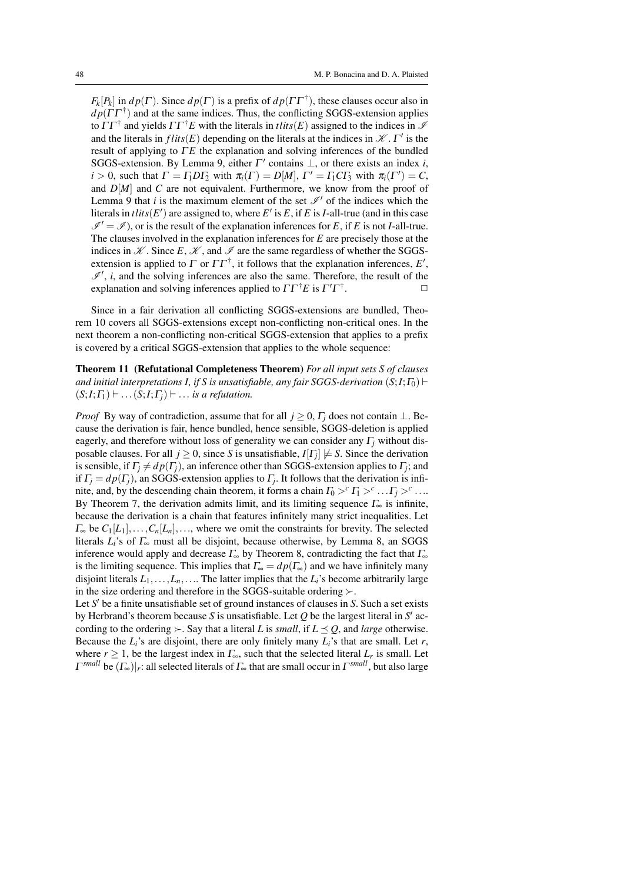$F_k[P_k]$  in  $dp(\Gamma)$ . Since  $dp(\Gamma)$  is a prefix of  $dp(\Gamma \Gamma^{\dagger})$ , these clauses occur also in  $dp(\Gamma \Gamma^{\dagger})$  and at the same indices. Thus, the conflicting SGGS-extension applies to  $\Gamma\Gamma^{\dagger}$  and yields  $\Gamma\Gamma^{\dagger}E$  with the literals in *tlits*(*E*) assigned to the indices in  $\mathcal{I}$ and the literals in  $flits(E)$  depending on the literals at the indices in  $\mathcal{K}$ .  $\Gamma'$  is the result of applying to ΓE the explanation and solving inferences of the bundled SGGS-extension. By Lemma 9, either  $\Gamma'$  contains  $\bot$ , or there exists an index *i*,  $i > 0$ , such that  $\Gamma = \Gamma_1 D \Gamma_2$  with  $\pi_i(\Gamma) = D[M], \Gamma' = \Gamma_1 C \Gamma_3$  with  $\pi_i(\Gamma') = C$ , and  $D[M]$  and *C* are not equivalent. Furthermore, we know from the proof of Lemma 9 that  $i$  is the maximum element of the set  $\mathcal{I}'$  of the indices which the literals in  $\text{tlits}(E')$  are assigned to, where  $E'$  is  $E$ , if  $E$  is  $I$ -all-true (and in this case  $\mathcal{I}' = \mathcal{I}$ , or is the result of the explanation inferences for *E*, if *E* is not *I*-all-true. The clauses involved in the explanation inferences for *E* are precisely those at the indices in  $K$ . Since *E*,  $K$ , and  $\mathscr I$  are the same regardless of whether the SGGSextension is applied to  $\Gamma$  or  $\Gamma\Gamma^{\dagger}$ , it follows that the explanation inferences, E',  $\mathscr{I}'$ , *i*, and the solving inferences are also the same. Therefore, the result of the explanation and solving inferences applied to  $\Gamma\Gamma^\dagger E$  is  $\Gamma'\Gamma^\dagger$ .  $\Box$ 

Since in a fair derivation all conflicting SGGS-extensions are bundled, Theorem 10 covers all SGGS-extensions except non-conflicting non-critical ones. In the next theorem a non-conflicting non-critical SGGS-extension that applies to a prefix is covered by a critical SGGS-extension that applies to the whole sequence:

Theorem 11 (Refutational Completeness Theorem) *For all input sets S of clauses and initial interpretations I, if S is unsatisfiable, any fair SGGS-derivation*  $(S;I;F_0)$   $\vdash$  $(S;I; \Gamma_1) \vdash \ldots (S;I; \Gamma_i) \vdash \ldots$  *is a refutation.* 

*Proof* By way of contradiction, assume that for all  $j \ge 0$ ,  $\Gamma_j$  does not contain ⊥. Because the derivation is fair, hence bundled, hence sensible, SGGS-deletion is applied eagerly, and therefore without loss of generality we can consider any Γ*<sup>j</sup>* without disposable clauses. For all  $j \geq 0$ , since *S* is unsatisfiable,  $I[T_j] \not\models S$ . Since the derivation is sensible, if  $\Gamma_j \neq dp(\Gamma_j)$ , an inference other than SGGS-extension applies to  $\Gamma_j$ ; and if  $\Gamma_j = dp(\Gamma_j)$ , an SGGS-extension applies to  $\Gamma_j$ . It follows that the derivation is infinite, and, by the descending chain theorem, it forms a chain  $\Gamma_0 >^c \Gamma_1 >^c \ldots \Gamma_j >^c \ldots$ By Theorem 7, the derivation admits limit, and its limiting sequence  $\Gamma_{\infty}$  is infinite, because the derivation is a chain that features infinitely many strict inequalities. Let  $\Gamma_{\infty}$  be  $C_1[L_1], \ldots, C_n[L_n], \ldots$ , where we omit the constraints for brevity. The selected literals  $L_i$ 's of  $\Gamma_{\infty}$  must all be disjoint, because otherwise, by Lemma 8, an SGGS inference would apply and decrease  $\Gamma_{\infty}$  by Theorem 8, contradicting the fact that  $\Gamma_{\infty}$ is the limiting sequence. This implies that  $\Gamma_{\infty} = dp(\Gamma_{\infty})$  and we have infinitely many disjoint literals  $L_1, \ldots, L_n, \ldots$ . The latter implies that the  $L_i$ 's become arbitrarily large in the size ordering and therefore in the SGGS-suitable ordering  $\succ$ .

Let S' be a finite unsatisfiable set of ground instances of clauses in S. Such a set exists by Herbrand's theorem because *S* is unsatisfiable. Let  $Q$  be the largest literal in  $S'$  according to the ordering  $\succ$ . Say that a literal *L* is *small*, if  $L \preceq Q$ , and *large* otherwise. Because the  $L_i$ 's are disjoint, there are only finitely many  $L_i$ 's that are small. Let  $r$ , where  $r \geq 1$ , be the largest index in  $\Gamma_{\infty}$ , such that the selected literal  $L_r$  is small. Let Γ *small* be (Γ∞)|*<sup>r</sup>* : all selected literals of Γ<sup>∞</sup> that are small occur in Γ *small*, but also large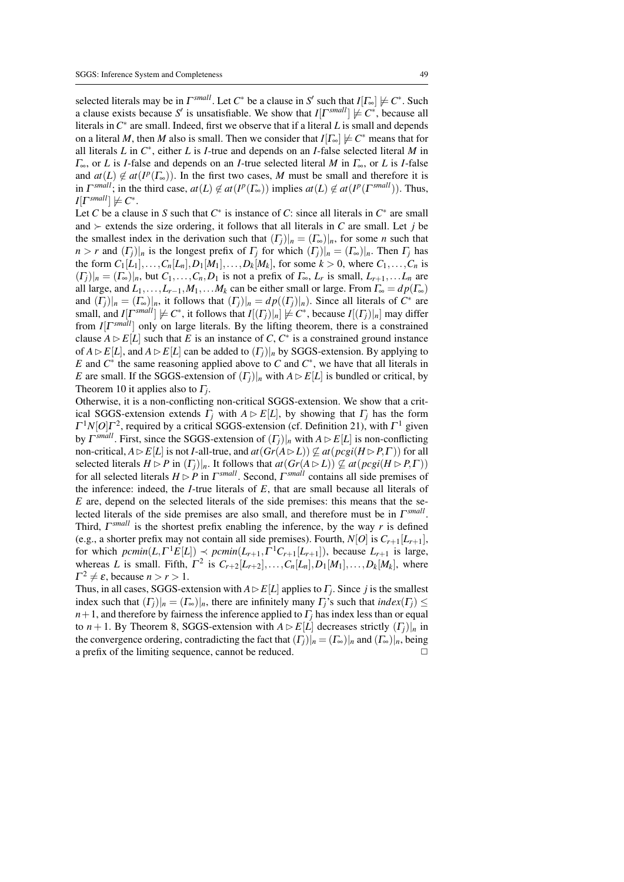selected literals may be in  $\Gamma^{small}$ . Let  $C^*$  be a clause in  $S'$  such that  $I[\Gamma_{\infty}] \not\models C^*$ . Such a clause exists because *S'* is unsatisfiable. We show that  $I[\Gamma^{small}] \neq C^*$ , because all literals in  $C^*$  are small. Indeed, first we observe that if a literal *L* is small and depends on a literal *M*, then *M* also is small. Then we consider that  $I[\Gamma_{\infty}] \not\models C^*$  means that for all literals *L* in *C* ∗ , either *L* is *I*-true and depends on an *I*-false selected literal *M* in Γ∞, or *L* is *I*-false and depends on an *I*-true selected literal *M* in Γ∞, or *L* is *I*-false and  $at(L) \notin at(P(\Gamma_{\infty}))$ . In the first two cases, M must be small and therefore it is in  $\Gamma^{small}$ ; in the third case,  $at(L) \notin at(\Gamma(F(\Gamma_{\infty}))$  implies  $at(L) \notin at(\Gamma(F(\Gamma^{small}))$ . Thus,  $I[\Gamma^{small}] \not\models C^*$ .

Let *C* be a clause in *S* such that  $C^*$  is instance of *C*: since all literals in  $C^*$  are small and  $\succ$  extends the size ordering, it follows that all literals in *C* are small. Let *j* be the smallest index in the derivation such that  $(\Gamma_j)|_n = (\Gamma_\infty)|_n$ , for some *n* such that  $n > r$  and  $(\Gamma_i)|_n$  is the longest prefix of  $\Gamma_i$  for which  $(\Gamma_i)|_n = (\Gamma_{\infty})|_n$ . Then  $\Gamma_i$  has the form  $C_1[L_1],...,C_n[L_n],D_1[M_1],...,D_k[M_k]$ , for some  $k > 0$ , where  $C_1,...,C_n$  is  $(\Gamma_j)|_n = (\Gamma_{\infty})|_n$ , but  $C_1, \ldots, C_n, D_1$  is not a prefix of  $\Gamma_{\infty}, L_r$  is small,  $L_{r+1}, \ldots, L_n$  are all large, and  $L_1, \ldots, L_{r-1}, M_1, \ldots, M_k$  can be either small or large. From  $\Gamma_{\infty} = dp(\Gamma_{\infty})$ and  $(\Gamma_j)|_n = (\Gamma_{\infty})|_n$ , it follows that  $(\Gamma_j)|_n = dp((\Gamma_j)|_n)$ . Since all literals of  $C^*$  are small, and *I*[ $\Gamma^{small}$ ]  $\not\models C^*$ , it follows that *I*[ $(I_j)|_n$ ]  $\not\models C^*$ , because *I*[ $(I_j)|_n$ ] may differ from *I*[ $\Gamma^{small}$ ] only on large literals. By the lifting theorem, there is a constrained clause  $A \triangleright E[L]$  such that *E* is an instance of *C*,  $C^*$  is a constrained ground instance of  $A \triangleright E[L]$ , and  $A \triangleright E[L]$  can be added to  $(\Gamma_i)|_n$  by SGGS-extension. By applying to *E* and  $C^*$  the same reasoning applied above to *C* and  $C^*$ , we have that all literals in *E* are small. If the SGGS-extension of  $(\Gamma_i)|_n$  with  $A \triangleright E[L]$  is bundled or critical, by Theorem 10 it applies also to Γ*<sup>j</sup>* .

Otherwise, it is a non-conflicting non-critical SGGS-extension. We show that a critical SGGS-extension extends  $\Gamma_i$  with  $A \triangleright E[L]$ , by showing that  $\Gamma_i$  has the form  $\Gamma^{1}N[O]\Gamma^{2}$ , required by a critical SGGS-extension (cf. Definition 21), with  $\Gamma^{1}$  given by  $\Gamma^{small}$ . First, since the SGGS-extension of  $(\Gamma_j)|_n$  with  $A \triangleright E[L]$  is non-conflicting non-critical,  $A \triangleright E[L]$  is not *I*-all-true, and  $at(Gr(A \triangleright L)) \not\subseteq at( \textit{pcgi}(H \triangleright P, \Gamma) )$  for all selected literals  $H \triangleright P$  in  $(\Gamma_i)|_n$ . It follows that  $at(Gr(A \triangleright L)) \not\subseteq at(pcgi(H \triangleright P,\Gamma))$ for all selected literals *H* ✄*P* in Γ *small*. Second, Γ *small* contains all side premises of the inference: indeed, the *I*-true literals of *E*, that are small because all literals of *E* are, depend on the selected literals of the side premises: this means that the selected literals of the side premises are also small, and therefore must be in Γ *small* . Third, Γ *small* is the shortest prefix enabling the inference, by the way *r* is defined (e.g., a shorter prefix may not contain all side premises). Fourth,  $N[0]$  is  $C_{r+1}[L_{r+1}]$ , for which  $\text{pcmin}(L, \Gamma^1 E[L]) \prec \text{pcmin}(L_{r+1}, \Gamma^1 C_{r+1}[L_{r+1}])$ , because  $L_{r+1}$  is large, whereas *L* is small. Fifth,  $\Gamma^2$  is  $C_{r+2}[L_{r+2}], \ldots, C_n[L_n], D_1[M_1], \ldots, D_k[M_k],$  where  $\Gamma^2 \neq \varepsilon$ , because  $n > r > 1$ .

Thus, in all cases, SGGS-extension with  $A \triangleright E[L]$  applies to  $\Gamma_j$ . Since *j* is the smallest index such that  $(\Gamma_i)|_n = (\Gamma_{\infty})|_n$ , there are infinitely many  $\Gamma_i$ 's such that *index*( $\Gamma_i$ )  $\leq$  $n+1$ , and therefore by fairness the inference applied to  $\Gamma$ <sub>*j*</sub> has index less than or equal to *n* + 1. By Theorem 8, SGGS-extension with  $A \triangleright E[L]$  decreases strictly  $(\Gamma_i)|_n$  in the convergence ordering, contradicting the fact that  $(\Gamma_i)|_n = (\Gamma_{\infty})|_n$  and  $(\Gamma_{\infty})|_n$ , being a prefix of the limiting sequence, cannot be reduced.  $\Box$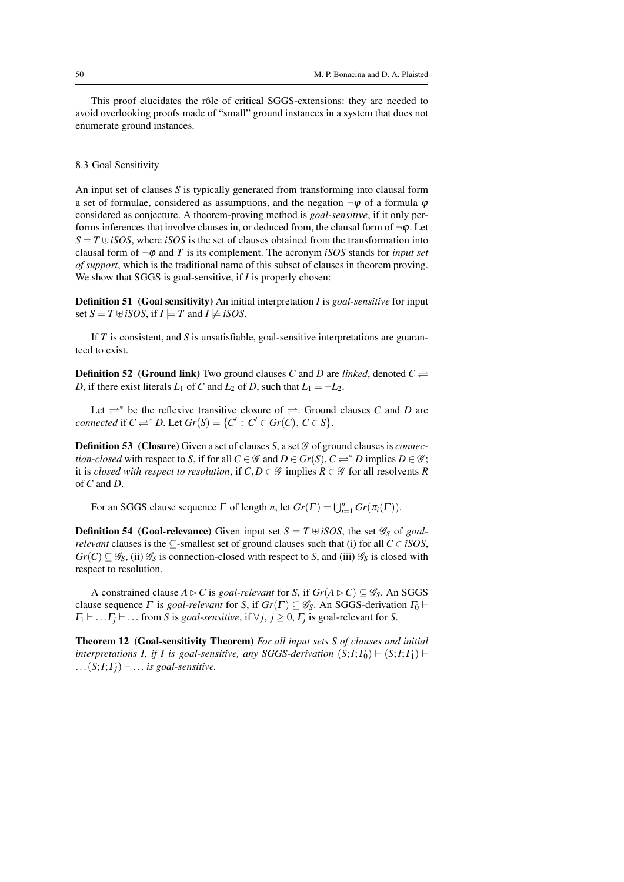This proof elucidates the rôle of critical SGGS-extensions: they are needed to avoid overlooking proofs made of "small" ground instances in a system that does not enumerate ground instances.

# 8.3 Goal Sensitivity

An input set of clauses *S* is typically generated from transforming into clausal form a set of formulae, considered as assumptions, and the negation  $\neg \varphi$  of a formula  $\varphi$ considered as conjecture. A theorem-proving method is *goal-sensitive*, if it only performs inferences that involve clauses in, or deduced from, the clausal form of  $\neg \varphi$ . Let  $S = T \oplus iSOS$ , where *iSOS* is the set of clauses obtained from the transformation into clausal form of  $\neg \varphi$  and *T* is its complement. The acronym *iSOS* stands for *input set of support*, which is the traditional name of this subset of clauses in theorem proving. We show that SGGS is goal-sensitive, if *I* is properly chosen:

Definition 51 (Goal sensitivity) An initial interpretation *I* is *goal-sensitive* for input set  $S = T \oplus iSOS$ , if  $I \models T$  and  $I \not\models iSOS$ .

If *T* is consistent, and *S* is unsatisfiable, goal-sensitive interpretations are guaranteed to exist.

**Definition 52** (Ground link) Two ground clauses *C* and *D* are *linked*, denoted  $C \rightleftharpoons$ *D*, if there exist literals  $L_1$  of *C* and  $L_2$  of *D*, such that  $L_1 = \neg L_2$ .

Let  $\rightleftharpoons$ <sup>\*</sup> be the reflexive transitive closure of  $\rightleftharpoons$ . Ground clauses *C* and *D* are  $\mathcal{C}$  *connected* if  $C \rightleftharpoons^* D$ . Let  $\mathcal{G}_r(S) = \{C' : C' \in \mathcal{G}_r(C), C \in S\}.$ 

**Definition 53** (Closure) Given a set of clauses *S*, a set *G* of ground clauses is *connection-closed* with respect to *S*, if for all  $C \in \mathscr{G}$  and  $D \in Gr(S)$ ,  $C \rightleftharpoons^* D$  implies  $D \in \mathscr{G}$ ; it is *closed with respect to resolution*, if  $C, D \in \mathscr{G}$  implies  $R \in \mathscr{G}$  for all resolvents  $R$ of *C* and *D*.

For an SGGS clause sequence  $\Gamma$  of length *n*, let  $Gr(\Gamma) = \bigcup_{i=1}^{n} Gr(\pi_i(\Gamma))$ .

**Definition 54** (Goal-relevance) Given input set  $S = T \oplus iSOS$ , the set  $\mathscr{G}_S$  of *goalrelevant* clauses is the  $\subseteq$ -smallest set of ground clauses such that (i) for all  $C \in iSOS$ ,  $Gr(C) \subseteq \mathscr{G}_S$ , (ii)  $\mathscr{G}_S$  is connection-closed with respect to *S*, and (iii)  $\mathscr{G}_S$  is closed with respect to resolution.

A constrained clause  $A \triangleright C$  is *goal-relevant* for *S*, if  $Gr(A \triangleright C) \subseteq \mathscr{G}_S$ . An SGGS clause sequence  $\Gamma$  is *goal-relevant* for *S*, if  $Gr(\Gamma) \subseteq \mathscr{G}_S$ . An SGGS-derivation  $\Gamma_0 \vdash$  $\Gamma_1 \vdash \dots \Gamma_j \vdash \dots$  from *S* is *goal-sensitive*, if  $\forall j, j \geq 0, \Gamma_j$  is goal-relevant for *S*.

Theorem 12 (Goal-sensitivity Theorem) *For all input sets S of clauses and initial interpretations I, if I is goal-sensitive, any SGGS-derivation*  $(S; I; I_0) \vdash (S; I; I_1) \vdash$  $\ldots$  (*S*;*I*; $\Gamma$ <sub>*j*</sub>)  $\vdash$  ... *is goal-sensitive.*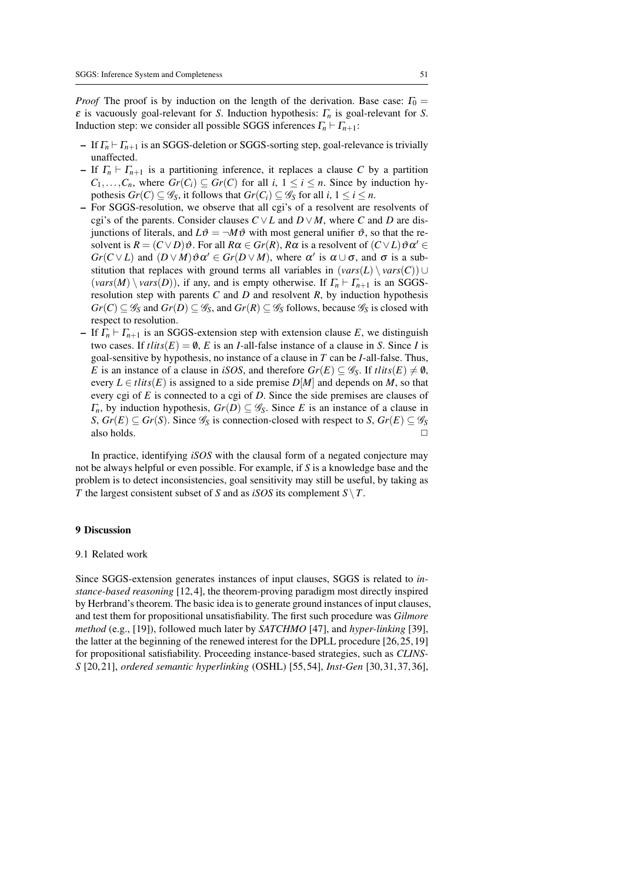*Proof* The proof is by induction on the length of the derivation. Base case:  $\Gamma_0$  = ε is vacuously goal-relevant for *S*. Induction hypothesis: Γ*<sup>n</sup>* is goal-relevant for *S*. Induction step: we consider all possible SGGS inferences  $\Gamma_n \vdash \Gamma_{n+1}$ :

- If  $\Gamma_n \vdash \Gamma_{n+1}$  is an SGGS-deletion or SGGS-sorting step, goal-relevance is trivially unaffected.
- If  $\Gamma_n \vdash \Gamma_{n+1}$  is a partitioning inference, it replaces a clause C by a partition  $C_1, \ldots, C_n$ , where  $Gr(C_i) \subseteq Gr(C)$  for all *i*,  $1 \leq i \leq n$ . Since by induction hypothesis  $Gr(C) \subseteq \mathscr{G}_S$ , it follows that  $Gr(C_i) \subseteq \mathscr{G}_S$  for all  $i, 1 \leq i \leq n$ .
- For SGGS-resolution, we observe that all cgi's of a resolvent are resolvents of cgi's of the parents. Consider clauses  $C \vee L$  and  $D \vee M$ , where *C* and *D* are disjunctions of literals, and  $L\vartheta = \neg M\vartheta$  with most general unifier  $\vartheta$ , so that the resolvent is  $R = (C \vee D)\vartheta$ . For all  $R\alpha \in Gr(R)$ ,  $R\alpha$  is a resolvent of  $(C \vee L)\vartheta \alpha' \in$ *Gr*( $C \vee L$ ) and  $(D \vee M) \vartheta \alpha' \in Gr(D \vee M)$ , where  $\alpha'$  is  $\alpha \cup \sigma$ , and  $\sigma$  is a substitution that replaces with ground terms all variables in  $(vars(L) \setminus vars(C)) \cup$  $(vars(M) \setminus vars(D))$ , if any, and is empty otherwise. If  $\Gamma_n \vdash \Gamma_{n+1}$  is an SGGSresolution step with parents *C* and *D* and resolvent *R*, by induction hypothesis  $Gr(C) \subseteq \mathscr{G}_S$  and  $Gr(D) \subseteq \mathscr{G}_S$ , and  $Gr(R) \subseteq \mathscr{G}_S$  follows, because  $\mathscr{G}_S$  is closed with respect to resolution.
- If  $\Gamma_n \vdash \Gamma_{n+1}$  is an SGGS-extension step with extension clause *E*, we distinguish two cases. If  $tlits(E) = \emptyset$ , *E* is an *I*-all-false instance of a clause in *S*. Since *I* is goal-sensitive by hypothesis, no instance of a clause in *T* can be *I*-all-false. Thus, *E* is an instance of a clause in *iSOS*, and therefore  $Gr(E) \subseteq \mathscr{G}_S$ . If  $tlits(E) \neq \emptyset$ , every  $L \in \text{tilts}(E)$  is assigned to a side premise  $D[M]$  and depends on *M*, so that every cgi of *E* is connected to a cgi of *D*. Since the side premises are clauses of  $\Gamma_n$ , by induction hypothesis,  $Gr(D) \subseteq \mathscr{G}_S$ . Since *E* is an instance of a clause in *S*, *Gr*(*E*) ⊆ *Gr*(*S*). Since  $\mathcal{G}_S$  is connection-closed with respect to *S*, *Gr*(*E*) ⊆  $\mathcal{G}_S$  also holds. also holds.

In practice, identifying *iSOS* with the clausal form of a negated conjecture may not be always helpful or even possible. For example, if *S* is a knowledge base and the problem is to detect inconsistencies, goal sensitivity may still be useful, by taking as *T* the largest consistent subset of *S* and as *iSOS* its complement *S* \*T*.

# 9 Discussion

#### 9.1 Related work

Since SGGS-extension generates instances of input clauses, SGGS is related to *instance-based reasoning* [12,4], the theorem-proving paradigm most directly inspired by Herbrand's theorem. The basic idea is to generate ground instances of input clauses, and test them for propositional unsatisfiability. The first such procedure was *Gilmore method* (e.g., [19]), followed much later by *SATCHMO* [47], and *hyper-linking* [39], the latter at the beginning of the renewed interest for the DPLL procedure [26, 25, 19] for propositional satisfiability. Proceeding instance-based strategies, such as *CLINS-S* [20, 21], *ordered semantic hyperlinking* (OSHL) [55, 54], *Inst-Gen* [30, 31, 37, 36],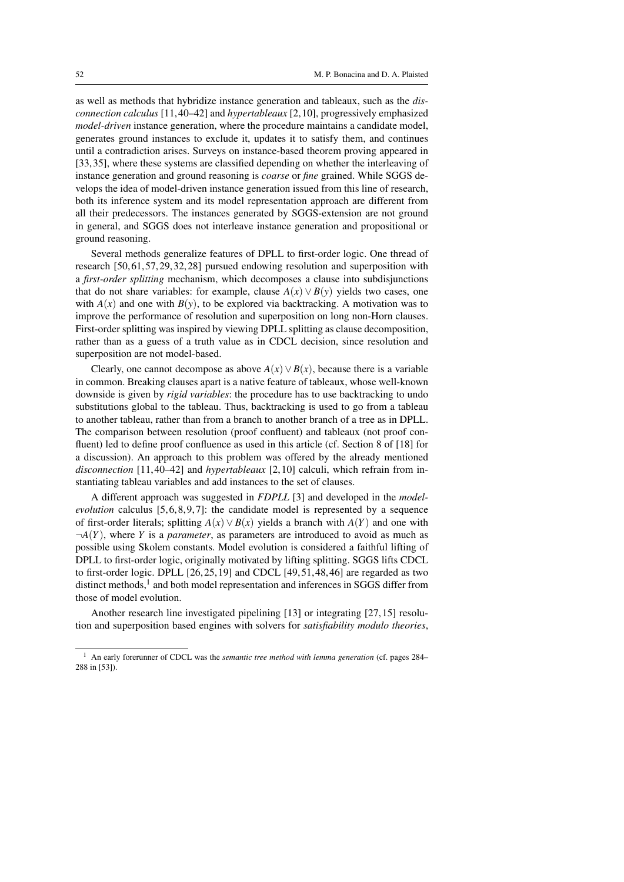as well as methods that hybridize instance generation and tableaux, such as the *disconnection calculus* [11, 40–42] and *hypertableaux* [2, 10], progressively emphasized *model-driven* instance generation, where the procedure maintains a candidate model, generates ground instances to exclude it, updates it to satisfy them, and continues until a contradiction arises. Surveys on instance-based theorem proving appeared in [33, 35], where these systems are classified depending on whether the interleaving of instance generation and ground reasoning is *coarse* or *fine* grained. While SGGS develops the idea of model-driven instance generation issued from this line of research, both its inference system and its model representation approach are different from all their predecessors. The instances generated by SGGS-extension are not ground in general, and SGGS does not interleave instance generation and propositional or ground reasoning.

Several methods generalize features of DPLL to first-order logic. One thread of research [50, 61, 57, 29, 32, 28] pursued endowing resolution and superposition with a *first-order splitting* mechanism, which decomposes a clause into subdisjunctions that do not share variables: for example, clause  $A(x) \vee B(y)$  yields two cases, one with  $A(x)$  and one with  $B(y)$ , to be explored via backtracking. A motivation was to improve the performance of resolution and superposition on long non-Horn clauses. First-order splitting was inspired by viewing DPLL splitting as clause decomposition, rather than as a guess of a truth value as in CDCL decision, since resolution and superposition are not model-based.

Clearly, one cannot decompose as above  $A(x) \vee B(x)$ , because there is a variable in common. Breaking clauses apart is a native feature of tableaux, whose well-known downside is given by *rigid variables*: the procedure has to use backtracking to undo substitutions global to the tableau. Thus, backtracking is used to go from a tableau to another tableau, rather than from a branch to another branch of a tree as in DPLL. The comparison between resolution (proof confluent) and tableaux (not proof confluent) led to define proof confluence as used in this article (cf. Section 8 of [18] for a discussion). An approach to this problem was offered by the already mentioned *disconnection* [11, 40–42] and *hypertableaux* [2, 10] calculi, which refrain from instantiating tableau variables and add instances to the set of clauses.

A different approach was suggested in *FDPLL* [3] and developed in the *modelevolution* calculus  $[5, 6, 8, 9, 7]$ : the candidate model is represented by a sequence of first-order literals; splitting  $A(x) \vee B(x)$  yields a branch with  $A(Y)$  and one with  $\neg A(Y)$ , where *Y* is a *parameter*, as parameters are introduced to avoid as much as possible using Skolem constants. Model evolution is considered a faithful lifting of DPLL to first-order logic, originally motivated by lifting splitting. SGGS lifts CDCL to first-order logic. DPLL  $[26, 25, 19]$  and CDCL  $[49, 51, 48, 46]$  are regarded as two distinct methods,<sup>1</sup> and both model representation and inferences in SGGS differ from those of model evolution.

Another research line investigated pipelining [13] or integrating [27, 15] resolution and superposition based engines with solvers for *satisfiability modulo theories*,

<sup>1</sup> An early forerunner of CDCL was the *semantic tree method with lemma generation* (cf. pages 284– 288 in [53]).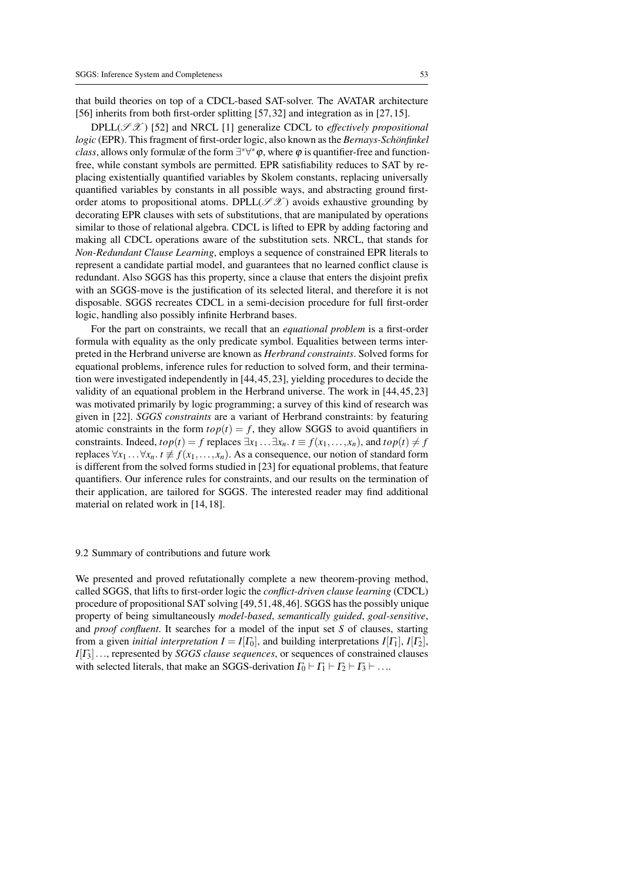that build theories on top of a CDCL-based SAT-solver. The AVATAR architecture [56] inherits from both first-order splitting [57, 32] and integration as in [27, 15].

 $DPLL(\mathcal{S}\mathcal{X})$  [52] and NRCL [1] generalize CDCL to *effectively propositional logic* (EPR). This fragment of first-order logic, also known as the *Bernays-Schönfinkel class*, allows only formulæ of the form  $\exists^*\forall^*\varphi$ , where  $\varphi$  is quantifier-free and functionfree, while constant symbols are permitted. EPR satisfiability reduces to SAT by replacing existentially quantified variables by Skolem constants, replacing universally quantified variables by constants in all possible ways, and abstracting ground firstorder atoms to propositional atoms. DPLL( $\mathscr{S}\mathscr{X}$ ) avoids exhaustive grounding by decorating EPR clauses with sets of substitutions, that are manipulated by operations similar to those of relational algebra. CDCL is lifted to EPR by adding factoring and making all CDCL operations aware of the substitution sets. NRCL, that stands for *Non-Redundant Clause Learning*, employs a sequence of constrained EPR literals to represent a candidate partial model, and guarantees that no learned conflict clause is redundant. Also SGGS has this property, since a clause that enters the disjoint prefix with an SGGS-move is the justification of its selected literal, and therefore it is not disposable. SGGS recreates CDCL in a semi-decision procedure for full first-order logic, handling also possibly infinite Herbrand bases.

For the part on constraints, we recall that an *equational problem* is a first-order formula with equality as the only predicate symbol. Equalities between terms interpreted in the Herbrand universe are known as *Herbrand constraints*. Solved forms for equational problems, inference rules for reduction to solved form, and their termination were investigated independently in [44, 45, 23], yielding procedures to decide the validity of an equational problem in the Herbrand universe. The work in [44, 45, 23] was motivated primarily by logic programming; a survey of this kind of research was given in [22]. *SGGS constraints* are a variant of Herbrand constraints: by featuring atomic constraints in the form  $top(t) = f$ , they allow SGGS to avoid quantifiers in constraints. Indeed,  $top(t) = f$  replaces  $\exists x_1 \dots \exists x_n$ .  $t \equiv f(x_1, \dots, x_n)$ , and  $top(t) \neq f$ replaces  $\forall x_1 \ldots \forall x_n$ .  $t \not\equiv f(x_1, \ldots, x_n)$ . As a consequence, our notion of standard form is different from the solved forms studied in [23] for equational problems, that feature quantifiers. Our inference rules for constraints, and our results on the termination of their application, are tailored for SGGS. The interested reader may find additional material on related work in [14, 18].

#### 9.2 Summary of contributions and future work

We presented and proved refutationally complete a new theorem-proving method, called SGGS, that lifts to first-order logic the *conflict-driven clause learning* (CDCL) procedure of propositional SAT solving [49, 51, 48, 46]. SGGS has the possibly unique property of being simultaneously *model-based*, *semantically guided*, *goal-sensitive*, and *proof confluent*. It searches for a model of the input set *S* of clauses, starting from a given *initial interpretation*  $I = I[\Gamma_0]$ , and building interpretations  $I[\Gamma_1]$ ,  $I[\Gamma_2]$ , *I*[Γ3]..., represented by *SGGS clause sequences*, or sequences of constrained clauses with selected literals, that make an SGGS-derivation  $\Gamma_0 \vdash \Gamma_1 \vdash \Gamma_2 \vdash \Gamma_3 \vdash \ldots$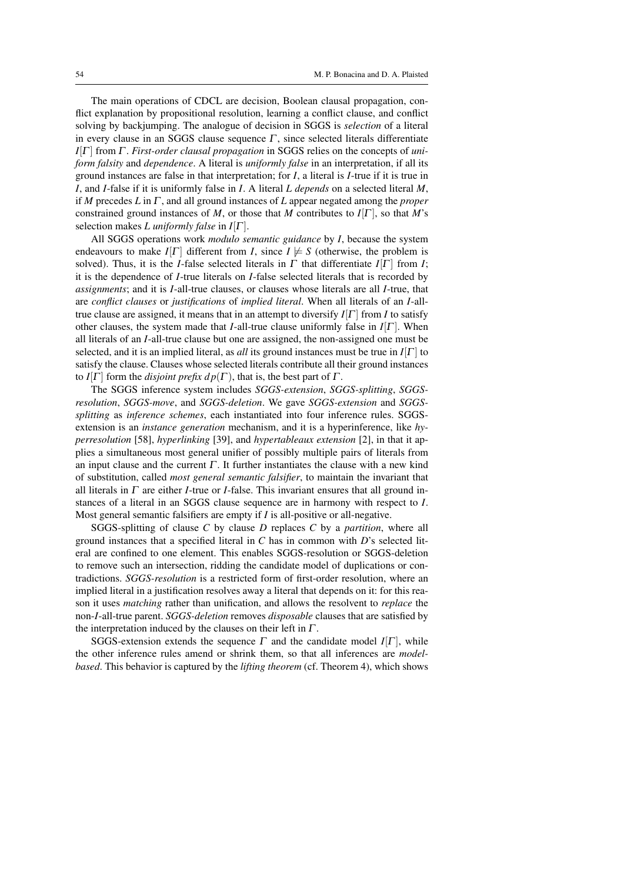The main operations of CDCL are decision, Boolean clausal propagation, conflict explanation by propositional resolution, learning a conflict clause, and conflict solving by backjumping. The analogue of decision in SGGS is *selection* of a literal in every clause in an SGGS clause sequence  $\Gamma$ , since selected literals differentiate *I*[Γ ] from Γ . *First-order clausal propagation* in SGGS relies on the concepts of *uniform falsity* and *dependence*. A literal is *uniformly false* in an interpretation, if all its ground instances are false in that interpretation; for *I*, a literal is *I*-true if it is true in *I*, and *I*-false if it is uniformly false in *I*. A literal *L depends* on a selected literal *M*, if *M* precedes *L* in Γ , and all ground instances of *L* appear negated among the *proper* constrained ground instances of *M*, or those that *M* contributes to  $I[\Gamma]$ , so that *M*'s selection makes *L uniformly false* in *I*[Γ ].

All SGGS operations work *modulo semantic guidance* by *I*, because the system endeavours to make *I*[Γ] different from *I*, since *I*  $\not\models$  *S* (otherwise, the problem is solved). Thus, it is the *I*-false selected literals in  $\Gamma$  that differentiate  $I[\Gamma]$  from *I*; it is the dependence of *I*-true literals on *I*-false selected literals that is recorded by *assignments*; and it is *I*-all-true clauses, or clauses whose literals are all *I*-true, that are *conflict clauses* or *justifications* of *implied literal*. When all literals of an *I*-alltrue clause are assigned, it means that in an attempt to diversify  $I[\Gamma]$  from *I* to satisfy other clauses, the system made that *I*-all-true clause uniformly false in *I*[Γ ]. When all literals of an *I*-all-true clause but one are assigned, the non-assigned one must be selected, and it is an implied literal, as *all* its ground instances must be true in *I*[Γ ] to satisfy the clause. Clauses whose selected literals contribute all their ground instances to *I*[ $\Gamma$ ] form the *disjoint prefix dp*( $\Gamma$ ), that is, the best part of  $\Gamma$ .

The SGGS inference system includes *SGGS-extension*, *SGGS-splitting*, *SGGSresolution*, *SGGS-move*, and *SGGS-deletion*. We gave *SGGS-extension* and *SGGSsplitting* as *inference schemes*, each instantiated into four inference rules. SGGSextension is an *instance generation* mechanism, and it is a hyperinference, like *hyperresolution* [58], *hyperlinking* [39], and *hypertableaux extension* [2], in that it applies a simultaneous most general unifier of possibly multiple pairs of literals from an input clause and the current  $\Gamma$ . It further instantiates the clause with a new kind of substitution, called *most general semantic falsifier*, to maintain the invariant that all literals in Γ are either *I*-true or *I*-false. This invariant ensures that all ground instances of a literal in an SGGS clause sequence are in harmony with respect to *I*. Most general semantic falsifiers are empty if *I* is all-positive or all-negative.

SGGS-splitting of clause *C* by clause *D* replaces *C* by a *partition*, where all ground instances that a specified literal in *C* has in common with *D*'s selected literal are confined to one element. This enables SGGS-resolution or SGGS-deletion to remove such an intersection, ridding the candidate model of duplications or contradictions. *SGGS-resolution* is a restricted form of first-order resolution, where an implied literal in a justification resolves away a literal that depends on it: for this reason it uses *matching* rather than unification, and allows the resolvent to *replace* the non-*I*-all-true parent. *SGGS-deletion* removes *disposable* clauses that are satisfied by the interpretation induced by the clauses on their left in  $\Gamma$ .

SGGS-extension extends the sequence  $\Gamma$  and the candidate model  $I[\Gamma]$ , while the other inference rules amend or shrink them, so that all inferences are *modelbased*. This behavior is captured by the *lifting theorem* (cf. Theorem 4), which shows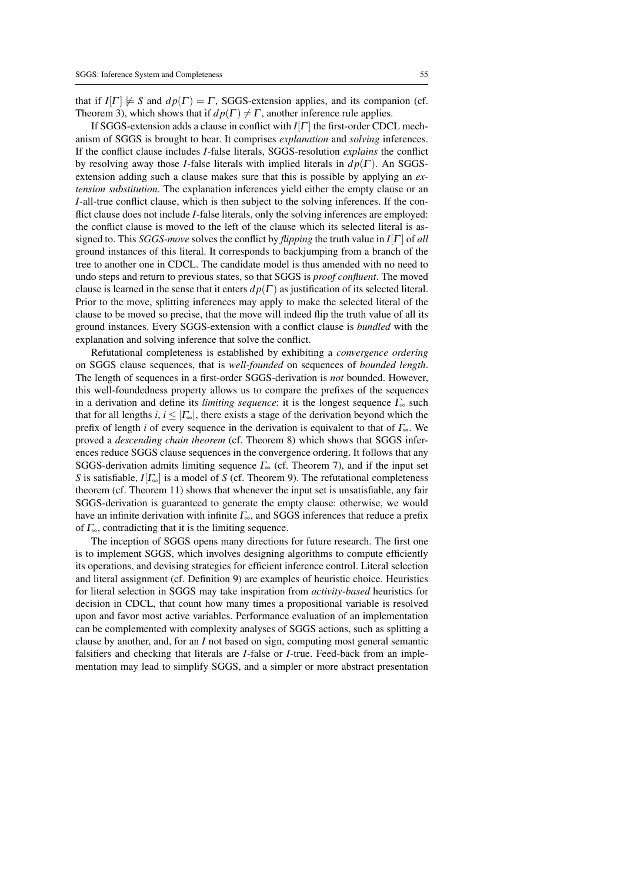that if  $I[\Gamma] \not\models S$  and  $dp(\Gamma) = \Gamma$ , SGGS-extension applies, and its companion (cf. Theorem 3), which shows that if  $dp(\Gamma) \neq \Gamma$ , another inference rule applies.

If SGGS-extension adds a clause in conflict with *I*[Γ ] the first-order CDCL mechanism of SGGS is brought to bear. It comprises *explanation* and *solving* inferences. If the conflict clause includes *I*-false literals, SGGS-resolution *explains* the conflict by resolving away those *I*-false literals with implied literals in  $d p(\Gamma)$ . An SGGSextension adding such a clause makes sure that this is possible by applying an *extension substitution*. The explanation inferences yield either the empty clause or an *I*-all-true conflict clause, which is then subject to the solving inferences. If the conflict clause does not include *I*-false literals, only the solving inferences are employed: the conflict clause is moved to the left of the clause which its selected literal is assigned to. This *SGGS-move* solves the conflict by *flipping* the truth value in *I*[Γ ] of *all* ground instances of this literal. It corresponds to backjumping from a branch of the tree to another one in CDCL. The candidate model is thus amended with no need to undo steps and return to previous states, so that SGGS is *proof confluent*. The moved clause is learned in the sense that it enters  $dp(\Gamma)$  as justification of its selected literal. Prior to the move, splitting inferences may apply to make the selected literal of the clause to be moved so precise, that the move will indeed flip the truth value of all its ground instances. Every SGGS-extension with a conflict clause is *bundled* with the explanation and solving inference that solve the conflict.

Refutational completeness is established by exhibiting a *convergence ordering* on SGGS clause sequences, that is *well-founded* on sequences of *bounded length*. The length of sequences in a first-order SGGS-derivation is *not* bounded. However, this well-foundedness property allows us to compare the prefixes of the sequences in a derivation and define its *limiting sequence*: it is the longest sequence  $\Gamma_{\infty}$  such that for all lengths *i*,  $i \leq |\Gamma_{\infty}|$ , there exists a stage of the derivation beyond which the prefix of length *i* of every sequence in the derivation is equivalent to that of Γ∞. We proved a *descending chain theorem* (cf. Theorem 8) which shows that SGGS inferences reduce SGGS clause sequences in the convergence ordering. It follows that any SGGS-derivation admits limiting sequence  $\Gamma_{\infty}$  (cf. Theorem 7), and if the input set *S* is satisfiable, *I*[Γ∞] is a model of *S* (cf. Theorem 9). The refutational completeness theorem (cf. Theorem 11) shows that whenever the input set is unsatisfiable, any fair SGGS-derivation is guaranteed to generate the empty clause: otherwise, we would have an infinite derivation with infinite  $\Gamma_{\infty}$ , and SGGS inferences that reduce a prefix of  $\Gamma_{\infty}$ , contradicting that it is the limiting sequence.

The inception of SGGS opens many directions for future research. The first one is to implement SGGS, which involves designing algorithms to compute efficiently its operations, and devising strategies for efficient inference control. Literal selection and literal assignment (cf. Definition 9) are examples of heuristic choice. Heuristics for literal selection in SGGS may take inspiration from *activity-based* heuristics for decision in CDCL, that count how many times a propositional variable is resolved upon and favor most active variables. Performance evaluation of an implementation can be complemented with complexity analyses of SGGS actions, such as splitting a clause by another, and, for an *I* not based on sign, computing most general semantic falsifiers and checking that literals are *I*-false or *I*-true. Feed-back from an implementation may lead to simplify SGGS, and a simpler or more abstract presentation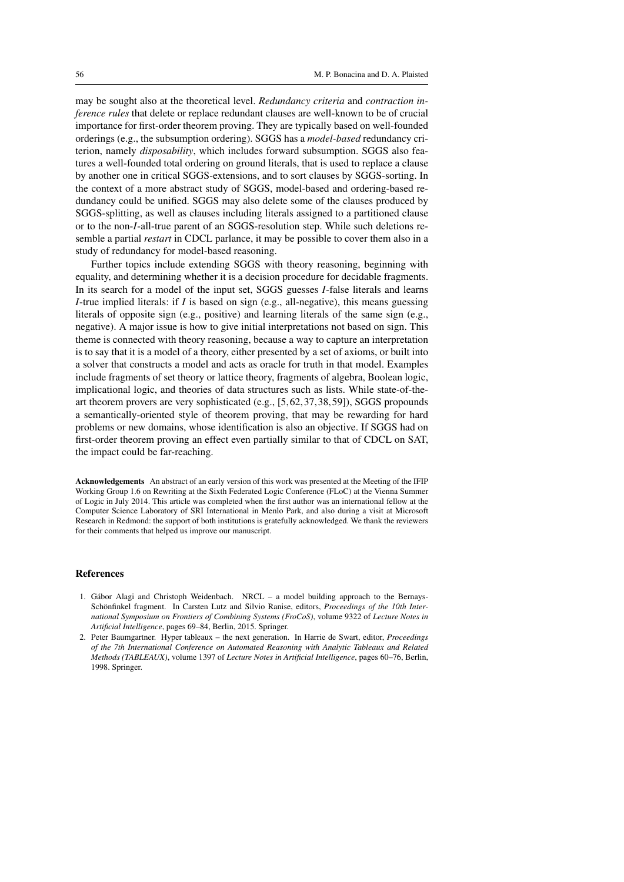may be sought also at the theoretical level. *Redundancy criteria* and *contraction inference rules* that delete or replace redundant clauses are well-known to be of crucial importance for first-order theorem proving. They are typically based on well-founded orderings (e.g., the subsumption ordering). SGGS has a *model-based* redundancy criterion, namely *disposability*, which includes forward subsumption. SGGS also features a well-founded total ordering on ground literals, that is used to replace a clause by another one in critical SGGS-extensions, and to sort clauses by SGGS-sorting. In the context of a more abstract study of SGGS, model-based and ordering-based redundancy could be unified. SGGS may also delete some of the clauses produced by SGGS-splitting, as well as clauses including literals assigned to a partitioned clause or to the non-*I*-all-true parent of an SGGS-resolution step. While such deletions resemble a partial *restart* in CDCL parlance, it may be possible to cover them also in a study of redundancy for model-based reasoning.

Further topics include extending SGGS with theory reasoning, beginning with equality, and determining whether it is a decision procedure for decidable fragments. In its search for a model of the input set, SGGS guesses *I*-false literals and learns *I*-true implied literals: if *I* is based on sign (e.g., all-negative), this means guessing literals of opposite sign (e.g., positive) and learning literals of the same sign (e.g., negative). A major issue is how to give initial interpretations not based on sign. This theme is connected with theory reasoning, because a way to capture an interpretation is to say that it is a model of a theory, either presented by a set of axioms, or built into a solver that constructs a model and acts as oracle for truth in that model. Examples include fragments of set theory or lattice theory, fragments of algebra, Boolean logic, implicational logic, and theories of data structures such as lists. While state-of-theart theorem provers are very sophisticated (e.g., [5, 62, 37, 38, 59]), SGGS propounds a semantically-oriented style of theorem proving, that may be rewarding for hard problems or new domains, whose identification is also an objective. If SGGS had on first-order theorem proving an effect even partially similar to that of CDCL on SAT, the impact could be far-reaching.

Acknowledgements An abstract of an early version of this work was presented at the Meeting of the IFIP Working Group 1.6 on Rewriting at the Sixth Federated Logic Conference (FLoC) at the Vienna Summer of Logic in July 2014. This article was completed when the first author was an international fellow at the Computer Science Laboratory of SRI International in Menlo Park, and also during a visit at Microsoft Research in Redmond: the support of both institutions is gratefully acknowledged. We thank the reviewers for their comments that helped us improve our manuscript.

## References

- 1. Gábor Alagi and Christoph Weidenbach. NRCL a model building approach to the Bernays-Schönfinkel fragment. In Carsten Lutz and Silvio Ranise, editors, *Proceedings of the 10th International Symposium on Frontiers of Combining Systems (FroCoS)*, volume 9322 of *Lecture Notes in Artificial Intelligence*, pages 69–84, Berlin, 2015. Springer.
- 2. Peter Baumgartner. Hyper tableaux the next generation. In Harrie de Swart, editor, *Proceedings of the 7th International Conference on Automated Reasoning with Analytic Tableaux and Related Methods (TABLEAUX)*, volume 1397 of *Lecture Notes in Artificial Intelligence*, pages 60–76, Berlin, 1998. Springer.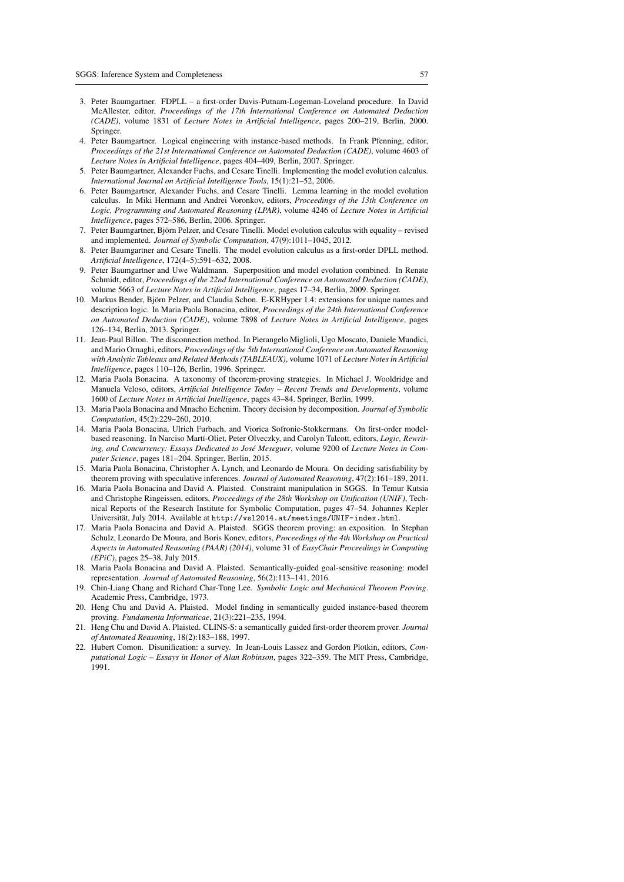- 3. Peter Baumgartner. FDPLL a first-order Davis-Putnam-Logeman-Loveland procedure. In David McAllester, editor, *Proceedings of the 17th International Conference on Automated Deduction (CADE)*, volume 1831 of *Lecture Notes in Artificial Intelligence*, pages 200–219, Berlin, 2000. Springer.
- 4. Peter Baumgartner. Logical engineering with instance-based methods. In Frank Pfenning, editor, *Proceedings of the 21st International Conference on Automated Deduction (CADE)*, volume 4603 of *Lecture Notes in Artificial Intelligence*, pages 404–409, Berlin, 2007. Springer.
- 5. Peter Baumgartner, Alexander Fuchs, and Cesare Tinelli. Implementing the model evolution calculus. *International Journal on Artificial Intelligence Tools*, 15(1):21–52, 2006.
- 6. Peter Baumgartner, Alexander Fuchs, and Cesare Tinelli. Lemma learning in the model evolution calculus. In Miki Hermann and Andrei Voronkov, editors, *Proceedings of the 13th Conference on Logic, Programming and Automated Reasoning (LPAR)*, volume 4246 of *Lecture Notes in Artificial Intelligence*, pages 572–586, Berlin, 2006. Springer.
- 7. Peter Baumgartner, Bjorn Pelzer, and Cesare Tinelli. Model evolution calculus with equality revised ¨ and implemented. *Journal of Symbolic Computation*, 47(9):1011–1045, 2012.
- 8. Peter Baumgartner and Cesare Tinelli. The model evolution calculus as a first-order DPLL method. *Artificial Intelligence*, 172(4–5):591–632, 2008.
- 9. Peter Baumgartner and Uwe Waldmann. Superposition and model evolution combined. In Renate Schmidt, editor, *Proceedings of the 22nd International Conference on Automated Deduction (CADE)*, volume 5663 of *Lecture Notes in Artificial Intelligence*, pages 17–34, Berlin, 2009. Springer.
- 10. Markus Bender, Bjorn Pelzer, and Claudia Schon. E-KRHyper 1.4: extensions for unique names and ¨ description logic. In Maria Paola Bonacina, editor, *Proceedings of the 24th International Conference on Automated Deduction (CADE)*, volume 7898 of *Lecture Notes in Artificial Intelligence*, pages 126–134, Berlin, 2013. Springer.
- 11. Jean-Paul Billon. The disconnection method. In Pierangelo Miglioli, Ugo Moscato, Daniele Mundici, and Mario Ornaghi, editors, *Proceedings of the 5th International Conference on Automated Reasoning with Analytic Tableaux and Related Methods (TABLEAUX)*, volume 1071 of *Lecture Notes in Artificial Intelligence*, pages 110–126, Berlin, 1996. Springer.
- 12. Maria Paola Bonacina. A taxonomy of theorem-proving strategies. In Michael J. Wooldridge and Manuela Veloso, editors, *Artificial Intelligence Today – Recent Trends and Developments*, volume 1600 of *Lecture Notes in Artificial Intelligence*, pages 43–84. Springer, Berlin, 1999.
- 13. Maria Paola Bonacina and Mnacho Echenim. Theory decision by decomposition. *Journal of Symbolic Computation*, 45(2):229–260, 2010.
- 14. Maria Paola Bonacina, Ulrich Furbach, and Viorica Sofronie-Stokkermans. On first-order modelbased reasoning. In Narciso Martí-Oliet, Peter Olveczky, and Carolyn Talcott, editors, *Logic, Rewrit*ing, and Concurrency: Essays Dedicated to José Meseguer, volume 9200 of Lecture Notes in Com*puter Science*, pages 181–204. Springer, Berlin, 2015.
- 15. Maria Paola Bonacina, Christopher A. Lynch, and Leonardo de Moura. On deciding satisfiability by theorem proving with speculative inferences. *Journal of Automated Reasoning*, 47(2):161–189, 2011.
- 16. Maria Paola Bonacina and David A. Plaisted. Constraint manipulation in SGGS. In Temur Kutsia and Christophe Ringeissen, editors, *Proceedings of the 28th Workshop on Unification (UNIF)*, Technical Reports of the Research Institute for Symbolic Computation, pages 47–54. Johannes Kepler Universität, July 2014. Available at http://vs12014.at/meetings/UNIF-index.html.
- 17. Maria Paola Bonacina and David A. Plaisted. SGGS theorem proving: an exposition. In Stephan Schulz, Leonardo De Moura, and Boris Konev, editors, *Proceedings of the 4th Workshop on Practical Aspects in Automated Reasoning (PAAR) (2014)*, volume 31 of *EasyChair Proceedings in Computing (EPiC)*, pages 25–38, July 2015.
- 18. Maria Paola Bonacina and David A. Plaisted. Semantically-guided goal-sensitive reasoning: model representation. *Journal of Automated Reasoning*, 56(2):113–141, 2016.
- 19. Chin-Liang Chang and Richard Char-Tung Lee. *Symbolic Logic and Mechanical Theorem Proving*. Academic Press, Cambridge, 1973.
- 20. Heng Chu and David A. Plaisted. Model finding in semantically guided instance-based theorem proving. *Fundamenta Informaticae*, 21(3):221–235, 1994.
- 21. Heng Chu and David A. Plaisted. CLINS-S: a semantically guided first-order theorem prover. *Journal of Automated Reasoning*, 18(2):183–188, 1997.
- 22. Hubert Comon. Disunification: a survey. In Jean-Louis Lassez and Gordon Plotkin, editors, *Computational Logic – Essays in Honor of Alan Robinson*, pages 322–359. The MIT Press, Cambridge, 1991.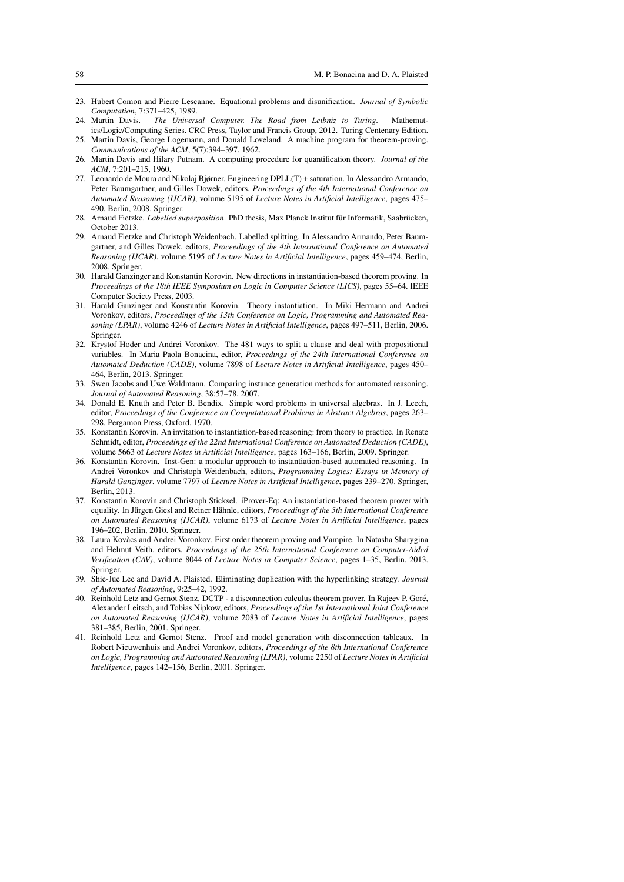- 23. Hubert Comon and Pierre Lescanne. Equational problems and disunification. *Journal of Symbolic Computation*, 7:371–425, 1989.
- 24. Martin Davis. *The Universal Computer. The Road from Leibniz to Turing*. Mathematics/Logic/Computing Series. CRC Press, Taylor and Francis Group, 2012. Turing Centenary Edition.
- 25. Martin Davis, George Logemann, and Donald Loveland. A machine program for theorem-proving. *Communications of the ACM*, 5(7):394–397, 1962. 26. Martin Davis and Hilary Putnam. A computing procedure for quantification theory. *Journal of the*
- *ACM*, 7:201–215, 1960.
- 27. Leonardo de Moura and Nikolaj Bjørner. Engineering DPLL(T) + saturation. In Alessandro Armando, Peter Baumgartner, and Gilles Dowek, editors, *Proceedings of the 4th International Conference on Automated Reasoning (IJCAR)*, volume 5195 of *Lecture Notes in Artificial Intelligence*, pages 475– 490, Berlin, 2008. Springer.
- 28. Arnaud Fietzke. *Labelled superposition*. PhD thesis, Max Planck Institut für Informatik, Saabrücken, October 2013.
- 29. Arnaud Fietzke and Christoph Weidenbach. Labelled splitting. In Alessandro Armando, Peter Baumgartner, and Gilles Dowek, editors, *Proceedings of the 4th International Conference on Automated Reasoning (IJCAR)*, volume 5195 of *Lecture Notes in Artificial Intelligence*, pages 459–474, Berlin, 2008. Springer.
- 30. Harald Ganzinger and Konstantin Korovin. New directions in instantiation-based theorem proving. In *Proceedings of the 18th IEEE Symposium on Logic in Computer Science (LICS)*, pages 55–64. IEEE Computer Society Press, 2003.
- 31. Harald Ganzinger and Konstantin Korovin. Theory instantiation. In Miki Hermann and Andrei Voronkov, editors, *Proceedings of the 13th Conference on Logic, Programming and Automated Reasoning (LPAR)*, volume 4246 of *Lecture Notes in Artificial Intelligence*, pages 497–511, Berlin, 2006. **Springer.**
- 32. Krystof Hoder and Andrei Voronkov. The 481 ways to split a clause and deal with propositional variables. In Maria Paola Bonacina, editor, *Proceedings of the 24th International Conference on Automated Deduction (CADE)*, volume 7898 of *Lecture Notes in Artificial Intelligence*, pages 450– 464, Berlin, 2013. Springer.
- 33. Swen Jacobs and Uwe Waldmann. Comparing instance generation methods for automated reasoning. *Journal of Automated Reasoning*, 38:57–78, 2007.
- 34. Donald E. Knuth and Peter B. Bendix. Simple word problems in universal algebras. In J. Leech, editor, *Proceedings of the Conference on Computational Problems in Abstract Algebras*, pages 263– 298. Pergamon Press, Oxford, 1970.
- 35. Konstantin Korovin. An invitation to instantiation-based reasoning: from theory to practice. In Renate Schmidt, editor, *Proceedings of the 22nd International Conference on Automated Deduction (CADE)*, volume 5663 of *Lecture Notes in Artificial Intelligence*, pages 163–166, Berlin, 2009. Springer.
- 36. Konstantin Korovin. Inst-Gen: a modular approach to instantiation-based automated reasoning. In Andrei Voronkov and Christoph Weidenbach, editors, *Programming Logics: Essays in Memory of Harald Ganzinger*, volume 7797 of *Lecture Notes in Artificial Intelligence*, pages 239–270. Springer, Berlin, 2013.
- 37. Konstantin Korovin and Christoph Sticksel. iProver-Eq: An instantiation-based theorem prover with equality. In Jürgen Giesl and Reiner Hähnle, editors, Proceedings of the 5th International Conference *on Automated Reasoning (IJCAR)*, volume 6173 of *Lecture Notes in Artificial Intelligence*, pages 196–202, Berlin, 2010. Springer.
- 38. Laura Kovacs and Andrei Voronkov. First order theorem proving and Vampire. In Natasha Sharygina ` and Helmut Veith, editors, *Proceedings of the 25th International Conference on Computer-Aided Verification (CAV)*, volume 8044 of *Lecture Notes in Computer Science*, pages 1–35, Berlin, 2013. Springer.
- 39. Shie-Jue Lee and David A. Plaisted. Eliminating duplication with the hyperlinking strategy. *Journal of Automated Reasoning*, 9:25–42, 1992.
- 40. Reinhold Letz and Gernot Stenz. DCTP a disconnection calculus theorem prover. In Rajeev P. Gore,´ Alexander Leitsch, and Tobias Nipkow, editors, *Proceedings of the 1st International Joint Conference on Automated Reasoning (IJCAR)*, volume 2083 of *Lecture Notes in Artificial Intelligence*, pages 381–385, Berlin, 2001. Springer.
- 41. Reinhold Letz and Gernot Stenz. Proof and model generation with disconnection tableaux. In Robert Nieuwenhuis and Andrei Voronkov, editors, *Proceedings of the 8th International Conference on Logic, Programming and Automated Reasoning (LPAR)*, volume 2250 of *Lecture Notes in Artificial Intelligence*, pages 142–156, Berlin, 2001. Springer.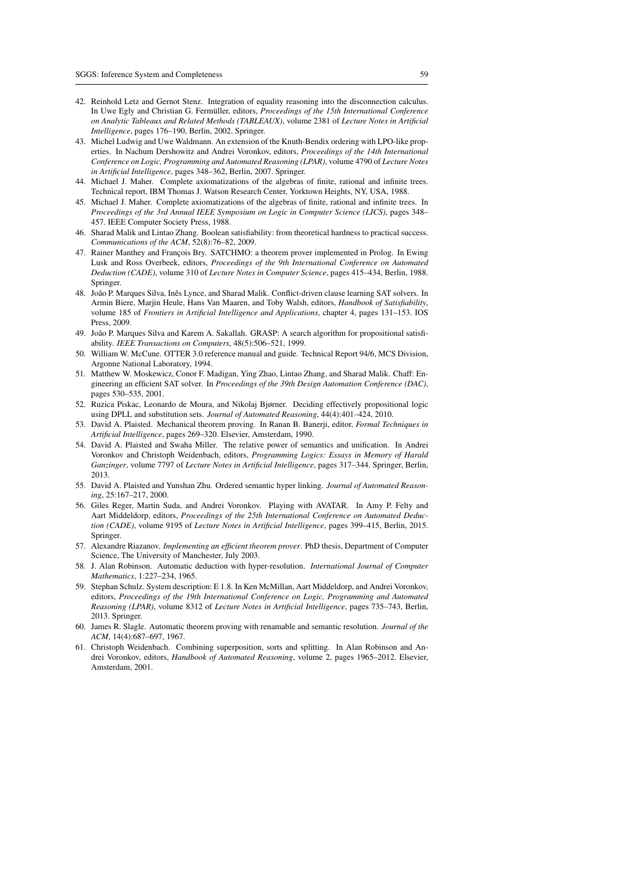- 42. Reinhold Letz and Gernot Stenz. Integration of equality reasoning into the disconnection calculus. In Uwe Egly and Christian G. Fermüller, editors, Proceedings of the 15th International Conference *on Analytic Tableaux and Related Methods (TABLEAUX)*, volume 2381 of *Lecture Notes in Artificial Intelligence*, pages 176–190, Berlin, 2002. Springer.
- 43. Michel Ludwig and Uwe Waldmann. An extension of the Knuth-Bendix ordering with LPO-like properties. In Nachum Dershowitz and Andrei Voronkov, editors, *Proceedings of the 14th International Conference on Logic, Programming and Automated Reasoning (LPAR)*, volume 4790 of *Lecture Notes in Artificial Intelligence*, pages 348–362, Berlin, 2007. Springer.
- 44. Michael J. Maher. Complete axiomatizations of the algebras of finite, rational and infinite trees. Technical report, IBM Thomas J. Watson Research Center, Yorktown Heights, NY, USA, 1988.
- 45. Michael J. Maher. Complete axiomatizations of the algebras of finite, rational and infinite trees. In *Proceedings of the 3rd Annual IEEE Symposium on Logic in Computer Science (LICS)*, pages 348– 457. IEEE Computer Society Press, 1988.
- 46. Sharad Malik and Lintao Zhang. Boolean satisfiability: from theoretical hardness to practical success. *Communications of the ACM*, 52(8):76–82, 2009.
- 47. Rainer Manthey and François Bry. SATCHMO: a theorem prover implemented in Prolog. In Ewing Lusk and Ross Overbeek, editors, *Proceedings of the 9th International Conference on Automated Deduction (CADE)*, volume 310 of *Lecture Notes in Computer Science*, pages 415–434, Berlin, 1988. Springer.
- 48. João P. Marques Silva, Inês Lynce, and Sharad Malik. Conflict-driven clause learning SAT solvers. In Armin Biere, Marjin Heule, Hans Van Maaren, and Toby Walsh, editors, *Handbook of Satisfiability*, volume 185 of *Frontiers in Artificial Intelligence and Applications*, chapter 4, pages 131–153. IOS Press, 2009.
- 49. João P. Marques Silva and Karem A. Sakallah. GRASP: A search algorithm for propositional satisfiability. *IEEE Transactions on Computers*, 48(5):506–521, 1999.
- 50. William W. McCune. OTTER 3.0 reference manual and guide. Technical Report 94/6, MCS Division, Argonne National Laboratory, 1994.
- 51. Matthew W. Moskewicz, Conor F. Madigan, Ying Zhao, Lintao Zhang, and Sharad Malik. Chaff: Engineering an efficient SAT solver. In *Proceedings of the 39th Design Automation Conference (DAC)*, pages 530–535, 2001.
- 52. Ruzica Piskac, Leonardo de Moura, and Nikolaj Bjørner. Deciding effectively propositional logic using DPLL and substitution sets. *Journal of Automated Reasoning*, 44(4):401–424, 2010.
- 53. David A. Plaisted. Mechanical theorem proving. In Ranan B. Banerji, editor, *Formal Techniques in Artificial Intelligence*, pages 269–320. Elsevier, Amsterdam, 1990.
- 54. David A. Plaisted and Swaha Miller. The relative power of semantics and unification. In Andrei Voronkov and Christoph Weidenbach, editors, *Programming Logics: Essays in Memory of Harald Ganzinger*, volume 7797 of *Lecture Notes in Artificial Intelligence*, pages 317–344. Springer, Berlin, 2013.
- 55. David A. Plaisted and Yunshan Zhu. Ordered semantic hyper linking. *Journal of Automated Reasoning*, 25:167–217, 2000.
- 56. Giles Reger, Martin Suda, and Andrei Voronkov. Playing with AVATAR. In Amy P. Felty and Aart Middeldorp, editors, *Proceedings of the 25th International Conference on Automated Deduction (CADE)*, volume 9195 of *Lecture Notes in Artificial Intelligence*, pages 399–415, Berlin, 2015. Springer.
- 57. Alexandre Riazanov. *Implementing an efficient theorem prover*. PhD thesis, Department of Computer Science, The University of Manchester, July 2003.
- 58. J. Alan Robinson. Automatic deduction with hyper-resolution. *International Journal of Computer Mathematics*, 1:227–234, 1965.
- 59. Stephan Schulz. System description: E 1.8. In Ken McMillan, Aart Middeldorp, and Andrei Voronkov, editors, *Proceedings of the 19th International Conference on Logic, Programming and Automated Reasoning (LPAR)*, volume 8312 of *Lecture Notes in Artificial Intelligence*, pages 735–743, Berlin, 2013. Springer.
- 60. James R. Slagle. Automatic theorem proving with renamable and semantic resolution. *Journal of the ACM*, 14(4):687–697, 1967.
- 61. Christoph Weidenbach. Combining superposition, sorts and splitting. In Alan Robinson and Andrei Voronkov, editors, *Handbook of Automated Reasoning*, volume 2, pages 1965–2012. Elsevier, Amsterdam, 2001.